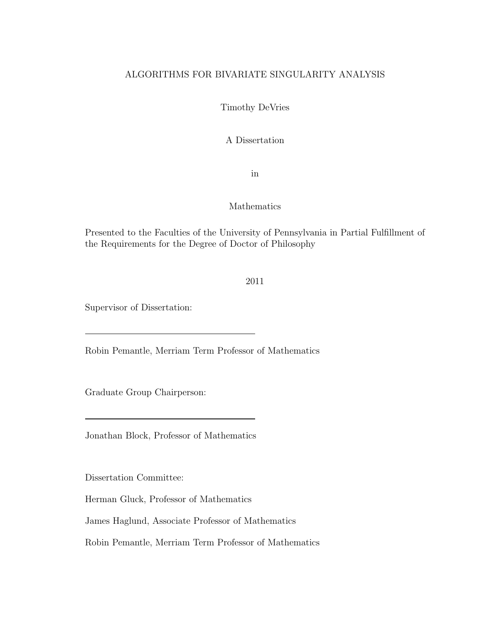## ALGORITHMS FOR BIVARIATE SINGULARITY ANALYSIS

Timothy DeVries

A Dissertation

in

### Mathematics

Presented to the Faculties of the University of Pennsylvania in Partial Fulfillment of the Requirements for the Degree of Doctor of Philosophy

### 2011

Supervisor of Dissertation:

Robin Pemantle, Merriam Term Professor of Mathematics

Graduate Group Chairperson:

Jonathan Block, Professor of Mathematics

Dissertation Committee:

Herman Gluck, Professor of Mathematics

James Haglund, Associate Professor of Mathematics

Robin Pemantle, Merriam Term Professor of Mathematics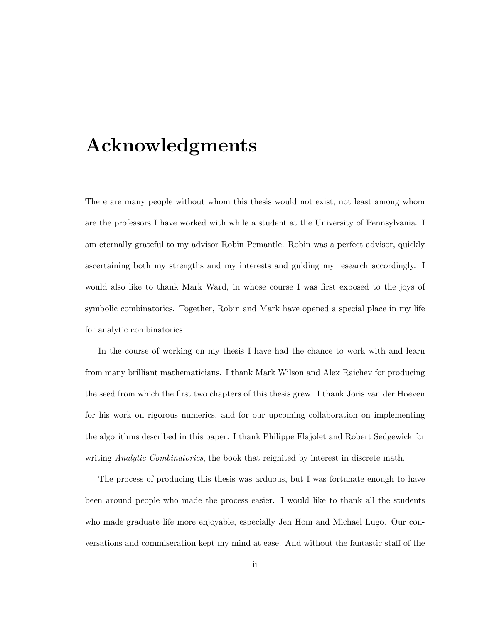# Acknowledgments

There are many people without whom this thesis would not exist, not least among whom are the professors I have worked with while a student at the University of Pennsylvania. I am eternally grateful to my advisor Robin Pemantle. Robin was a perfect advisor, quickly ascertaining both my strengths and my interests and guiding my research accordingly. I would also like to thank Mark Ward, in whose course I was first exposed to the joys of symbolic combinatorics. Together, Robin and Mark have opened a special place in my life for analytic combinatorics.

In the course of working on my thesis I have had the chance to work with and learn from many brilliant mathematicians. I thank Mark Wilson and Alex Raichev for producing the seed from which the first two chapters of this thesis grew. I thank Joris van der Hoeven for his work on rigorous numerics, and for our upcoming collaboration on implementing the algorithms described in this paper. I thank Philippe Flajolet and Robert Sedgewick for writing *Analytic Combinatorics*, the book that reignited by interest in discrete math.

The process of producing this thesis was arduous, but I was fortunate enough to have been around people who made the process easier. I would like to thank all the students who made graduate life more enjoyable, especially Jen Hom and Michael Lugo. Our conversations and commiseration kept my mind at ease. And without the fantastic staff of the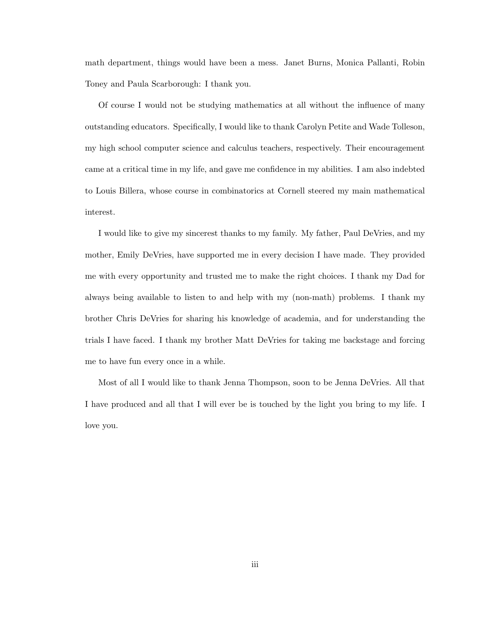math department, things would have been a mess. Janet Burns, Monica Pallanti, Robin Toney and Paula Scarborough: I thank you.

Of course I would not be studying mathematics at all without the influence of many outstanding educators. Specifically, I would like to thank Carolyn Petite and Wade Tolleson, my high school computer science and calculus teachers, respectively. Their encouragement came at a critical time in my life, and gave me confidence in my abilities. I am also indebted to Louis Billera, whose course in combinatorics at Cornell steered my main mathematical interest.

I would like to give my sincerest thanks to my family. My father, Paul DeVries, and my mother, Emily DeVries, have supported me in every decision I have made. They provided me with every opportunity and trusted me to make the right choices. I thank my Dad for always being available to listen to and help with my (non-math) problems. I thank my brother Chris DeVries for sharing his knowledge of academia, and for understanding the trials I have faced. I thank my brother Matt DeVries for taking me backstage and forcing me to have fun every once in a while.

Most of all I would like to thank Jenna Thompson, soon to be Jenna DeVries. All that I have produced and all that I will ever be is touched by the light you bring to my life. I love you.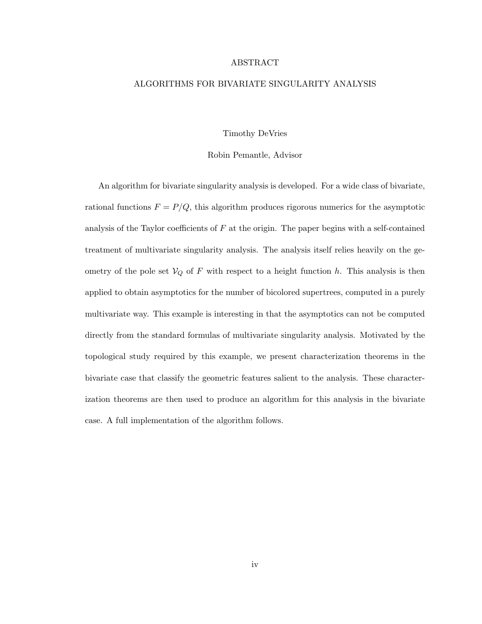#### ABSTRACT

#### ALGORITHMS FOR BIVARIATE SINGULARITY ANALYSIS

#### Timothy DeVries

#### Robin Pemantle, Advisor

An algorithm for bivariate singularity analysis is developed. For a wide class of bivariate, rational functions  $F = P/Q$ , this algorithm produces rigorous numerics for the asymptotic analysis of the Taylor coefficients of  $F$  at the origin. The paper begins with a self-contained treatment of multivariate singularity analysis. The analysis itself relies heavily on the geometry of the pole set  $V_Q$  of F with respect to a height function h. This analysis is then applied to obtain asymptotics for the number of bicolored supertrees, computed in a purely multivariate way. This example is interesting in that the asymptotics can not be computed directly from the standard formulas of multivariate singularity analysis. Motivated by the topological study required by this example, we present characterization theorems in the bivariate case that classify the geometric features salient to the analysis. These characterization theorems are then used to produce an algorithm for this analysis in the bivariate case. A full implementation of the algorithm follows.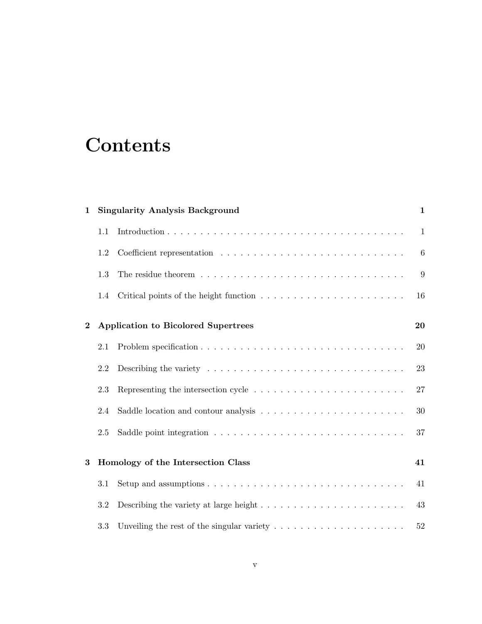# **Contents**

| $\mathbf{1}$ |         | <b>Singularity Analysis Background</b>                                                   | $\mathbf{1}$ |
|--------------|---------|------------------------------------------------------------------------------------------|--------------|
|              | 1.1     |                                                                                          | $\mathbf{1}$ |
|              | 1.2     |                                                                                          | 6            |
|              | 1.3     |                                                                                          | 9            |
|              | $1.4\,$ |                                                                                          | 16           |
| $\bf{2}$     |         | <b>Application to Bicolored Supertrees</b>                                               | 20           |
|              | 2.1     |                                                                                          | 20           |
|              | 2.2     |                                                                                          | 23           |
|              | 2.3     |                                                                                          | 27           |
|              | 2.4     |                                                                                          | 30           |
|              | 2.5     |                                                                                          | 37           |
| 3            |         | Homology of the Intersection Class                                                       | 41           |
|              | 3.1     |                                                                                          | 41           |
|              | 3.2     | Describing the variety at large height $\dots \dots \dots \dots \dots \dots \dots \dots$ | 43           |
|              | 3.3     | Unveiling the rest of the singular variety $\dots \dots \dots \dots \dots \dots \dots$   | 52           |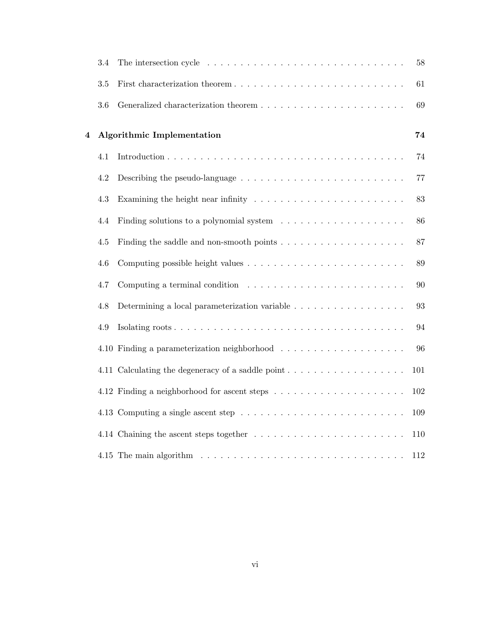|   | $3.4\,$ |                                                                                              | 58  |
|---|---------|----------------------------------------------------------------------------------------------|-----|
|   | $3.5\,$ |                                                                                              | 61  |
|   | $3.6\,$ |                                                                                              | 69  |
| 4 |         | <b>Algorithmic Implementation</b>                                                            | 74  |
|   | 4.1     |                                                                                              | 74  |
|   | 4.2     |                                                                                              | 77  |
|   | 4.3     | Examining the height near infinity $\ldots \ldots \ldots \ldots \ldots \ldots \ldots \ldots$ | 83  |
|   | 4.4     | Finding solutions to a polynomial system                                                     | 86  |
|   | 4.5     |                                                                                              | 87  |
|   | 4.6     |                                                                                              | 89  |
|   | 4.7     | Computing a terminal condition $\ldots \ldots \ldots \ldots \ldots \ldots \ldots \ldots$     | 90  |
|   | 4.8     | Determining a local parameterization variable                                                | 93  |
|   | 4.9     |                                                                                              | 94  |
|   |         |                                                                                              | 96  |
|   |         |                                                                                              | 101 |
|   |         |                                                                                              | 102 |
|   |         |                                                                                              | 109 |
|   |         |                                                                                              | 110 |
|   |         |                                                                                              | 112 |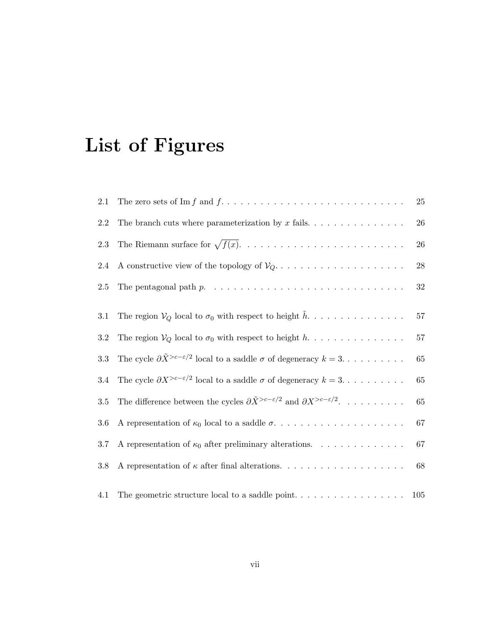# List of Figures

| 2.1     |                                                                                                                         | 25     |
|---------|-------------------------------------------------------------------------------------------------------------------------|--------|
| 2.2     |                                                                                                                         | 26     |
| 2.3     |                                                                                                                         | 26     |
| 2.4     |                                                                                                                         | $28\,$ |
| 2.5     | The pentagonal path $p. \ldots \ldots \ldots \ldots \ldots \ldots \ldots \ldots \ldots \ldots$                          | $32\,$ |
| 3.1     | The region $V_Q$ local to $\sigma_0$ with respect to height $\tilde{h}$                                                 | 57     |
| $3.2\,$ | The region $V_Q$ local to $\sigma_0$ with respect to height h                                                           | 57     |
| 3.3     | The cycle $\partial \tilde{X}^{>c-\epsilon/2}$ local to a saddle $\sigma$ of degeneracy $k = 3, \ldots, \ldots, \ldots$ | 65     |
| 3.4     | The cycle $\partial X^{>c-\epsilon/2}$ local to a saddle $\sigma$ of degeneracy $k = 3, \ldots, \ldots,$                | 65     |
| 3.5     | The difference between the cycles $\partial \tilde{X}^{>c-\varepsilon/2}$ and $\partial X^{>c-\varepsilon/2}$ .         | 65     |
| 3.6     |                                                                                                                         | $67\,$ |
| 3.7     | A representation of $\kappa_0$ after preliminary alterations.                                                           | 67     |
| $3.8\,$ |                                                                                                                         | 68     |
| 4.1     |                                                                                                                         | 105    |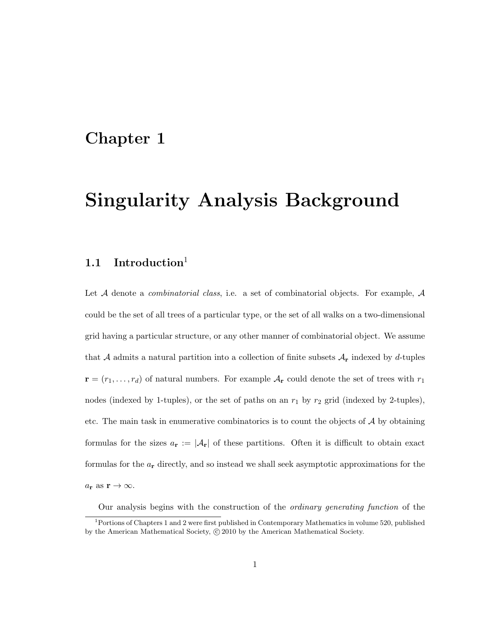# Chapter 1

# Singularity Analysis Background

# 1.1 Introduction<sup>1</sup>

Let A denote a *combinatorial class*, i.e. a set of combinatorial objects. For example, A could be the set of all trees of a particular type, or the set of all walks on a two-dimensional grid having a particular structure, or any other manner of combinatorial object. We assume that A admits a natural partition into a collection of finite subsets  $A_{\mathbf{r}}$  indexed by d-tuples  $\mathbf{r} = (r_1, \ldots, r_d)$  of natural numbers. For example  $A_{\mathbf{r}}$  could denote the set of trees with  $r_1$ nodes (indexed by 1-tuples), or the set of paths on an  $r_1$  by  $r_2$  grid (indexed by 2-tuples), etc. The main task in enumerative combinatorics is to count the objects of  $\mathcal A$  by obtaining formulas for the sizes  $a_r := |\mathcal{A}_r|$  of these partitions. Often it is difficult to obtain exact formulas for the  $a_r$  directly, and so instead we shall seek asymptotic approximations for the  $a_r$  as  $r \to \infty$ .

Our analysis begins with the construction of the *ordinary generating function* of the <sup>1</sup>Portions of Chapters 1 and 2 were first published in Contemporary Mathematics in volume 520, published

by the American Mathematical Society,  $\odot$  2010 by the American Mathematical Society.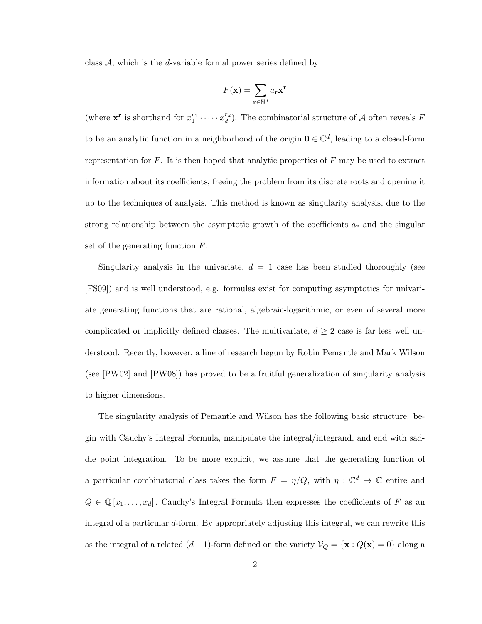class  $A$ , which is the *d*-variable formal power series defined by

$$
F(\mathbf{x}) = \sum_{\mathbf{r} \in \mathbb{N}^d} a_{\mathbf{r}} \mathbf{x}^{\mathbf{r}}
$$

(where  $\mathbf{x}^{\mathbf{r}}$  is shorthand for  $x_1^{r_1} \cdots x_d^{r_d}$ ). The combinatorial structure of A often reveals F to be an analytic function in a neighborhood of the origin  $\mathbf{0} \in \mathbb{C}^d$ , leading to a closed-form representation for  $F$ . It is then hoped that analytic properties of  $F$  may be used to extract information about its coefficients, freeing the problem from its discrete roots and opening it up to the techniques of analysis. This method is known as singularity analysis, due to the strong relationship between the asymptotic growth of the coefficients  $a_{\bf r}$  and the singular set of the generating function F.

Singularity analysis in the univariate,  $d = 1$  case has been studied thoroughly (see [FS09]) and is well understood, e.g. formulas exist for computing asymptotics for univariate generating functions that are rational, algebraic-logarithmic, or even of several more complicated or implicitly defined classes. The multivariate,  $d \geq 2$  case is far less well understood. Recently, however, a line of research begun by Robin Pemantle and Mark Wilson (see [PW02] and [PW08]) has proved to be a fruitful generalization of singularity analysis to higher dimensions.

The singularity analysis of Pemantle and Wilson has the following basic structure: begin with Cauchy's Integral Formula, manipulate the integral/integrand, and end with saddle point integration. To be more explicit, we assume that the generating function of a particular combinatorial class takes the form  $F = \eta/Q$ , with  $\eta : \mathbb{C}^d \to \mathbb{C}$  entire and  $Q \in \mathbb{Q}[x_1,\ldots,x_d]$ . Cauchy's Integral Formula then expresses the coefficients of F as an integral of a particular d-form. By appropriately adjusting this integral, we can rewrite this as the integral of a related  $(d-1)$ -form defined on the variety  $\mathcal{V}_Q = {\mathbf{x} : Q(\mathbf{x}) = 0}$  along a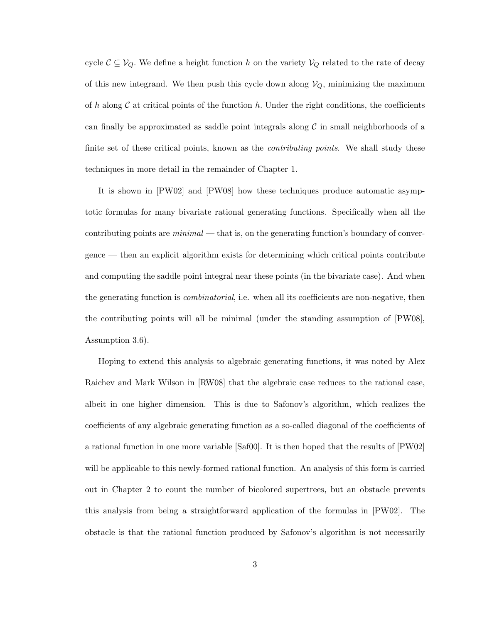cycle  $C \subseteq V_Q$ . We define a height function h on the variety  $V_Q$  related to the rate of decay of this new integrand. We then push this cycle down along  $V_Q$ , minimizing the maximum of h along C at critical points of the function h. Under the right conditions, the coefficients can finally be approximated as saddle point integrals along  $\mathcal C$  in small neighborhoods of a finite set of these critical points, known as the *contributing points*. We shall study these techniques in more detail in the remainder of Chapter 1.

It is shown in [PW02] and [PW08] how these techniques produce automatic asymptotic formulas for many bivariate rational generating functions. Specifically when all the contributing points are *minimal* — that is, on the generating function's boundary of convergence — then an explicit algorithm exists for determining which critical points contribute and computing the saddle point integral near these points (in the bivariate case). And when the generating function is *combinatorial*, i.e. when all its coefficients are non-negative, then the contributing points will all be minimal (under the standing assumption of [PW08], Assumption 3.6).

Hoping to extend this analysis to algebraic generating functions, it was noted by Alex Raichev and Mark Wilson in [RW08] that the algebraic case reduces to the rational case, albeit in one higher dimension. This is due to Safonov's algorithm, which realizes the coefficients of any algebraic generating function as a so-called diagonal of the coefficients of a rational function in one more variable [Saf00]. It is then hoped that the results of [PW02] will be applicable to this newly-formed rational function. An analysis of this form is carried out in Chapter 2 to count the number of bicolored supertrees, but an obstacle prevents this analysis from being a straightforward application of the formulas in [PW02]. The obstacle is that the rational function produced by Safonov's algorithm is not necessarily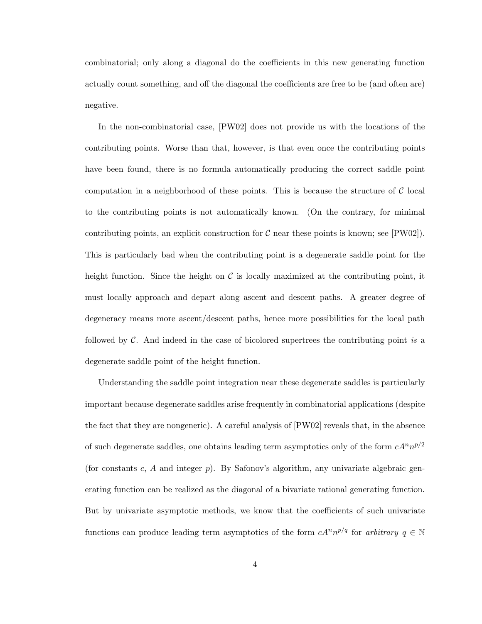combinatorial; only along a diagonal do the coefficients in this new generating function actually count something, and off the diagonal the coefficients are free to be (and often are) negative.

In the non-combinatorial case, [PW02] does not provide us with the locations of the contributing points. Worse than that, however, is that even once the contributing points have been found, there is no formula automatically producing the correct saddle point computation in a neighborhood of these points. This is because the structure of  $\mathcal C$  local to the contributing points is not automatically known. (On the contrary, for minimal contributing points, an explicit construction for  $C$  near these points is known; see  $[PW02]$ . This is particularly bad when the contributing point is a degenerate saddle point for the height function. Since the height on  $\mathcal C$  is locally maximized at the contributing point, it must locally approach and depart along ascent and descent paths. A greater degree of degeneracy means more ascent/descent paths, hence more possibilities for the local path followed by C. And indeed in the case of bicolored supertrees the contributing point *is* a degenerate saddle point of the height function.

Understanding the saddle point integration near these degenerate saddles is particularly important because degenerate saddles arise frequently in combinatorial applications (despite the fact that they are nongeneric). A careful analysis of [PW02] reveals that, in the absence of such degenerate saddles, one obtains leading term asymptotics only of the form  $cA^n n^{p/2}$ (for constants  $c, A$  and integer  $p$ ). By Safonov's algorithm, any univariate algebraic generating function can be realized as the diagonal of a bivariate rational generating function. But by univariate asymptotic methods, we know that the coefficients of such univariate functions can produce leading term asymptotics of the form  $cA^n n^{p/q}$  for *arbitrary*  $q \in \mathbb{N}$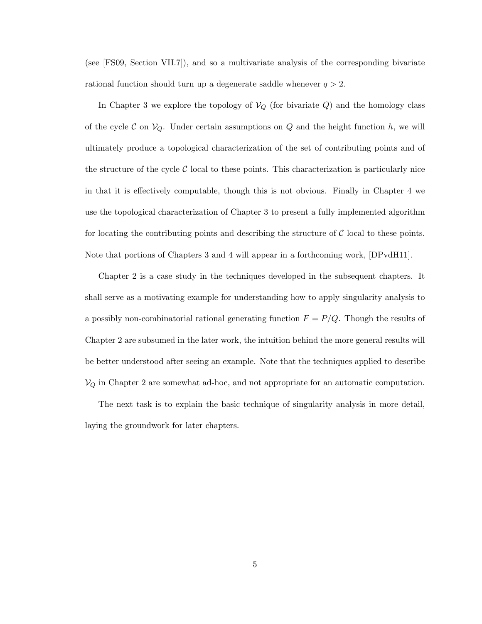(see [FS09, Section VII.7]), and so a multivariate analysis of the corresponding bivariate rational function should turn up a degenerate saddle whenever  $q > 2$ .

In Chapter 3 we explore the topology of  $V_Q$  (for bivariate Q) and the homology class of the cycle C on  $V_Q$ . Under certain assumptions on Q and the height function h, we will ultimately produce a topological characterization of the set of contributing points and of the structure of the cycle  $\mathcal C$  local to these points. This characterization is particularly nice in that it is effectively computable, though this is not obvious. Finally in Chapter 4 we use the topological characterization of Chapter 3 to present a fully implemented algorithm for locating the contributing points and describing the structure of  $C$  local to these points. Note that portions of Chapters 3 and 4 will appear in a forthcoming work, [DPvdH11].

Chapter 2 is a case study in the techniques developed in the subsequent chapters. It shall serve as a motivating example for understanding how to apply singularity analysis to a possibly non-combinatorial rational generating function  $F = P/Q$ . Though the results of Chapter 2 are subsumed in the later work, the intuition behind the more general results will be better understood after seeing an example. Note that the techniques applied to describe  $\mathcal{V}_Q$  in Chapter 2 are somewhat ad-hoc, and not appropriate for an automatic computation.

The next task is to explain the basic technique of singularity analysis in more detail, laying the groundwork for later chapters.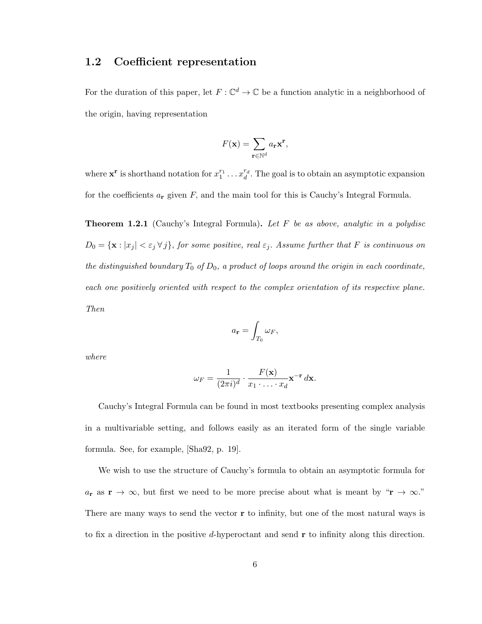## 1.2 Coefficient representation

For the duration of this paper, let  $F: \mathbb{C}^d \to \mathbb{C}$  be a function analytic in a neighborhood of the origin, having representation

$$
F(\mathbf{x}) = \sum_{\mathbf{r} \in \mathbb{N}^d} a_{\mathbf{r}} \mathbf{x}^{\mathbf{r}},
$$

where  $\mathbf{x}^{\mathbf{r}}$  is shorthand notation for  $x_1^{r_1} \ldots x_d^{r_d}$ . The goal is to obtain an asymptotic expansion for the coefficients  $a_r$  given F, and the main tool for this is Cauchy's Integral Formula.

Theorem 1.2.1 (Cauchy's Integral Formula). *Let* F *be as above, analytic in a polydisc*  $D_0 = {\mathbf{x} : |x_j| < \varepsilon_j \forall j}$ , for some positive, real  $\varepsilon_j$ . Assume further that F is continuous on *the distinguished boundary*  $T_0$  *of*  $D_0$ *, a product of loops around the origin in each coordinate, each one positively oriented with respect to the complex orientation of its respective plane. Then*

$$
a_{\mathbf{r}} = \int_{T_0} \omega_F,
$$

*where*

$$
\omega_F = \frac{1}{(2\pi i)^d} \cdot \frac{F(\mathbf{x})}{x_1 \cdot \ldots \cdot x_d} \mathbf{x}^{-\mathbf{r}} d\mathbf{x}.
$$

Cauchy's Integral Formula can be found in most textbooks presenting complex analysis in a multivariable setting, and follows easily as an iterated form of the single variable formula. See, for example, [Sha92, p. 19].

We wish to use the structure of Cauchy's formula to obtain an asymptotic formula for  $a_{\bf r}$  as  ${\bf r} \to \infty$ , but first we need to be more precise about what is meant by " ${\bf r} \to \infty$ ." There are many ways to send the vector  $\mathbf r$  to infinity, but one of the most natural ways is to fix a direction in the positive d-hyperoctant and send  $\bf{r}$  to infinity along this direction.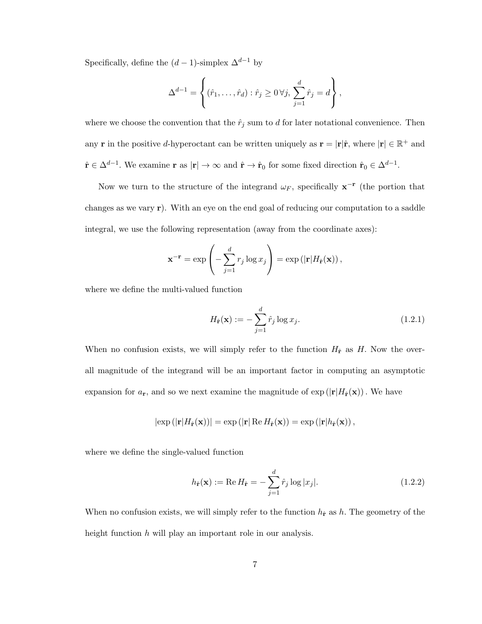Specifically, define the  $(d-1)$ -simplex  $\Delta^{d-1}$  by

$$
\Delta^{d-1} = \left\{ (\hat{r}_1, \dots, \hat{r}_d) : \hat{r}_j \ge 0 \,\forall j, \, \sum_{j=1}^d \hat{r}_j = d \right\},\,
$$

where we choose the convention that the  $\hat{r}_j$  sum to d for later notational convenience. Then any **r** in the positive d-hyperoctant can be written uniquely as  $\mathbf{r} = |\mathbf{r}|\hat{\mathbf{r}}$ , where  $|\mathbf{r}| \in \mathbb{R}^+$  and  $\hat{\mathbf{r}} \in \Delta^{d-1}$ . We examine  $\mathbf{r}$  as  $|\mathbf{r}| \to \infty$  and  $\hat{\mathbf{r}} \to \hat{\mathbf{r}}_0$  for some fixed direction  $\hat{\mathbf{r}}_0 \in \Delta^{d-1}$ .

Now we turn to the structure of the integrand  $\omega_F$ , specifically  $\mathbf{x}^{-\mathbf{r}}$  (the portion that changes as we vary r). With an eye on the end goal of reducing our computation to a saddle integral, we use the following representation (away from the coordinate axes):

$$
\mathbf{x}^{-\mathbf{r}} = \exp\left(-\sum_{j=1}^d r_j \log x_j\right) = \exp\left(|\mathbf{r}| H_{\hat{\mathbf{r}}}(\mathbf{x})\right),\,
$$

where we define the multi-valued function

$$
H_{\hat{\mathbf{r}}}(\mathbf{x}) := -\sum_{j=1}^{d} \hat{r}_j \log x_j.
$$
 (1.2.1)

When no confusion exists, we will simply refer to the function  $H_{\hat{r}}$  as H. Now the overall magnitude of the integrand will be an important factor in computing an asymptotic expansion for  $a_r$ , and so we next examine the magnitude of  $\exp(|\mathbf{r}|H_{\hat{r}}(\mathbf{x}))$ . We have

$$
|\exp(|\mathbf{r}|H_{\hat{\mathbf{r}}}(\mathbf{x}))| = \exp(|\mathbf{r}| \operatorname{Re} H_{\hat{\mathbf{r}}}(\mathbf{x})) = \exp(|\mathbf{r}|h_{\hat{\mathbf{r}}}(\mathbf{x}))
$$
,

where we define the single-valued function

$$
h_{\hat{\mathbf{r}}}(\mathbf{x}) := \text{Re}\,H_{\hat{\mathbf{r}}} = -\sum_{j=1}^{d} \hat{r}_j \log |x_j|.
$$
 (1.2.2)

When no confusion exists, we will simply refer to the function  $h_{\hat{r}}$  as h. The geometry of the height function  $h$  will play an important role in our analysis.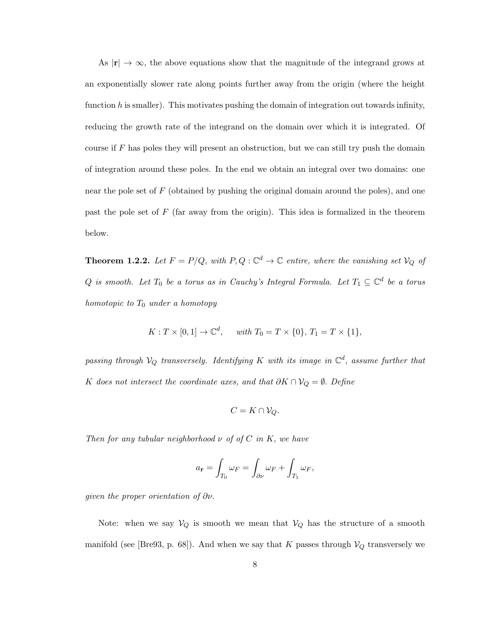As  $|\mathbf{r}| \to \infty$ , the above equations show that the magnitude of the integrand grows at an exponentially slower rate along points further away from the origin (where the height function h is smaller). This motivates pushing the domain of integration out towards infinity, reducing the growth rate of the integrand on the domain over which it is integrated. Of course if  $F$  has poles they will present an obstruction, but we can still try push the domain of integration around these poles. In the end we obtain an integral over two domains: one near the pole set of  $F$  (obtained by pushing the original domain around the poles), and one past the pole set of  $F$  (far away from the origin). This idea is formalized in the theorem below.

**Theorem 1.2.2.** Let  $F = P/Q$ , with  $P, Q : \mathbb{C}^d \to \mathbb{C}$  entire, where the vanishing set  $V_Q$  of  $Q$  *is smooth. Let*  $T_0$  *be a torus as in Cauchy's Integral Formula. Let*  $T_1 \subseteq \mathbb{C}^d$  *be a torus homotopic to* T<sup>0</sup> *under a homotopy*

$$
K: T \times [0,1] \to \mathbb{C}^d, \quad \text{with } T_0 = T \times \{0\}, T_1 = T \times \{1\},
$$

 $passing$  *through*  $V_Q$  *transversely. Identifying*  $K$  *with its image in*  $\mathbb{C}^d$ *, assume further that* K *does not intersect the coordinate axes, and that*  $\partial K \cap V_Q = \emptyset$ . Define

$$
C=K\cap\mathcal{V}_Q.
$$

*Then for any tubular neighborhood* ν *of of* C *in* K, *we have*

$$
a_{\mathbf{r}} = \int_{T_0} \omega_F = \int_{\partial \nu} \omega_F + \int_{T_1} \omega_F,
$$

*given the proper orientation of* ∂ν.

Note: when we say  $V_Q$  is smooth we mean that  $V_Q$  has the structure of a smooth manifold (see [Bre93, p. 68]). And when we say that K passes through  $V_Q$  transversely we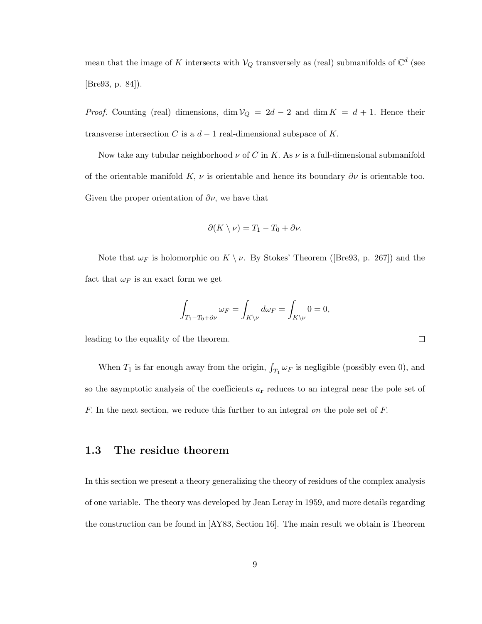mean that the image of K intersects with  $\mathcal{V}_Q$  transversely as (real) submanifolds of  $\mathbb{C}^d$  (see [Bre93, p. 84]).

*Proof.* Counting (real) dimensions, dim  $V_Q = 2d - 2$  and dim  $K = d + 1$ . Hence their transverse intersection C is a  $d-1$  real-dimensional subspace of K.

Now take any tubular neighborhood  $\nu$  of C in K. As  $\nu$  is a full-dimensional submanifold of the orientable manifold K,  $\nu$  is orientable and hence its boundary  $\partial \nu$  is orientable too. Given the proper orientation of  $\partial \nu$ , we have that

$$
\partial(K \setminus \nu) = T_1 - T_0 + \partial \nu.
$$

Note that  $\omega_F$  is holomorphic on  $K \setminus \nu$ . By Stokes' Theorem ([Bre93, p. 267]) and the fact that  $\omega_F$  is an exact form we get

$$
\int_{T_1-T_0+\partial \nu} \omega_F = \int_{K\backslash \nu} d\omega_F = \int_{K\backslash \nu} 0 = 0,
$$

leading to the equality of the theorem.

When  $T_1$  is far enough away from the origin,  $\int_{T_1} \omega_F$  is negligible (possibly even 0), and so the asymptotic analysis of the coefficients  $a_r$  reduces to an integral near the pole set of F. In the next section, we reduce this further to an integral *on* the pole set of F.

## 1.3 The residue theorem

In this section we present a theory generalizing the theory of residues of the complex analysis of one variable. The theory was developed by Jean Leray in 1959, and more details regarding the construction can be found in [AY83, Section 16]. The main result we obtain is Theorem

 $\Box$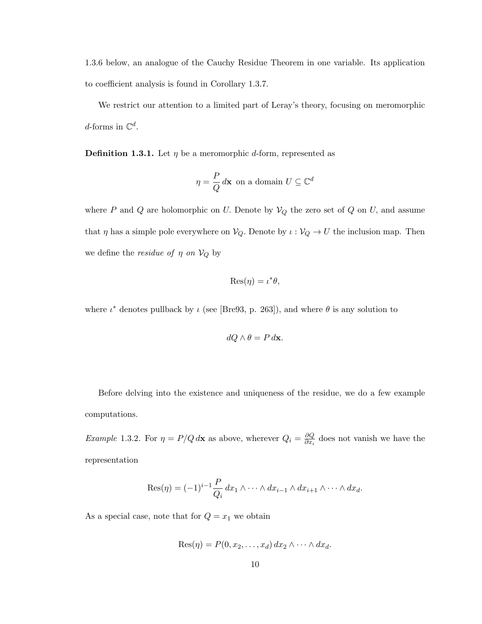1.3.6 below, an analogue of the Cauchy Residue Theorem in one variable. Its application to coefficient analysis is found in Corollary 1.3.7.

We restrict our attention to a limited part of Leray's theory, focusing on meromorphic d-forms in  $\mathbb{C}^d$ .

**Definition 1.3.1.** Let  $\eta$  be a meromorphic d-form, represented as

$$
\eta = \frac{P}{Q} d\mathbf{x} \text{ on a domain } U \subseteq \mathbb{C}^d
$$

where P and Q are holomorphic on U. Denote by  $V_Q$  the zero set of Q on U, and assume that  $\eta$  has a simple pole everywhere on  $\mathcal{V}_Q$ . Denote by  $\iota : \mathcal{V}_Q \to U$  the inclusion map. Then we define the *residue of*  $\eta$  *on*  $V_Q$  by

$$
\text{Res}(\eta) = \iota^*\theta,
$$

where  $\iota^*$  denotes pullback by  $\iota$  (see [Bre93, p. 263]), and where  $\theta$  is any solution to

$$
dQ \wedge \theta = P \, d\mathbf{x}.
$$

Before delving into the existence and uniqueness of the residue, we do a few example computations.

*Example* 1.3.2. For  $\eta = P/Q d\mathbf{x}$  as above, wherever  $Q_i = \frac{\partial Q}{\partial x_i}$  $\frac{\partial Q}{\partial x_i}$  does not vanish we have the representation

$$
\operatorname{Res}(\eta) = (-1)^{i-1} \frac{P}{Q_i} dx_1 \wedge \cdots \wedge dx_{i-1} \wedge dx_{i+1} \wedge \cdots \wedge dx_d.
$$

As a special case, note that for  $Q = x_1$  we obtain

$$
Res(\eta) = P(0, x_2, \dots, x_d) dx_2 \wedge \dots \wedge dx_d.
$$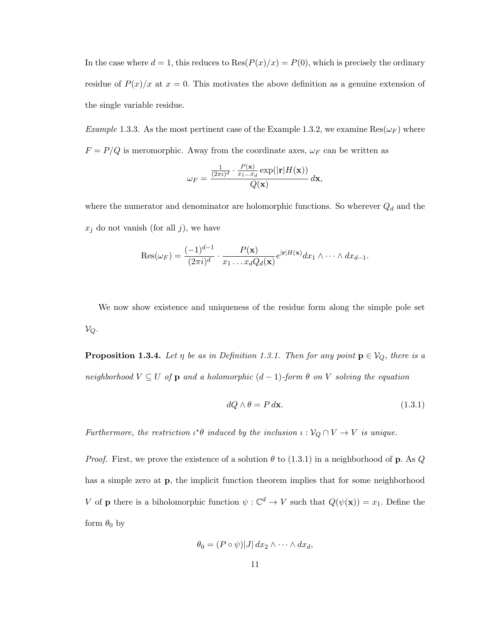In the case where  $d = 1$ , this reduces to  $\text{Res}(P(x)/x) = P(0)$ , which is precisely the ordinary residue of  $P(x)/x$  at  $x = 0$ . This motivates the above definition as a genuine extension of the single variable residue.

*Example* 1.3.3. As the most pertinent case of the Example 1.3.2, we examine  $\text{Res}(\omega_F)$  where  $F = P/Q$  is meromorphic. Away from the coordinate axes,  $\omega_F$  can be written as

$$
\omega_F = \frac{\frac{1}{(2\pi i)^d} \cdot \frac{P(\mathbf{x})}{x_1 \dots x_d} \exp(|\mathbf{r}| \cdot H(\mathbf{x}))}{Q(\mathbf{x})} d\mathbf{x},
$$

where the numerator and denominator are holomorphic functions. So wherever  $Q_d$  and the  $x_j$  do not vanish (for all j), we have

$$
\operatorname{Res}(\omega_F) = \frac{(-1)^{d-1}}{(2\pi i)^d} \cdot \frac{P(\mathbf{x})}{x_1 \dots x_d Q_d(\mathbf{x})} e^{|\mathbf{r}|H(\mathbf{x})} dx_1 \wedge \dots \wedge dx_{d-1}.
$$

We now show existence and uniqueness of the residue form along the simple pole set  $\mathcal{V}_Q$ .

**Proposition 1.3.4.** Let  $\eta$  be as in Definition 1.3.1. Then for any point  $\mathbf{p} \in V_Q$ , there is a *neighborhood*  $V \subseteq U$  *of*  $p$  *and a holomorphic*  $(d-1)$ *-form*  $\theta$  *on*  $V$  *solving the equation* 

$$
dQ \wedge \theta = P \, d\mathbf{x}.\tag{1.3.1}
$$

*Furthermore, the restriction*  $\iota^*\theta$  *induced by the inclusion*  $\iota : \mathcal{V}_Q \cap V \to V$  *is unique.* 

*Proof.* First, we prove the existence of a solution  $\theta$  to (1.3.1) in a neighborhood of **p**. As Q has a simple zero at p, the implicit function theorem implies that for some neighborhood V of **p** there is a biholomorphic function  $\psi : \mathbb{C}^d \to V$  such that  $Q(\psi(\mathbf{x})) = x_1$ . Define the form  $\theta_0$  by

$$
\theta_0 = (P \circ \psi)|J| \, dx_2 \wedge \cdots \wedge dx_d,
$$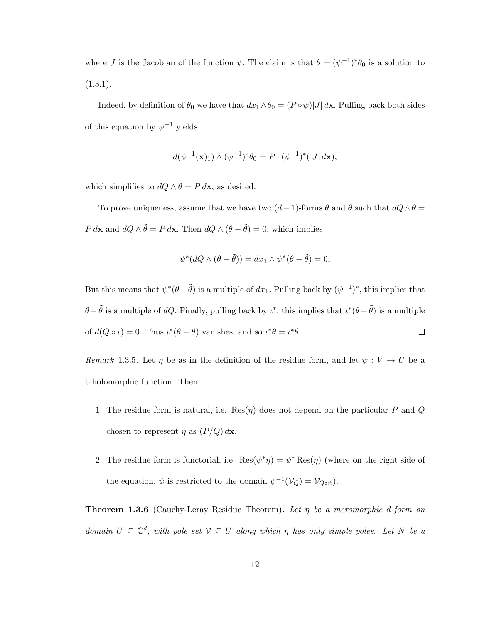where J is the Jacobian of the function  $\psi$ . The claim is that  $\theta = (\psi^{-1})^* \theta_0$  is a solution to  $(1.3.1).$ 

Indeed, by definition of  $\theta_0$  we have that  $dx_1 \wedge \theta_0 = (P \circ \psi)|J| d\mathbf{x}$ . Pulling back both sides of this equation by  $\psi^{-1}$  yields

$$
d(\psi^{-1}(\mathbf{x})_1) \wedge (\psi^{-1})^* \theta_0 = P \cdot (\psi^{-1})^* (|J| \, d\mathbf{x}),
$$

which simplifies to  $dQ \wedge \theta = P d\mathbf{x}$ , as desired.

To prove uniqueness, assume that we have two  $(d-1)$ -forms  $\theta$  and  $\tilde{\theta}$  such that  $dQ \wedge \theta =$ P d**x** and  $dQ \wedge \tilde{\theta} = P d\mathbf{x}$ . Then  $dQ \wedge (\theta - \tilde{\theta}) = 0$ , which implies

$$
\psi^*(dQ \wedge (\theta - \tilde{\theta})) = dx_1 \wedge \psi^*(\theta - \tilde{\theta}) = 0.
$$

But this means that  $\psi^*(\theta - \tilde{\theta})$  is a multiple of  $dx_1$ . Pulling back by  $(\psi^{-1})^*$ , this implies that  $\theta - \tilde{\theta}$  is a multiple of dQ. Finally, pulling back by  $\iota^*$ , this implies that  $\iota^*(\theta - \tilde{\theta})$  is a multiple of  $d(Q \circ \iota) = 0$ . Thus  $\iota^*(\theta - \tilde{\theta})$  vanishes, and so  $\iota^*\theta = \iota^*\tilde{\theta}$ .  $\Box$ 

*Remark* 1.3.5. Let  $\eta$  be as in the definition of the residue form, and let  $\psi: V \to U$  be a biholomorphic function. Then

- 1. The residue form is natural, i.e.  $\text{Res}(\eta)$  does not depend on the particular P and Q chosen to represent  $\eta$  as  $(P/Q) d\mathbf{x}$ .
- 2. The residue form is functorial, i.e.  $\text{Res}(\psi^*\eta) = \psi^* \text{Res}(\eta)$  (where on the right side of the equation,  $\psi$  is restricted to the domain  $\psi^{-1}(\mathcal{V}_Q) = \mathcal{V}_{Q \circ \psi}$ .

Theorem 1.3.6 (Cauchy-Leray Residue Theorem). *Let* η *be a meromorphic* d*-form on domain*  $U \subseteq \mathbb{C}^d$ , *with pole set*  $V \subseteq U$  *along which*  $\eta$  *has only simple poles. Let*  $N$  *be a*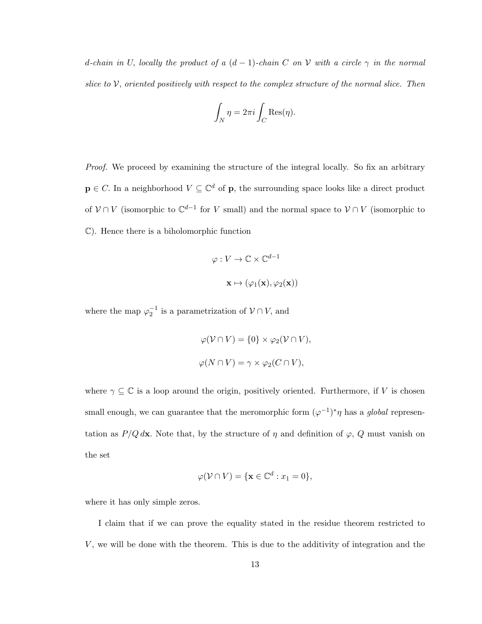d-chain in U, locally the product of a  $(d-1)$ -chain C on V with a circle  $\gamma$  in the normal *slice to* V, *oriented positively with respect to the complex structure of the normal slice. Then*

$$
\int_N \eta = 2\pi i \int_C \text{Res}(\eta).
$$

*Proof.* We proceed by examining the structure of the integral locally. So fix an arbitrary  $\mathbf{p} \in C$ . In a neighborhood  $V \subseteq \mathbb{C}^d$  of  $\mathbf{p}$ , the surrounding space looks like a direct product of  $V \cap V$  (isomorphic to  $\mathbb{C}^{d-1}$  for V small) and the normal space to  $V \cap V$  (isomorphic to C). Hence there is a biholomorphic function

$$
\varphi: V \to \mathbb{C} \times \mathbb{C}^{d-1}
$$

$$
\mathbf{x} \mapsto (\varphi_1(\mathbf{x}), \varphi_2(\mathbf{x}))
$$

where the map  $\varphi_2^{-1}$  is a parametrization of  $\mathcal{V} \cap V$ , and

$$
\varphi(\mathcal{V} \cap V) = \{0\} \times \varphi_2(\mathcal{V} \cap V),
$$
  

$$
\varphi(N \cap V) = \gamma \times \varphi_2(C \cap V),
$$

where  $\gamma \subseteq \mathbb{C}$  is a loop around the origin, positively oriented. Furthermore, if V is chosen small enough, we can guarantee that the meromorphic form  $(\varphi^{-1})^* \eta$  has a *global* representation as  $P/Q d\mathbf{x}$ . Note that, by the structure of  $\eta$  and definition of  $\varphi$ , Q must vanish on the set

$$
\varphi(\mathcal{V} \cap V) = \{ \mathbf{x} \in \mathbb{C}^d : x_1 = 0 \},\
$$

where it has only simple zeros.

I claim that if we can prove the equality stated in the residue theorem restricted to  $V$ , we will be done with the theorem. This is due to the additivity of integration and the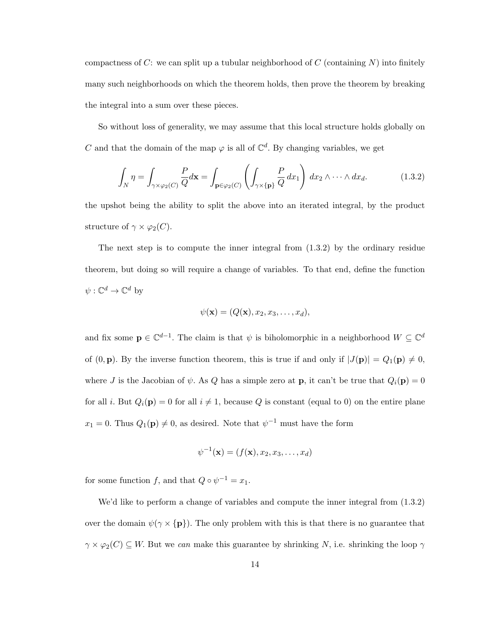compactness of  $C$ : we can split up a tubular neighborhood of  $C$  (containing  $N$ ) into finitely many such neighborhoods on which the theorem holds, then prove the theorem by breaking the integral into a sum over these pieces.

So without loss of generality, we may assume that this local structure holds globally on C and that the domain of the map  $\varphi$  is all of  $\mathbb{C}^d$ . By changing variables, we get

$$
\int_{N} \eta = \int_{\gamma \times \varphi_2(C)} \frac{P}{Q} d\mathbf{x} = \int_{\mathbf{p} \in \varphi_2(C)} \left( \int_{\gamma \times \{\mathbf{p}\}} \frac{P}{Q} dx_1 \right) dx_2 \wedge \dots \wedge dx_d.
$$
 (1.3.2)

the upshot being the ability to split the above into an iterated integral, by the product structure of  $\gamma \times \varphi_2(C)$ .

The next step is to compute the inner integral from  $(1.3.2)$  by the ordinary residue theorem, but doing so will require a change of variables. To that end, define the function  $\psi: \mathbb{C}^d \to \mathbb{C}^d$  by

$$
\psi(\mathbf{x}) = (Q(\mathbf{x}), x_2, x_3, \dots, x_d),
$$

and fix some  $\mathbf{p} \in \mathbb{C}^{d-1}$ . The claim is that  $\psi$  is biholomorphic in a neighborhood  $W \subseteq \mathbb{C}^d$ of  $(0, \mathbf{p})$ . By the inverse function theorem, this is true if and only if  $|J(\mathbf{p})| = Q_1(\mathbf{p}) \neq 0$ , where J is the Jacobian of  $\psi$ . As Q has a simple zero at **p**, it can't be true that  $Q_i(\mathbf{p}) = 0$ for all *i*. But  $Q_i(\mathbf{p}) = 0$  for all  $i \neq 1$ , because Q is constant (equal to 0) on the entire plane  $x_1 = 0$ . Thus  $Q_1(\mathbf{p}) \neq 0$ , as desired. Note that  $\psi^{-1}$  must have the form

$$
\psi^{-1}(\mathbf{x}) = (f(\mathbf{x}), x_2, x_3, \dots, x_d)
$$

for some function f, and that  $Q \circ \psi^{-1} = x_1$ .

We'd like to perform a change of variables and compute the inner integral from  $(1.3.2)$ over the domain  $\psi(\gamma \times {\bf p})$ . The only problem with this is that there is no guarantee that  $\gamma \times \varphi_2(C) \subseteq W$ . But we *can* make this guarantee by shrinking N, i.e. shrinking the loop  $\gamma$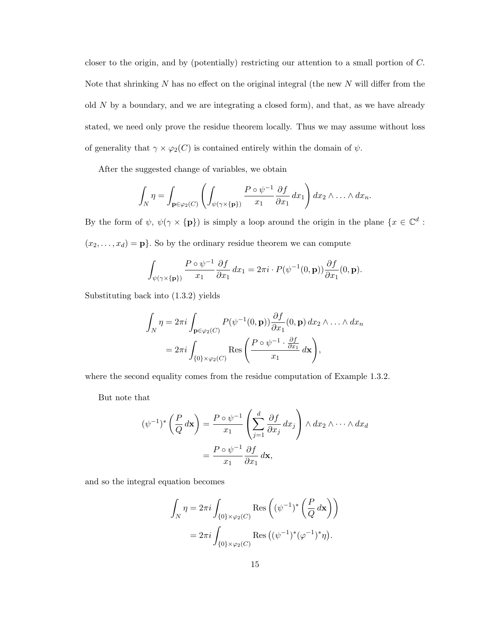closer to the origin, and by (potentially) restricting our attention to a small portion of C. Note that shrinking  $N$  has no effect on the original integral (the new  $N$  will differ from the old  $N$  by a boundary, and we are integrating a closed form), and that, as we have already stated, we need only prove the residue theorem locally. Thus we may assume without loss of generality that  $\gamma \times \varphi_2(C)$  is contained entirely within the domain of  $\psi$ .

After the suggested change of variables, we obtain

$$
\int_N \eta = \int_{\mathbf{p} \in \varphi_2(C)} \left( \int_{\psi(\gamma \times \{\mathbf{p}\})} \frac{P \circ \psi^{-1}}{x_1} \frac{\partial f}{\partial x_1} dx_1 \right) dx_2 \wedge \ldots \wedge dx_n.
$$

By the form of  $\psi$ ,  $\psi(\gamma \times {\bf p})$  is simply a loop around the origin in the plane  $\{x \in \mathbb{C}^d :$  $(x_2, \ldots, x_d) = \mathbf{p}$ . So by the ordinary residue theorem we can compute

$$
\int_{\psi(\gamma \times {\{\mathbf{p}\}})} \frac{P \circ \psi^{-1}}{x_1} \frac{\partial f}{\partial x_1} dx_1 = 2\pi i \cdot P(\psi^{-1}(0, \mathbf{p})) \frac{\partial f}{\partial x_1}(0, \mathbf{p}).
$$

Substituting back into (1.3.2) yields

$$
\int_{N} \eta = 2\pi i \int_{\mathbf{p} \in \varphi_2(C)} P(\psi^{-1}(0, \mathbf{p})) \frac{\partial f}{\partial x_1}(0, \mathbf{p}) dx_2 \wedge \ldots \wedge dx_n
$$

$$
= 2\pi i \int_{\{0\} \times \varphi_2(C)} \text{Res}\left(\frac{P \circ \psi^{-1} \cdot \frac{\partial f}{\partial x_1}}{x_1} dx\right),
$$

where the second equality comes from the residue computation of Example 1.3.2.

But note that

$$
(\psi^{-1})^* \left(\frac{P}{Q} d\mathbf{x}\right) = \frac{P \circ \psi^{-1}}{x_1} \left(\sum_{j=1}^d \frac{\partial f}{\partial x_j} dx_j\right) \wedge dx_2 \wedge \dots \wedge dx_d
$$

$$
= \frac{P \circ \psi^{-1}}{x_1} \frac{\partial f}{\partial x_1} d\mathbf{x},
$$

and so the integral equation becomes

$$
\int_N \eta = 2\pi i \int_{\{0\} \times \varphi_2(C)} \text{Res}\left((\psi^{-1})^* \left(\frac{P}{Q} d\mathbf{x}\right)\right)
$$

$$
= 2\pi i \int_{\{0\} \times \varphi_2(C)} \text{Res}\left((\psi^{-1})^* (\varphi^{-1})^* \eta\right).
$$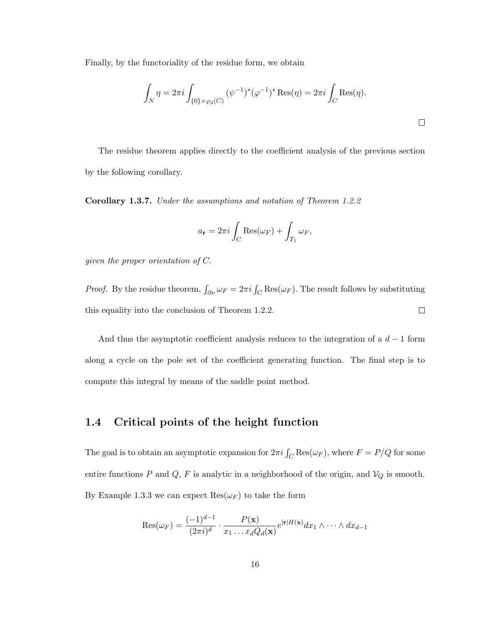Finally, by the functoriality of the residue form, we obtain

$$
\int_N \eta = 2\pi i \int_{\{0\} \times \varphi_2(C)} (\psi^{-1})^* (\varphi^{-1})^* \text{Res}(\eta) = 2\pi i \int_C \text{Res}(\eta).
$$

The residue theorem applies directly to the coefficient analysis of the previous section by the following corollary.

Corollary 1.3.7. *Under the assumptions and notation of Theorem 1.2.2*

$$
a_{\mathbf{r}} = 2\pi i \int_C \text{Res}(\omega_F) + \int_{T_1} \omega_F,
$$

*given the proper orientation of* C.

*Proof.* By the residue theorem,  $\int_{\partial \nu} \omega_F = 2\pi i \int_C \text{Res}(\omega_F)$ . The result follows by substituting this equality into the conclusion of Theorem 1.2.2.  $\Box$ 

And thus the asymptotic coefficient analysis reduces to the integration of a  $d-1$  form along a cycle on the pole set of the coefficient generating function. The final step is to compute this integral by means of the saddle point method.

# 1.4 Critical points of the height function

The goal is to obtain an asymptotic expansion for  $2\pi i \int_C \text{Res}(\omega_F)$ , where  $F = P/Q$  for some entire functions  $P$  and  $Q$ ,  $F$  is analytic in a neighborhood of the origin, and  $V_Q$  is smooth. By Example 1.3.3 we can expect  $\text{Res}(\omega_F)$  to take the form

$$
\operatorname{Res}(\omega_F) = \frac{(-1)^{d-1}}{(2\pi i)^d} \cdot \frac{P(\mathbf{x})}{x_1 \dots x_d Q_d(\mathbf{x})} e^{|\mathbf{r}| H(\mathbf{x})} dx_1 \wedge \dots \wedge dx_{d-1}
$$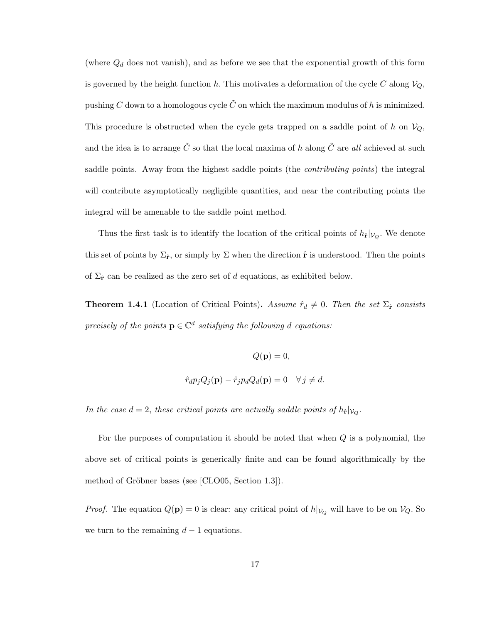(where  $Q_d$  does not vanish), and as before we see that the exponential growth of this form is governed by the height function h. This motivates a deformation of the cycle C along  $V_Q$ , pushing C down to a homologous cycle  $\tilde{C}$  on which the maximum modulus of h is minimized. This procedure is obstructed when the cycle gets trapped on a saddle point of h on  $V_Q$ , and the idea is to arrange  $\tilde{C}$  so that the local maxima of  $h$  along  $\tilde{C}$  are *all* achieved at such saddle points. Away from the highest saddle points (the *contributing points*) the integral will contribute asymptotically negligible quantities, and near the contributing points the integral will be amenable to the saddle point method.

Thus the first task is to identify the location of the critical points of  $h_{\hat{\mathbf{r}}}|_{V_Q}$ . We denote this set of points by  $\Sigma_{\hat{r}}$ , or simply by  $\Sigma$  when the direction  $\hat{r}$  is understood. Then the points of  $\Sigma_{\hat{r}}$  can be realized as the zero set of d equations, as exhibited below.

**Theorem 1.4.1** (Location of Critical Points). Assume  $\hat{r}_d \neq 0$ . Then the set  $\Sigma_{\hat{r}}$  consists  $precisely of the points  $\mathbf{p} \in \mathbb{C}^d$  *satisfying the following d equations:*$ 

$$
Q(\mathbf{p}) = 0,
$$
  

$$
\hat{r}_d p_j Q_j(\mathbf{p}) - \hat{r}_j p_d Q_d(\mathbf{p}) = 0 \quad \forall j \neq d.
$$

*In the case*  $d = 2$ , *these critical points are actually saddle points of*  $h_{\hat{\mathbf{r}}} |_{V_Q}$ .

For the purposes of computation it should be noted that when  $Q$  is a polynomial, the above set of critical points is generically finite and can be found algorithmically by the method of Gröbner bases (see [CLO05, Section 1.3]).

*Proof.* The equation  $Q(\mathbf{p}) = 0$  is clear: any critical point of  $h|_{V_Q}$  will have to be on  $V_Q$ . So we turn to the remaining  $d-1$  equations.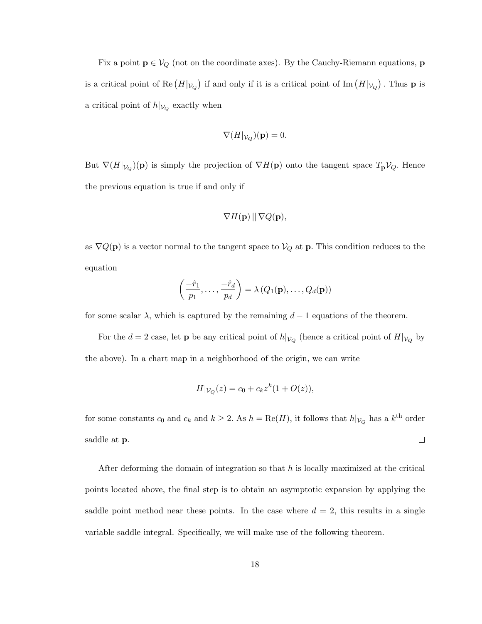Fix a point  $p \in V_Q$  (not on the coordinate axes). By the Cauchy-Riemann equations, p is a critical point of Re  $(H|_{\mathcal{V}_Q})$  if and only if it is a critical point of Im  $(H|_{\mathcal{V}_Q})$ . Thus **p** is a critical point of  $h|_{V_Q}$  exactly when

$$
\nabla(H|_{\mathcal{V}_Q})(\mathbf{p})=0.
$$

But  $\nabla(H|\mathcal{V}_Q)(\mathbf{p})$  is simply the projection of  $\nabla H(\mathbf{p})$  onto the tangent space  $T_{\mathbf{p}}V_Q$ . Hence the previous equation is true if and only if

$$
\nabla H(\mathbf{p}) \, || \, \nabla Q(\mathbf{p}),
$$

as  $\nabla Q(\mathbf{p})$  is a vector normal to the tangent space to  $V_Q$  at **p**. This condition reduces to the equation

$$
\left(\frac{-\hat{r}_1}{p_1},\ldots,\frac{-\hat{r}_d}{p_d}\right)=\lambda\left(Q_1(\mathbf{p}),\ldots,Q_d(\mathbf{p})\right)
$$

for some scalar  $\lambda$ , which is captured by the remaining  $d-1$  equations of the theorem.

For the  $d = 2$  case, let **p** be any critical point of  $h|_{V_Q}$  (hence a critical point of  $H|_{V_Q}$  by the above). In a chart map in a neighborhood of the origin, we can write

$$
H|_{\mathcal{V}_Q}(z) = c_0 + c_k z^k (1 + O(z)),
$$

for some constants  $c_0$  and  $c_k$  and  $k \geq 2$ . As  $h = \text{Re}(H)$ , it follows that  $h|_{V_Q}$  has a  $k^{\text{th}}$  order  $\Box$ saddle at p.

After deforming the domain of integration so that  $h$  is locally maximized at the critical points located above, the final step is to obtain an asymptotic expansion by applying the saddle point method near these points. In the case where  $d = 2$ , this results in a single variable saddle integral. Specifically, we will make use of the following theorem.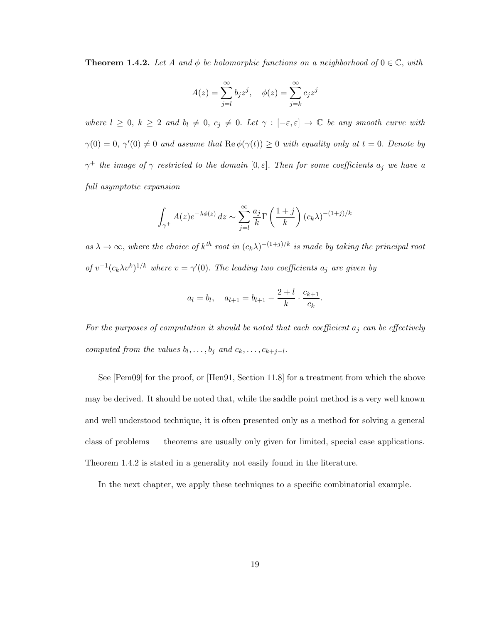**Theorem 1.4.2.** Let A and  $\phi$  be holomorphic functions on a neighborhood of  $0 \in \mathbb{C}$ , with

$$
A(z) = \sum_{j=l}^{\infty} b_j z^j, \quad \phi(z) = \sum_{j=k}^{\infty} c_j z^j
$$

*where*  $l \geq 0, k \geq 2$  *and*  $b_l \neq 0, c_j \neq 0$ . Let  $\gamma : [-\varepsilon, \varepsilon] \to \mathbb{C}$  be any smooth curve with  $\gamma(0) = 0, \ \gamma'(0) \neq 0$  and assume that  $\text{Re}\,\phi(\gamma(t)) \geq 0$  with equality only at  $t = 0$ . Denote by  $\gamma^+$  *the image of*  $\gamma$  *restricted to the domain* [0,  $\varepsilon$ ]. *Then for some coefficients*  $a_j$  *we have a full asymptotic expansion*

$$
\int_{\gamma^+} A(z)e^{-\lambda \phi(z)} dz \sim \sum_{j=l}^{\infty} \frac{a_j}{k} \Gamma\left(\frac{1+j}{k}\right) (c_k \lambda)^{-(1+j)/k}
$$

 $as \lambda \to \infty$ , where the choice of  $k^{th}$  root in  $(c_k\lambda)^{-(1+j)/k}$  *is made by taking the principal root of*  $v^{-1}(c_k\lambda v^k)^{1/k}$  *where*  $v = \gamma'(0)$ *. The leading two coefficients*  $a_j$  *are given by* 

$$
a_l = b_l
$$
,  $a_{l+1} = b_{l+1} - \frac{2+l}{k} \cdot \frac{c_{k+1}}{c_k}$ .

For the purposes of computation it should be noted that each coefficient  $a_j$  can be effectively *computed from the values*  $b_l, \ldots, b_j$  *and*  $c_k, \ldots, c_{k+j-l}$ .

See [Pem09] for the proof, or [Hen91, Section 11.8] for a treatment from which the above may be derived. It should be noted that, while the saddle point method is a very well known and well understood technique, it is often presented only as a method for solving a general class of problems — theorems are usually only given for limited, special case applications. Theorem 1.4.2 is stated in a generality not easily found in the literature.

In the next chapter, we apply these techniques to a specific combinatorial example.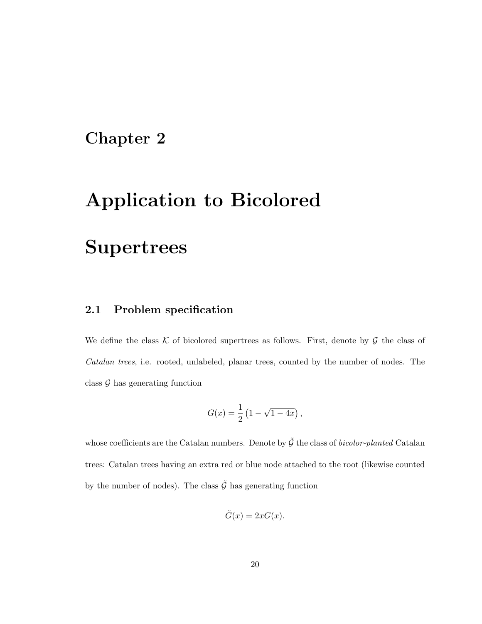# Chapter 2

# Application to Bicolored

# **Supertrees**

# 2.1 Problem specification

We define the class K of bicolored supertrees as follows. First, denote by  $\mathcal G$  the class of *Catalan trees*, i.e. rooted, unlabeled, planar trees, counted by the number of nodes. The class  $\mathcal G$  has generating function

$$
G(x) = \frac{1}{2} (1 - \sqrt{1 - 4x}),
$$

whose coefficients are the Catalan numbers. Denote by  $\tilde{G}$  the class of *bicolor-planted* Catalan trees: Catalan trees having an extra red or blue node attached to the root (likewise counted by the number of nodes). The class  $\tilde{\mathcal{G}}$  has generating function

$$
\tilde{G}(x) = 2xG(x).
$$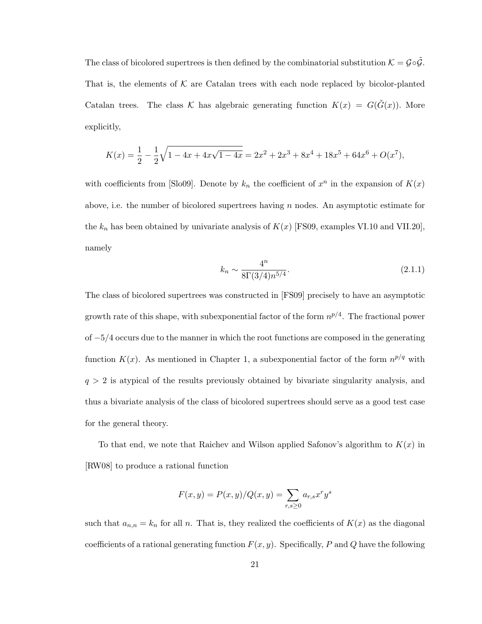The class of bicolored supertrees is then defined by the combinatorial substitution  $K = \mathcal{G} \circ \tilde{\mathcal{G}}$ . That is, the elements of  $K$  are Catalan trees with each node replaced by bicolor-planted Catalan trees. The class K has algebraic generating function  $K(x) = G(\tilde{G}(x))$ . More explicitly,

$$
K(x) = \frac{1}{2} - \frac{1}{2}\sqrt{1 - 4x + 4x\sqrt{1 - 4x}} = 2x^2 + 2x^3 + 8x^4 + 18x^5 + 64x^6 + O(x^7),
$$

with coefficients from [Slo09]. Denote by  $k_n$  the coefficient of  $x^n$  in the expansion of  $K(x)$ above, i.e. the number of bicolored supertrees having n nodes. An asymptotic estimate for the  $k_n$  has been obtained by univariate analysis of  $K(x)$  [FS09, examples VI.10 and VII.20], namely

$$
k_n \sim \frac{4^n}{8\Gamma(3/4)n^{5/4}}.\tag{2.1.1}
$$

The class of bicolored supertrees was constructed in [FS09] precisely to have an asymptotic growth rate of this shape, with subexponential factor of the form  $n^{p/4}$ . The fractional power of −5/4 occurs due to the manner in which the root functions are composed in the generating function  $K(x)$ . As mentioned in Chapter 1, a subexponential factor of the form  $n^{p/q}$  with  $q > 2$  is atypical of the results previously obtained by bivariate singularity analysis, and thus a bivariate analysis of the class of bicolored supertrees should serve as a good test case for the general theory.

To that end, we note that Raichev and Wilson applied Safonov's algorithm to  $K(x)$  in [RW08] to produce a rational function

$$
F(x, y) = P(x, y) / Q(x, y) = \sum_{r, s \ge 0} a_{r, s} x^r y^s
$$

such that  $a_{n,n} = k_n$  for all n. That is, they realized the coefficients of  $K(x)$  as the diagonal coefficients of a rational generating function  $F(x, y)$ . Specifically, P and Q have the following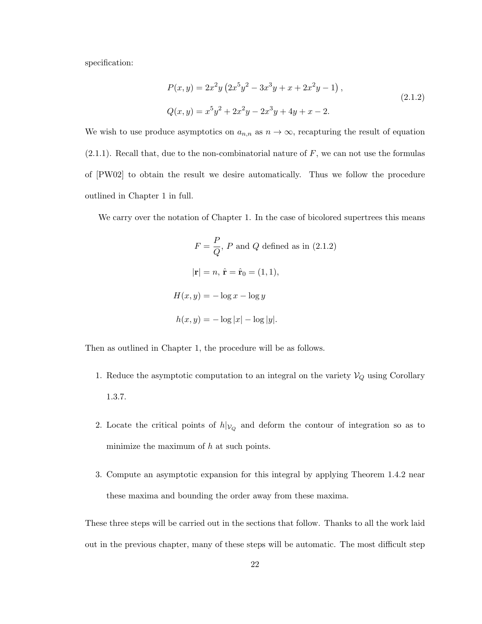specification:

$$
P(x,y) = 2x^2y(2x^5y^2 - 3x^3y + x + 2x^2y - 1),
$$
  
\n
$$
Q(x,y) = x^5y^2 + 2x^2y - 2x^3y + 4y + x - 2.
$$
\n(2.1.2)

We wish to use produce asymptotics on  $a_{n,n}$  as  $n \to \infty$ , recapturing the result of equation  $(2.1.1)$ . Recall that, due to the non-combinatorial nature of F, we can not use the formulas of [PW02] to obtain the result we desire automatically. Thus we follow the procedure outlined in Chapter 1 in full.

We carry over the notation of Chapter 1. In the case of bicolored supertrees this means

$$
F = \frac{P}{Q}, P \text{ and } Q \text{ defined as in (2.1.2)}
$$

$$
|\mathbf{r}| = n, \hat{\mathbf{r}} = \hat{\mathbf{r}}_0 = (1, 1),
$$

$$
H(x, y) = -\log x - \log y
$$

$$
h(x, y) = -\log |x| - \log |y|.
$$

Then as outlined in Chapter 1, the procedure will be as follows.

- 1. Reduce the asymptotic computation to an integral on the variety  $\mathcal{V}_Q$  using Corollary 1.3.7.
- 2. Locate the critical points of  $h|_{V_Q}$  and deform the contour of integration so as to minimize the maximum of  $h$  at such points.
- 3. Compute an asymptotic expansion for this integral by applying Theorem 1.4.2 near these maxima and bounding the order away from these maxima.

These three steps will be carried out in the sections that follow. Thanks to all the work laid out in the previous chapter, many of these steps will be automatic. The most difficult step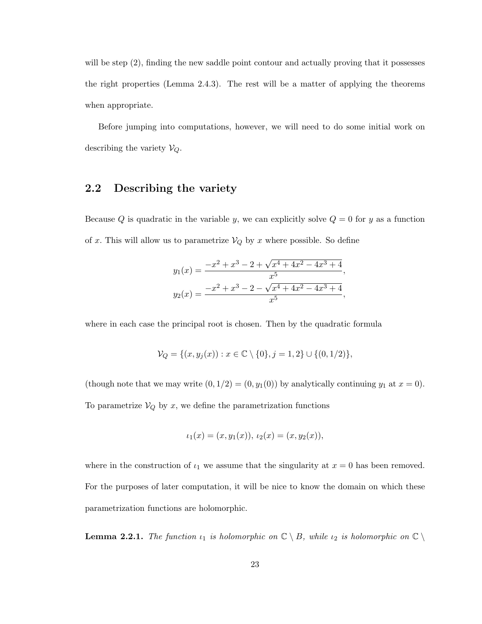will be step  $(2)$ , finding the new saddle point contour and actually proving that it possesses the right properties (Lemma 2.4.3). The rest will be a matter of applying the theorems when appropriate.

Before jumping into computations, however, we will need to do some initial work on describing the variety  $V_Q$ .

## 2.2 Describing the variety

Because Q is quadratic in the variable y, we can explicitly solve  $Q = 0$  for y as a function of x. This will allow us to parametrize  $V_Q$  by x where possible. So define

$$
y_1(x) = \frac{-x^2 + x^3 - 2 + \sqrt{x^4 + 4x^2 - 4x^3 + 4}}{x^5},
$$
  

$$
y_2(x) = \frac{-x^2 + x^3 - 2 - \sqrt{x^4 + 4x^2 - 4x^3 + 4}}{x^5},
$$

where in each case the principal root is chosen. Then by the quadratic formula

$$
\mathcal{V}_Q = \{(x, y_j(x)) : x \in \mathbb{C} \setminus \{0\}, j = 1, 2\} \cup \{(0, 1/2)\},\
$$

(though note that we may write  $(0, 1/2) = (0, y_1(0))$  by analytically continuing  $y_1$  at  $x = 0$ ). To parametrize  $V_Q$  by x, we define the parametrization functions

$$
\iota_1(x) = (x, y_1(x)), \, \iota_2(x) = (x, y_2(x)),
$$

where in the construction of  $\iota_1$  we assume that the singularity at  $x = 0$  has been removed. For the purposes of later computation, it will be nice to know the domain on which these parametrization functions are holomorphic.

**Lemma 2.2.1.** The function  $\iota_1$  is holomorphic on  $\mathbb{C} \setminus B$ , while  $\iota_2$  is holomorphic on  $\mathbb{C} \setminus$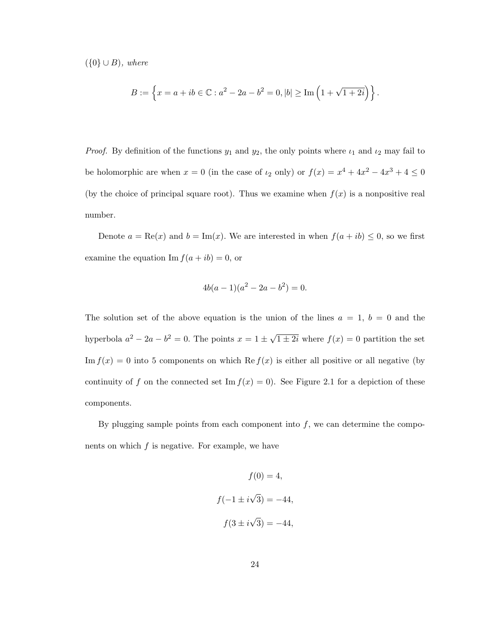({0} ∪ B)*, where*

$$
B := \left\{ x = a + ib \in \mathbb{C} : a^2 - 2a - b^2 = 0, |b| \ge \text{Im}\left(1 + \sqrt{1 + 2i}\right) \right\}.
$$

*Proof.* By definition of the functions  $y_1$  and  $y_2$ , the only points where  $\iota_1$  and  $\iota_2$  may fail to be holomorphic are when  $x = 0$  (in the case of  $\iota_2$  only) or  $f(x) = x^4 + 4x^2 - 4x^3 + 4 \le 0$ (by the choice of principal square root). Thus we examine when  $f(x)$  is a nonpositive real number.

Denote  $a = \text{Re}(x)$  and  $b = \text{Im}(x)$ . We are interested in when  $f(a + ib) \leq 0$ , so we first examine the equation  $\text{Im } f(a + ib) = 0$ , or

$$
4b(a-1)(a^2 - 2a - b^2) = 0.
$$

The solution set of the above equation is the union of the lines  $a = 1, b = 0$  and the hyperbola  $a^2 - 2a - b^2 = 0$ . The points  $x = 1 \pm \sqrt{1 \pm 2i}$  where  $f(x) = 0$  partition the set Im  $f(x) = 0$  into 5 components on which Re  $f(x)$  is either all positive or all negative (by continuity of f on the connected set Im  $f(x) = 0$ . See Figure 2.1 for a depiction of these components.

By plugging sample points from each component into  $f$ , we can determine the components on which  $f$  is negative. For example, we have

$$
f(0) = 4,
$$
  

$$
f(-1 \pm i\sqrt{3}) = -44,
$$
  

$$
f(3 \pm i\sqrt{3}) = -44,
$$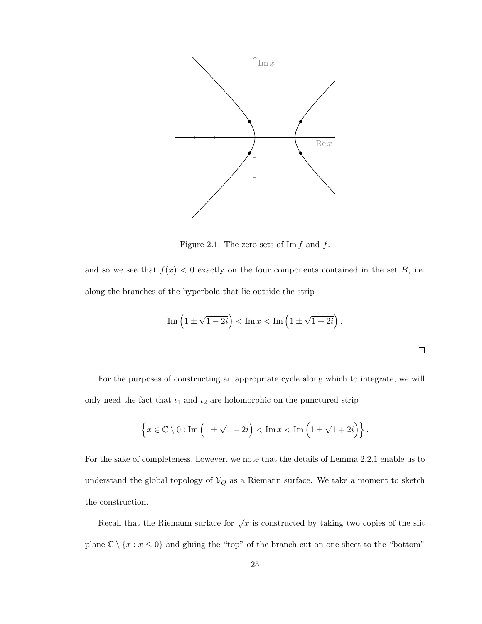

Figure 2.1: The zero sets of Im  $f$  and  $f$ .

and so we see that  $f(x) < 0$  exactly on the four components contained in the set B, i.e. along the branches of the hyperbola that lie outside the strip

Im 
$$
\left(1 \pm \sqrt{1 - 2i}\right)
$$
 < Im  $x$  < Im  $\left(1 \pm \sqrt{1 + 2i}\right)$ .

For the purposes of constructing an appropriate cycle along which to integrate, we will only need the fact that  $i_1$  and  $i_2$  are holomorphic on the punctured strip

$$
\left\{x \in \mathbb{C} \setminus 0 : \text{Im}\left(1 \pm \sqrt{1 - 2i}\right) < \text{Im}\,x < \text{Im}\left(1 \pm \sqrt{1 + 2i}\right)\right\}.
$$

For the sake of completeness, however, we note that the details of Lemma 2.2.1 enable us to understand the global topology of  $\mathcal{V}_Q$  as a Riemann surface. We take a moment to sketch the construction.

Recall that the Riemann surface for  $\sqrt{x}$  is constructed by taking two copies of the slit plane  $\mathbb{C} \setminus \{x : x \le 0\}$  and gluing the "top" of the branch cut on one sheet to the "bottom"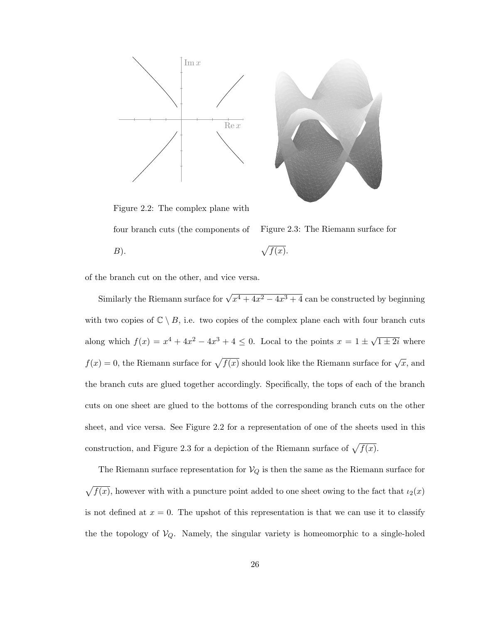



Figure 2.2: The complex plane with four branch cuts (the components of  $B$ ).

Figure 2.3: The Riemann surface for 
$$
\sqrt{f(x)}
$$
.

of the branch cut on the other, and vice versa.

Similarly the Riemann surface for  $\sqrt{x^4 + 4x^2 - 4x^3 + 4}$  can be constructed by beginning with two copies of  $\mathbb{C} \setminus B$ , i.e. two copies of the complex plane each with four branch cuts along which  $f(x) = x^4 + 4x^2 - 4x^3 + 4 \le 0$ . Local to the points  $x = 1 \pm \sqrt{1 \pm 2i}$  where  $f(x) = 0$ , the Riemann surface for  $\sqrt{f(x)}$  should look like the Riemann surface for  $\sqrt{x}$ , and the branch cuts are glued together accordingly. Specifically, the tops of each of the branch cuts on one sheet are glued to the bottoms of the corresponding branch cuts on the other sheet, and vice versa. See Figure 2.2 for a representation of one of the sheets used in this construction, and Figure 2.3 for a depiction of the Riemann surface of  $\sqrt{f(x)}$ .

The Riemann surface representation for  $V_Q$  is then the same as the Riemann surface for  $\sqrt{f(x)}$ , however with with a puncture point added to one sheet owing to the fact that  $i_2(x)$ is not defined at  $x = 0$ . The upshot of this representation is that we can use it to classify the the topology of  $V_Q$ . Namely, the singular variety is homeomorphic to a single-holed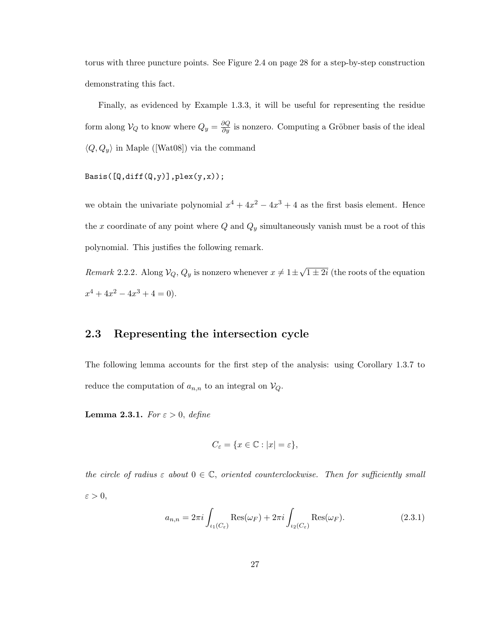torus with three puncture points. See Figure 2.4 on page 28 for a step-by-step construction demonstrating this fact.

Finally, as evidenced by Example 1.3.3, it will be useful for representing the residue form along  $V_Q$  to know where  $Q_y = \frac{\partial Q}{\partial y}$  is nonzero. Computing a Gröbner basis of the ideal  $\langle Q, Q_y \rangle$  in Maple ([Wat08]) via the command

 $Basis([Q,diff(Q,y)],\text{plex}(y,x));$ 

we obtain the univariate polynomial  $x^4 + 4x^2 - 4x^3 + 4$  as the first basis element. Hence the x coordinate of any point where  $Q$  and  $Q_y$  simultaneously vanish must be a root of this polynomial. This justifies the following remark.

*Remark* 2.2.2. Along  $V_Q$ ,  $Q_y$  is nonzero whenever  $x \neq 1 \pm \sqrt{1 \pm 2i}$  (the roots of the equation  $x^4 + 4x^2 - 4x^3 + 4 = 0$ .

## 2.3 Representing the intersection cycle

The following lemma accounts for the first step of the analysis: using Corollary 1.3.7 to reduce the computation of  $a_{n,n}$  to an integral on  $V_Q$ .

**Lemma 2.3.1.** *For*  $\varepsilon > 0$ , *define* 

$$
C_{\varepsilon} = \{ x \in \mathbb{C} : |x| = \varepsilon \},\
$$

*the circle of radius*  $\varepsilon$  *about*  $0 \in \mathbb{C}$ *, oriented counterclockwise. Then for sufficiently small*  $\varepsilon>0,$ 

$$
a_{n,n} = 2\pi i \int_{\iota_1(C_\varepsilon)} \text{Res}(\omega_F) + 2\pi i \int_{\iota_2(C_\varepsilon)} \text{Res}(\omega_F). \tag{2.3.1}
$$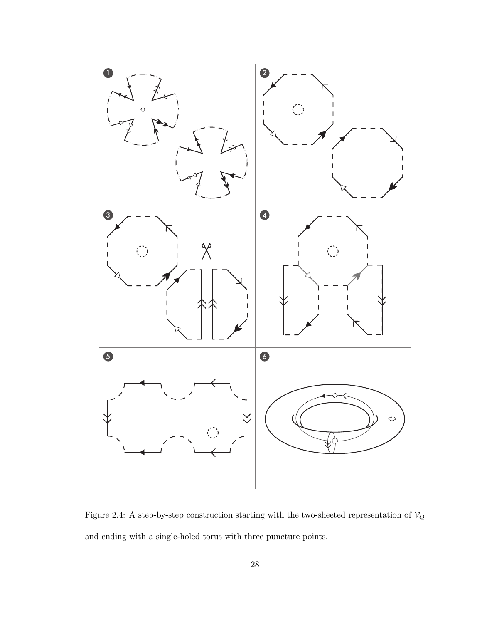

Figure 2.4: A step-by-step construction starting with the two-sheeted representation of  $\mathcal{V}_Q$ and ending with a single-holed torus with three puncture points.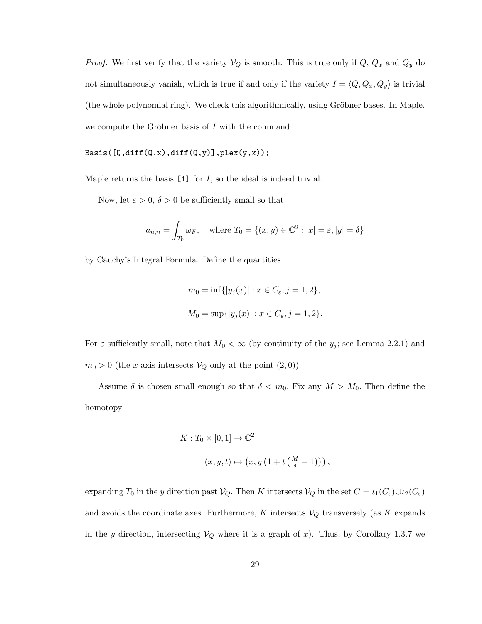*Proof.* We first verify that the variety  $V_Q$  is smooth. This is true only if  $Q$ ,  $Q_x$  and  $Q_y$  do not simultaneously vanish, which is true if and only if the variety  $I = \langle Q, Q_x, Q_y \rangle$  is trivial (the whole polynomial ring). We check this algorithmically, using Gröbner bases. In Maple, we compute the Gröbner basis of  $I$  with the command

Basis( $[Q, diff(Q,x), diff(Q,y)]$ , plex $(y,x)$ );

Maple returns the basis  $[1]$  for I, so the ideal is indeed trivial.

Now, let  $\varepsilon > 0$ ,  $\delta > 0$  be sufficiently small so that

$$
a_{n,n} = \int_{T_0} \omega_F, \quad \text{where } T_0 = \{(x, y) \in \mathbb{C}^2 : |x| = \varepsilon, |y| = \delta\}
$$

by Cauchy's Integral Formula. Define the quantities

$$
m_0 = \inf\{|y_j(x)| : x \in C_{\varepsilon}, j = 1, 2\},\,
$$
  

$$
M_0 = \sup\{|y_j(x)| : x \in C_{\varepsilon}, j = 1, 2\}.
$$

For  $\varepsilon$  sufficiently small, note that  $M_0 < \infty$  (by continuity of the  $y_j$ ; see Lemma 2.2.1) and  $m_0 > 0$  (the *x*-axis intersects  $V_Q$  only at the point  $(2, 0)$ ).

Assume  $\delta$  is chosen small enough so that  $\delta < m_0$ . Fix any  $M > M_0$ . Then define the homotopy

$$
K: T_0 \times [0,1] \to \mathbb{C}^2
$$
  

$$
(x, y, t) \mapsto (x, y (1 + t (\frac{M}{\delta} - 1))),
$$

expanding  $T_0$  in the y direction past  $V_Q$ . Then K intersects  $V_Q$  in the set  $C = \iota_1(C_\varepsilon) \cup \iota_2(C_\varepsilon)$ and avoids the coordinate axes. Furthermore, K intersects  $V_Q$  transversely (as K expands in the y direction, intersecting  $V_Q$  where it is a graph of x). Thus, by Corollary 1.3.7 we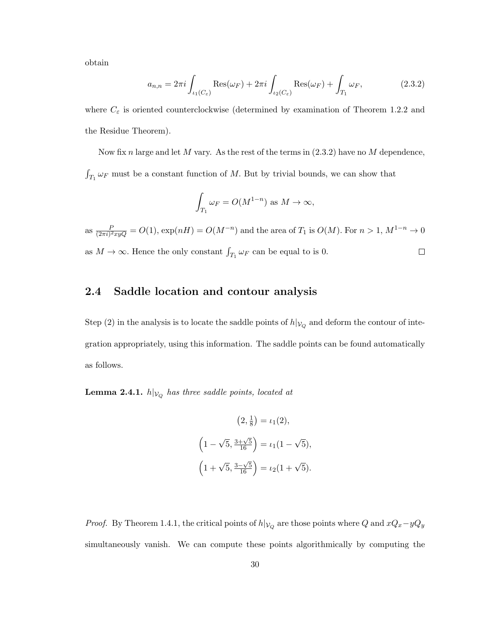obtain

$$
a_{n,n} = 2\pi i \int_{\iota_1(C_\varepsilon)} \text{Res}(\omega_F) + 2\pi i \int_{\iota_2(C_\varepsilon)} \text{Res}(\omega_F) + \int_{T_1} \omega_F,
$$
 (2.3.2)

where  $C_{\varepsilon}$  is oriented counterclockwise (determined by examination of Theorem 1.2.2 and the Residue Theorem).

Now fix n large and let M vary. As the rest of the terms in  $(2.3.2)$  have no M dependence,  $\int_{T_1} \omega_F$  must be a constant function of M. But by trivial bounds, we can show that

$$
\int_{T_1} \omega_F = O(M^{1-n}) \text{ as } M \to \infty,
$$

as  $\frac{P}{(2\pi i)^2 xyQ} = O(1)$ ,  $\exp(nH) = O(M^{-n})$  and the area of  $T_1$  is  $O(M)$ . For  $n > 1$ ,  $M^{1-n} \to 0$ as  $M \to \infty$ . Hence the only constant  $\int_{T_1} \omega_F$  can be equal to is 0.  $\Box$ 

## 2.4 Saddle location and contour analysis

Step (2) in the analysis is to locate the saddle points of  $h|_{V_Q}$  and deform the contour of integration appropriately, using this information. The saddle points can be found automatically as follows.

 $\textbf{Lemma 2.4.1.}~h|\mathcal{v}_Q$  has three saddle points, located at

$$
(2, \frac{1}{8}) = \iota_1(2),
$$
  

$$
(1 - \sqrt{5}, \frac{3 + \sqrt{5}}{16}) = \iota_1(1 - \sqrt{5}),
$$
  

$$
(1 + \sqrt{5}, \frac{3 - \sqrt{5}}{16}) = \iota_2(1 + \sqrt{5}).
$$

*Proof.* By Theorem 1.4.1, the critical points of  $h|_{\mathcal{V}_Q}$  are those points where Q and  $xQ_x - yQ_y$ simultaneously vanish. We can compute these points algorithmically by computing the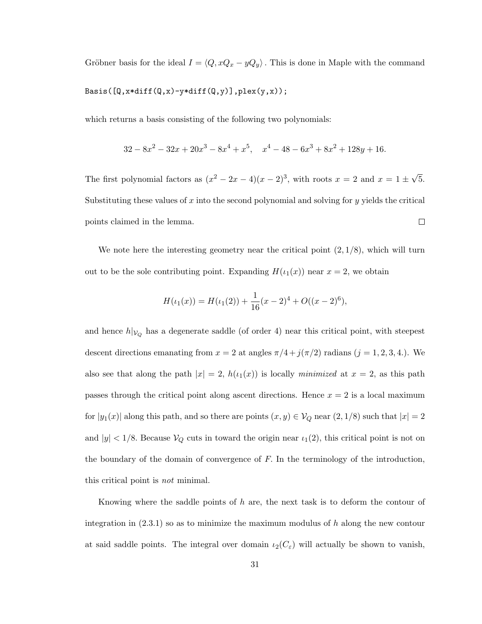Gröbner basis for the ideal  $I = \langle Q, xQ_x - yQ_y \rangle$ . This is done in Maple with the command  $\texttt{Basis}(\texttt{[Q, x*diff(Q, x) - y*diff(Q, y)]}, \texttt{plex}(y, x));$ 

which returns a basis consisting of the following two polynomials:

$$
32 - 8x^2 - 32x + 20x^3 - 8x^4 + x^5, \quad x^4 - 48 - 6x^3 + 8x^2 + 128y + 16.
$$

The first polynomial factors as  $(x^2 - 2x - 4)(x - 2)^3$ , with roots  $x = 2$  and  $x = 1 \pm \sqrt{5}$ . Substituting these values of x into the second polynomial and solving for y yields the critical points claimed in the lemma.  $\Box$ 

We note here the interesting geometry near the critical point  $(2, 1/8)$ , which will turn out to be the sole contributing point. Expanding  $H(\iota_1(x))$  near  $x = 2$ , we obtain

$$
H(\iota_1(x)) = H(\iota_1(2)) + \frac{1}{16}(x-2)^4 + O((x-2)^6),
$$

and hence  $h|_{V_Q}$  has a degenerate saddle (of order 4) near this critical point, with steepest descent directions emanating from  $x = 2$  at angles  $\pi/4 + j(\pi/2)$  radians  $(j = 1, 2, 3, 4)$ . We also see that along the path  $|x| = 2$ ,  $h(\iota_1(x))$  is locally *minimized* at  $x = 2$ , as this path passes through the critical point along ascent directions. Hence  $x = 2$  is a local maximum for  $|y_1(x)|$  along this path, and so there are points  $(x, y) \in V_Q$  near  $(2, 1/8)$  such that  $|x| = 2$ and  $|y| < 1/8$ . Because  $V_Q$  cuts in toward the origin near  $\iota_1(2)$ , this critical point is not on the boundary of the domain of convergence of  $F$ . In the terminology of the introduction, this critical point is *not* minimal.

Knowing where the saddle points of  $h$  are, the next task is to deform the contour of integration in  $(2.3.1)$  so as to minimize the maximum modulus of h along the new contour at said saddle points. The integral over domain  $\iota_2(C_{\varepsilon})$  will actually be shown to vanish,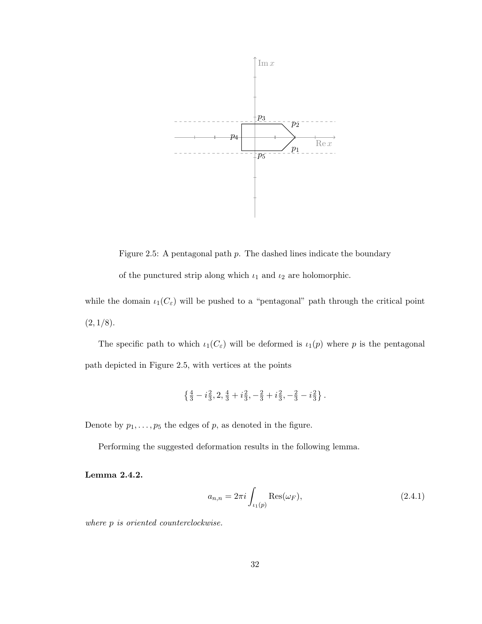

Figure 2.5: A pentagonal path p. The dashed lines indicate the boundary of the punctured strip along which  $\iota_1$  and  $\iota_2$  are holomorphic.

while the domain  $\iota_1(C_{\varepsilon})$  will be pushed to a "pentagonal" path through the critical point  $(2, 1/8).$ 

The specific path to which  $\iota_1(C_{\varepsilon})$  will be deformed is  $\iota_1(p)$  where p is the pentagonal path depicted in Figure 2.5, with vertices at the points

$$
\left\{\tfrac{4}{3}-i\tfrac{2}{3},2,\tfrac{4}{3}+i\tfrac{2}{3},-\tfrac{2}{3}+i\tfrac{2}{3},-\tfrac{2}{3}-i\tfrac{2}{3}\right\}.
$$

Denote by  $p_1, \ldots, p_5$  the edges of p, as denoted in the figure.

Performing the suggested deformation results in the following lemma.

Lemma 2.4.2.

$$
a_{n,n} = 2\pi i \int_{\iota_1(p)} \text{Res}(\omega_F),
$$
\n(2.4.1)

*where* p *is oriented counterclockwise.*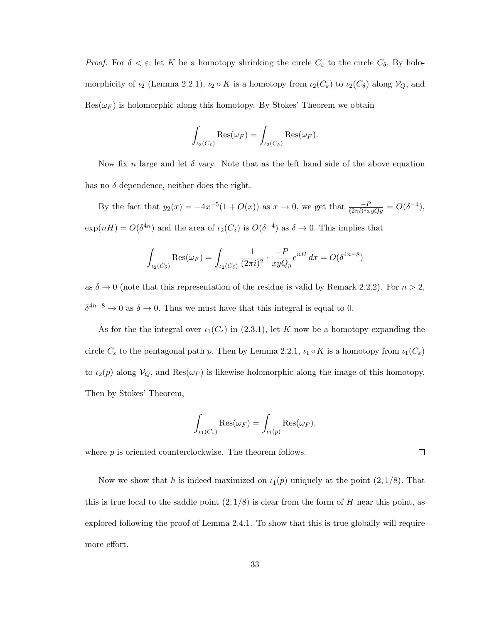*Proof.* For  $\delta < \varepsilon$ , let K be a homotopy shrinking the circle  $C_{\varepsilon}$  to the circle  $C_{\delta}$ . By holomorphicity of  $\iota_2$  (Lemma 2.2.1),  $\iota_2 \circ K$  is a homotopy from  $\iota_2(C_{\varepsilon})$  to  $\iota_2(C_{\delta})$  along  $\mathcal{V}_Q$ , and  $\text{Res}(\omega_F)$  is holomorphic along this homotopy. By Stokes' Theorem we obtain

$$
\int_{\iota_2(C_{\varepsilon})} \text{Res}(\omega_F) = \int_{\iota_2(C_{\delta})} \text{Res}(\omega_F).
$$

Now fix n large and let  $\delta$  vary. Note that as the left hand side of the above equation has no  $\delta$  dependence, neither does the right.

By the fact that  $y_2(x) = -4x^{-5}(1+O(x))$  as  $x \to 0$ , we get that  $\frac{-P}{(2\pi i)^2 xy Qy} = O(\delta^{-4}),$  $\exp(nH) = O(\delta^{4n})$  and the area of  $\iota_2(C_\delta)$  is  $O(\delta^{-4})$  as  $\delta \to 0$ . This implies that

$$
\int_{\iota_2(C_\delta)} \text{Res}(\omega_F) = \int_{\iota_2(C_\delta)} \frac{1}{(2\pi i)^2} \cdot \frac{-P}{xyQ_y} e^{nH} dx = O(\delta^{4n-8})
$$

as  $\delta \to 0$  (note that this representation of the residue is valid by Remark 2.2.2). For  $n > 2$ ,  $\delta^{4n-8} \to 0$  as  $\delta \to 0$ . Thus we must have that this integral is equal to 0.

As for the the integral over  $\iota_1(C_{\varepsilon})$  in (2.3.1), let K now be a homotopy expanding the circle  $C_{\varepsilon}$  to the pentagonal path p. Then by Lemma 2.2.1,  $\iota_1 \circ K$  is a homotopy from  $\iota_1(C_{\varepsilon})$ to  $\iota_2(p)$  along  $\mathcal{V}_Q$ , and  $\text{Res}(\omega_F)$  is likewise holomorphic along the image of this homotopy. Then by Stokes' Theorem,

$$
\int_{\iota_1(C_{\varepsilon})} \text{Res}(\omega_F) = \int_{\iota_1(p)} \text{Res}(\omega_F),
$$

 $\Box$ 

where  $p$  is oriented counterclockwise. The theorem follows.

Now we show that h is indeed maximized on  $\iota_1(p)$  uniquely at the point  $(2, 1/8)$ . That this is true local to the saddle point  $(2, 1/8)$  is clear from the form of H near this point, as explored following the proof of Lemma 2.4.1. To show that this is true globally will require more effort.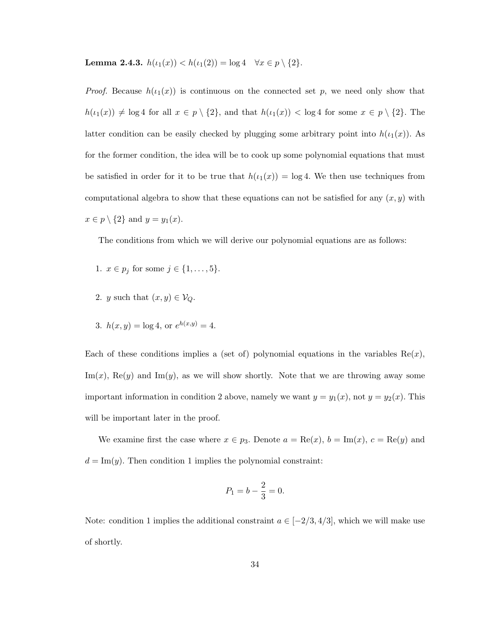Lemma 2.4.3.  $h(\iota_1(x)) < h(\iota_1(2)) = \log 4 \quad \forall x \in p \setminus \{2\}.$ 

*Proof.* Because  $h(\iota_1(x))$  is continuous on the connected set p, we need only show that  $h(\iota_1(x)) \neq \log 4$  for all  $x \in p \setminus \{2\}$ , and that  $h(\iota_1(x)) < \log 4$  for some  $x \in p \setminus \{2\}$ . The latter condition can be easily checked by plugging some arbitrary point into  $h(\iota_1(x))$ . As for the former condition, the idea will be to cook up some polynomial equations that must be satisfied in order for it to be true that  $h(\iota_1(x)) = \log 4$ . We then use techniques from computational algebra to show that these equations can not be satisfied for any  $(x, y)$  with  $x \in p \setminus \{2\}$  and  $y = y_1(x)$ .

The conditions from which we will derive our polynomial equations are as follows:

- 1.  $x \in p_j$  for some  $j \in \{1, ..., 5\}$ .
- 2. y such that  $(x, y) \in V_Q$ .
- 3.  $h(x, y) = \log 4$ , or  $e^{h(x, y)} = 4$ .

Each of these conditions implies a (set of) polynomial equations in the variables  $\text{Re}(x)$ ,  $\text{Im}(x)$ , Re(y) and  $\text{Im}(y)$ , as we will show shortly. Note that we are throwing away some important information in condition 2 above, namely we want  $y = y_1(x)$ , not  $y = y_2(x)$ . This will be important later in the proof.

We examine first the case where  $x \in p_3$ . Denote  $a = \text{Re}(x)$ ,  $b = \text{Im}(x)$ ,  $c = \text{Re}(y)$  and  $d = \text{Im}(y)$ . Then condition 1 implies the polynomial constraint:

$$
P_1 = b - \frac{2}{3} = 0.
$$

Note: condition 1 implies the additional constraint  $a \in [-2/3, 4/3]$ , which we will make use of shortly.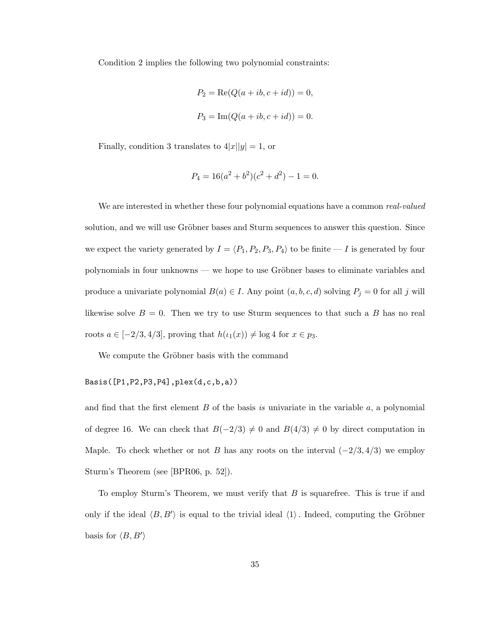Condition 2 implies the following two polynomial constraints:

$$
P_2 = \text{Re}(Q(a + ib, c + id)) = 0,
$$
  

$$
P_3 = \text{Im}(Q(a + ib, c + id)) = 0.
$$

Finally, condition 3 translates to  $4|x||y|=1,$  or

$$
P_4 = 16(a^2 + b^2)(c^2 + d^2) - 1 = 0.
$$

We are interested in whether these four polynomial equations have a common *real-valued* solution, and we will use Gröbner bases and Sturm sequences to answer this question. Since we expect the variety generated by  $I = \langle P_1, P_2, P_3, P_4 \rangle$  to be finite — I is generated by four polynomials in four unknowns — we hope to use Gröbner bases to eliminate variables and produce a univariate polynomial  $B(a) \in I$ . Any point  $(a, b, c, d)$  solving  $P_j = 0$  for all j will likewise solve  $B = 0$ . Then we try to use Sturm sequences to that such a B has no real roots  $a \in [-2/3, 4/3]$ , proving that  $h(\iota_1(x)) \neq \log 4$  for  $x \in p_3$ .

We compute the Gröbner basis with the command

## Basis([P1,P2,P3,P4],plex(d,c,b,a))

and find that the first element B of the basis *is* univariate in the variable a, a polynomial of degree 16. We can check that  $B(-2/3) \neq 0$  and  $B(4/3) \neq 0$  by direct computation in Maple. To check whether or not B has any roots on the interval  $(-2/3, 4/3)$  we employ Sturm's Theorem (see [BPR06, p. 52]).

To employ Sturm's Theorem, we must verify that  $B$  is squarefree. This is true if and only if the ideal  $\langle B, B' \rangle$  is equal to the trivial ideal  $\langle 1 \rangle$ . Indeed, computing the Gröbner basis for  $\langle B, B' \rangle$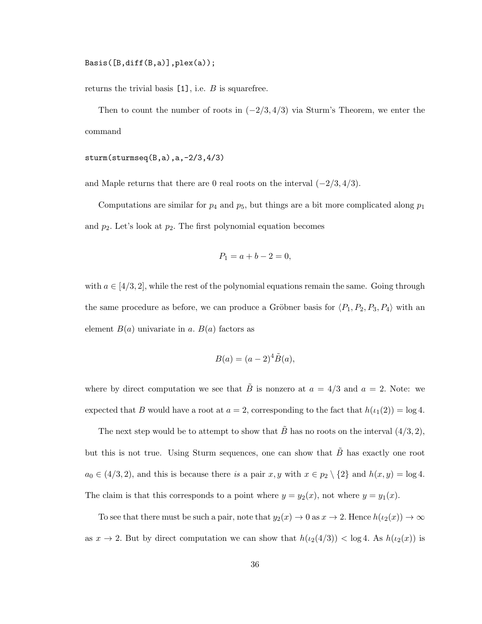Basis([B,diff(B,a)],plex(a));

returns the trivial basis  $[1]$ , i.e. B is squarefree.

Then to count the number of roots in  $(-2/3, 4/3)$  via Sturm's Theorem, we enter the command

sturm(sturmseq(B,a),a,-2/3,4/3)

and Maple returns that there are 0 real roots on the interval  $(-2/3, 4/3)$ .

Computations are similar for  $p_4$  and  $p_5$ , but things are a bit more complicated along  $p_1$ and  $p_2$ . Let's look at  $p_2$ . The first polynomial equation becomes

$$
P_1 = a + b - 2 = 0,
$$

with  $a \in [4/3, 2]$ , while the rest of the polynomial equations remain the same. Going through the same procedure as before, we can produce a Gröbner basis for  $\langle P_1, P_2, P_3, P_4 \rangle$  with an element  $B(a)$  univariate in a.  $B(a)$  factors as

$$
B(a) = (a-2)^4 \tilde{B}(a),
$$

where by direct computation we see that  $\tilde{B}$  is nonzero at  $a = 4/3$  and  $a = 2$ . Note: we expected that B would have a root at  $a = 2$ , corresponding to the fact that  $h(\iota_1(2)) = \log 4$ .

The next step would be to attempt to show that  $\tilde{B}$  has no roots on the interval  $(4/3, 2)$ , but this is not true. Using Sturm sequences, one can show that  $\tilde{B}$  has exactly one root  $a_0 \in (4/3, 2)$ , and this is because there *is* a pair  $x, y$  with  $x \in p_2 \setminus \{2\}$  and  $h(x, y) = \log 4$ . The claim is that this corresponds to a point where  $y = y_2(x)$ , not where  $y = y_1(x)$ .

To see that there must be such a pair, note that  $y_2(x) \to 0$  as  $x \to 2$ . Hence  $h(\iota_2(x)) \to \infty$ as  $x \to 2$ . But by direct computation we can show that  $h(\iota_2(4/3)) < \log 4$ . As  $h(\iota_2(x))$  is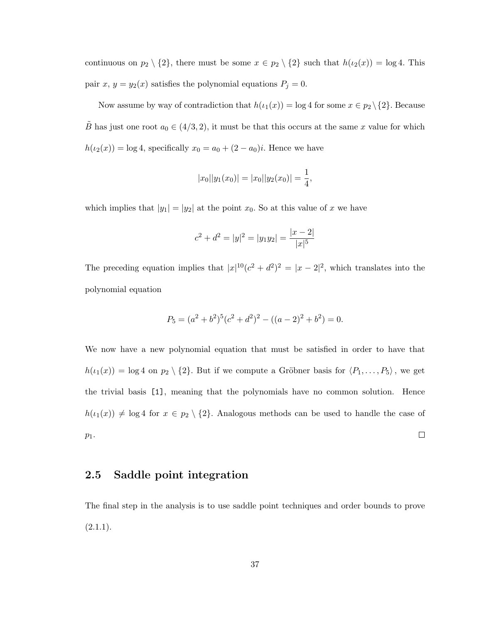continuous on  $p_2 \setminus \{2\}$ , there must be some  $x \in p_2 \setminus \{2\}$  such that  $h(\iota_2(x)) = \log 4$ . This pair x,  $y = y_2(x)$  satisfies the polynomial equations  $P_j = 0$ .

Now assume by way of contradiction that  $h(\iota_1(x)) = \log 4$  for some  $x \in p_2 \setminus \{2\}$ . Because  $\tilde{B}$  has just one root  $a_0 \in (4/3, 2)$ , it must be that this occurs at the same x value for which  $h(\iota_2(x)) = \log 4$ , specifically  $x_0 = a_0 + (2 - a_0)i$ . Hence we have

$$
|x_0||y_1(x_0)| = |x_0||y_2(x_0)| = \frac{1}{4},
$$

which implies that  $|y_1| = |y_2|$  at the point  $x_0$ . So at this value of x we have

$$
c^{2} + d^{2} = |y|^{2} = |y_{1}y_{2}| = \frac{|x - 2|}{|x|^{5}}
$$

The preceding equation implies that  $|x|^{10}(c^2 + d^2)^2 = |x - 2|^2$ , which translates into the polynomial equation

$$
P_5 = (a^2 + b^2)^5 (c^2 + d^2)^2 - ((a - 2)^2 + b^2) = 0.
$$

We now have a new polynomial equation that must be satisfied in order to have that  $h(\iota_1(x)) = \log 4$  on  $p_2 \setminus \{2\}$ . But if we compute a Gröbner basis for  $\langle P_1, \ldots, P_5 \rangle$ , we get the trivial basis [1], meaning that the polynomials have no common solution. Hence  $h(\iota_1(x)) \neq \log 4$  for  $x \in p_2 \setminus \{2\}$ . Analogous methods can be used to handle the case of  $\Box$  $p_1$ .

## 2.5 Saddle point integration

The final step in the analysis is to use saddle point techniques and order bounds to prove  $(2.1.1).$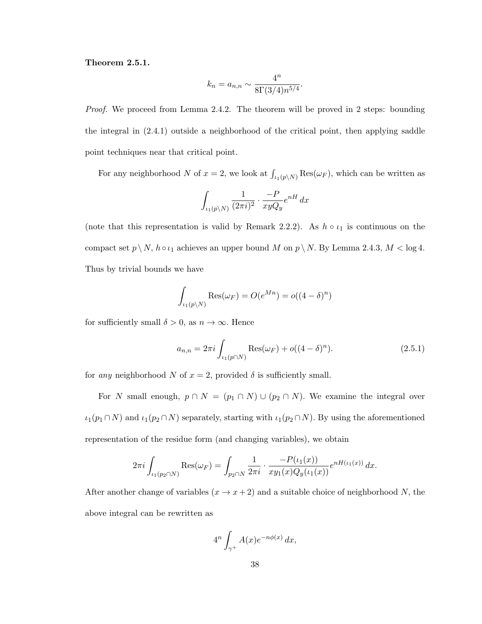#### Theorem 2.5.1.

$$
k_n = a_{n,n} \sim \frac{4^n}{8\Gamma(3/4)n^{5/4}}.
$$

*Proof.* We proceed from Lemma 2.4.2. The theorem will be proved in 2 steps: bounding the integral in (2.4.1) outside a neighborhood of the critical point, then applying saddle point techniques near that critical point.

For any neighborhood N of  $x = 2$ , we look at  $\int_{\iota_1(p\setminus N)} \text{Res}(\omega_F)$ , which can be written as

$$
\int_{\iota_1(p\backslash N)} \frac{1}{(2\pi i)^2} \cdot \frac{-P}{xyQ_y} e^{nH} dx
$$

(note that this representation is valid by Remark 2.2.2). As  $h \circ \iota_1$  is continuous on the compact set  $p \setminus N$ ,  $h \circ \iota_1$  achieves an upper bound M on  $p \setminus N$ . By Lemma 2.4.3,  $M < \log 4$ . Thus by trivial bounds we have

$$
\int_{\iota_1(p\setminus N)} \text{Res}(\omega_F) = O(e^{Mn}) = o((4-\delta)^n)
$$

for sufficiently small  $\delta > 0$ , as  $n \to \infty$ . Hence

$$
a_{n,n} = 2\pi i \int_{\iota_1(p \cap N)} \text{Res}(\omega_F) + o((4 - \delta)^n). \tag{2.5.1}
$$

for *any* neighborhood N of  $x = 2$ , provided  $\delta$  is sufficiently small.

For N small enough,  $p \cap N = (p_1 \cap N) \cup (p_2 \cap N)$ . We examine the integral over  $\iota_1(p_1 \cap N)$  and  $\iota_1(p_2 \cap N)$  separately, starting with  $\iota_1(p_2 \cap N)$ . By using the aforementioned representation of the residue form (and changing variables), we obtain

$$
2\pi i \int_{\iota_1(p_2 \cap N)} \text{Res}(\omega_F) = \int_{p_2 \cap N} \frac{1}{2\pi i} \cdot \frac{-P(\iota_1(x))}{xy_1(x)Q_y(\iota_1(x))} e^{nH(\iota_1(x))} dx.
$$

After another change of variables  $(x \to x + 2)$  and a suitable choice of neighborhood N, the above integral can be rewritten as

$$
4^n \int_{\gamma^+} A(x) e^{-n\phi(x)} dx,
$$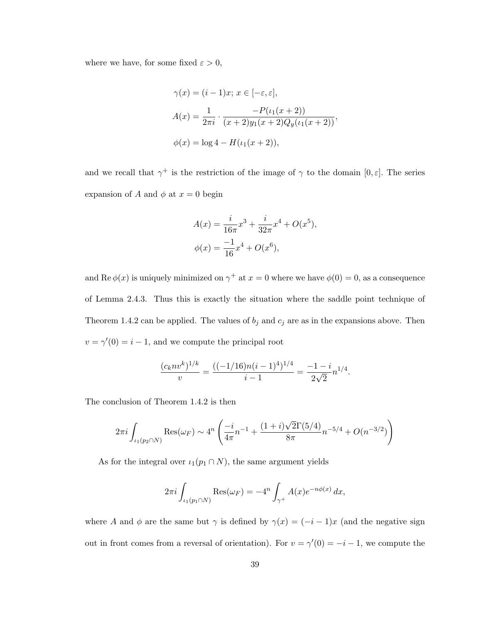where we have, for some fixed  $\varepsilon > 0$ ,

$$
\gamma(x) = (i - 1)x; \ x \in [-\varepsilon, \varepsilon],
$$

$$
A(x) = \frac{1}{2\pi i} \cdot \frac{-P(\iota_1(x+2))}{(x+2)y_1(x+2)Q_y(\iota_1(x+2))},
$$

$$
\phi(x) = \log 4 - H(\iota_1(x+2)),
$$

and we recall that  $\gamma^+$  is the restriction of the image of  $\gamma$  to the domain  $[0, \varepsilon]$ . The series expansion of A and  $\phi$  at  $x = 0$  begin

$$
A(x) = \frac{i}{16\pi}x^3 + \frac{i}{32\pi}x^4 + O(x^5),
$$
  

$$
\phi(x) = \frac{-1}{16}x^4 + O(x^6),
$$

and Re  $\phi(x)$  is uniquely minimized on  $\gamma^+$  at  $x=0$  where we have  $\phi(0)=0$ , as a consequence of Lemma 2.4.3. Thus this is exactly the situation where the saddle point technique of Theorem 1.4.2 can be applied. The values of  $b_j$  and  $c_j$  are as in the expansions above. Then  $v = \gamma'(0) = i - 1$ , and we compute the principal root

$$
\frac{(c_k n v^k)^{1/k}}{v} = \frac{((-1/16)n(i-1)^4)^{1/4}}{i-1} = \frac{-1-i}{2\sqrt{2}} n^{1/4}.
$$

The conclusion of Theorem 1.4.2 is then

$$
2\pi i \int_{\iota_1(p_2 \cap N)} \text{Res}(\omega_F) \sim 4^n \left( \frac{-i}{4\pi} n^{-1} + \frac{(1+i)\sqrt{2}\Gamma(5/4)}{8\pi} n^{-5/4} + O(n^{-3/2}) \right)
$$

As for the integral over  $\iota_1(p_1 \cap N)$ , the same argument yields

$$
2\pi i \int_{\iota_1(p_1 \cap N)} \text{Res}(\omega_F) = -4^n \int_{\gamma^+} A(x) e^{-n\phi(x)} dx,
$$

where A and  $\phi$  are the same but  $\gamma$  is defined by  $\gamma(x) = (-i - 1)x$  (and the negative sign out in front comes from a reversal of orientation). For  $v = \gamma'(0) = -i - 1$ , we compute the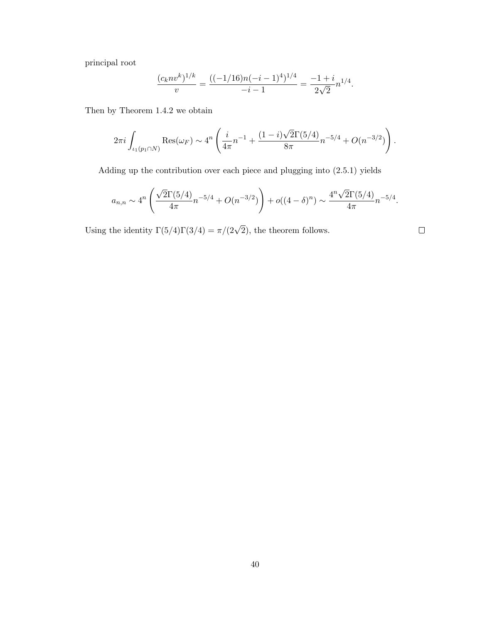principal root

$$
\frac{(c_k n v^k)^{1/k}}{v} = \frac{((-1/16)n(-i-1)^4)^{1/4}}{-i-1} = \frac{-1+i}{2\sqrt{2}} n^{1/4}.
$$

Then by Theorem 1.4.2 we obtain

$$
2\pi i \int_{\iota_1(p_1 \cap N)} \text{Res}(\omega_F) \sim 4^n \left( \frac{i}{4\pi} n^{-1} + \frac{(1-i)\sqrt{2}\Gamma(5/4)}{8\pi} n^{-5/4} + O(n^{-3/2}) \right).
$$

Adding up the contribution over each piece and plugging into (2.5.1) yields

$$
a_{n,n} \sim 4^n \left( \frac{\sqrt{2}\Gamma(5/4)}{4\pi} n^{-5/4} + O(n^{-3/2}) \right) + o((4-\delta)^n) \sim \frac{4^n \sqrt{2}\Gamma(5/4)}{4\pi} n^{-5/4}.
$$

 $\hfill \square$ 

Using the identity  $\Gamma(5/4)\Gamma(3/4) = \pi/(2\sqrt{2})$ , the theorem follows.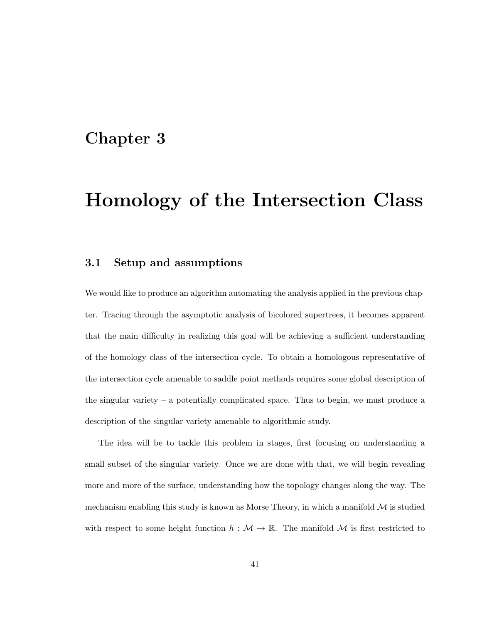## Chapter 3

# Homology of the Intersection Class

## 3.1 Setup and assumptions

We would like to produce an algorithm automating the analysis applied in the previous chapter. Tracing through the asymptotic analysis of bicolored supertrees, it becomes apparent that the main difficulty in realizing this goal will be achieving a sufficient understanding of the homology class of the intersection cycle. To obtain a homologous representative of the intersection cycle amenable to saddle point methods requires some global description of the singular variety – a potentially complicated space. Thus to begin, we must produce a description of the singular variety amenable to algorithmic study.

The idea will be to tackle this problem in stages, first focusing on understanding a small subset of the singular variety. Once we are done with that, we will begin revealing more and more of the surface, understanding how the topology changes along the way. The mechanism enabling this study is known as Morse Theory, in which a manifold  $\mathcal M$  is studied with respect to some height function  $h : \mathcal{M} \to \mathbb{R}$ . The manifold  $\mathcal M$  is first restricted to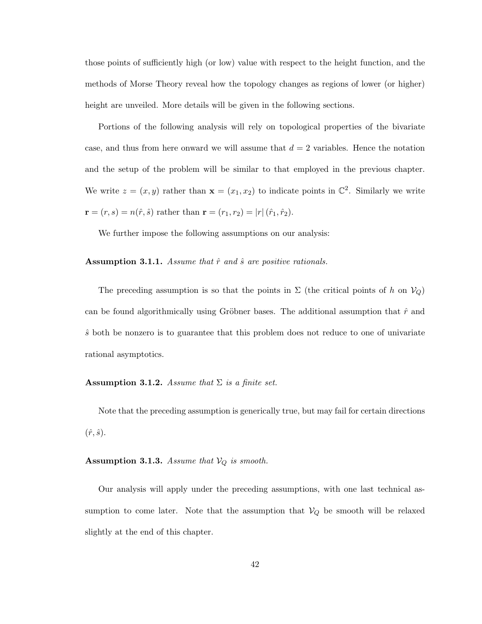those points of sufficiently high (or low) value with respect to the height function, and the methods of Morse Theory reveal how the topology changes as regions of lower (or higher) height are unveiled. More details will be given in the following sections.

Portions of the following analysis will rely on topological properties of the bivariate case, and thus from here onward we will assume that  $d = 2$  variables. Hence the notation and the setup of the problem will be similar to that employed in the previous chapter. We write  $z = (x, y)$  rather than  $\mathbf{x} = (x_1, x_2)$  to indicate points in  $\mathbb{C}^2$ . Similarly we write  $\mathbf{r} = (r, s) = n(\hat{r}, \hat{s})$  rather than  $\mathbf{r} = (r_1, r_2) = |r|(\hat{r}_1, \hat{r}_2)$ .

We further impose the following assumptions on our analysis:

Assumption 3.1.1. *Assume that*  $\hat{r}$  *and*  $\hat{s}$  *are positive rationals.* 

The preceding assumption is so that the points in  $\Sigma$  (the critical points of h on  $V_Q$ ) can be found algorithmically using Gröbner bases. The additional assumption that  $\hat{r}$  and  $\hat{s}$  both be nonzero is to guarantee that this problem does not reduce to one of univariate rational asymptotics.

#### **Assumption 3.1.2.** *Assume that*  $\Sigma$  *is a finite set.*

Note that the preceding assumption is generically true, but may fail for certain directions  $(\hat{r}, \hat{s})$ .

## **Assumption 3.1.3.** *Assume that*  $V_Q$  *is smooth.*

Our analysis will apply under the preceding assumptions, with one last technical assumption to come later. Note that the assumption that  $V_Q$  be smooth will be relaxed slightly at the end of this chapter.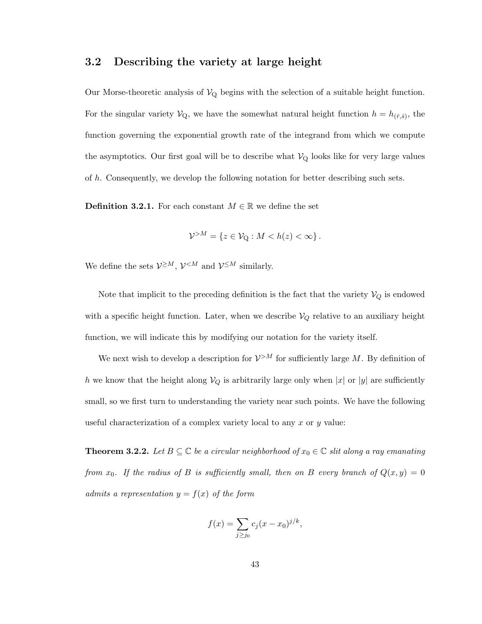## 3.2 Describing the variety at large height

Our Morse-theoretic analysis of  $V_Q$  begins with the selection of a suitable height function. For the singular variety  $\mathcal{V}_{Q}$ , we have the somewhat natural height function  $h = h_{(\hat{r},\hat{s})}$ , the function governing the exponential growth rate of the integrand from which we compute the asymptotics. Our first goal will be to describe what  $V_{\rm Q}$  looks like for very large values of h. Consequently, we develop the following notation for better describing such sets.

**Definition 3.2.1.** For each constant  $M \in \mathbb{R}$  we define the set

$$
\mathcal{V}^{>M} = \{ z \in \mathcal{V}_{Q} : M < h(z) < \infty \} \, .
$$

We define the sets  $\mathcal{V}^{\geq M}$ ,  $\mathcal{V}^{< M}$  and  $\mathcal{V}^{\leq M}$  similarly.

Note that implicit to the preceding definition is the fact that the variety  $\mathcal{V}_Q$  is endowed with a specific height function. Later, when we describe  $V_Q$  relative to an auxiliary height function, we will indicate this by modifying our notation for the variety itself.

We next wish to develop a description for  $\mathcal{V}^{>M}$  for sufficiently large M. By definition of h we know that the height along  $V_Q$  is arbitrarily large only when |x| or |y| are sufficiently small, so we first turn to understanding the variety near such points. We have the following useful characterization of a complex variety local to any  $x$  or  $y$  value:

**Theorem 3.2.2.** Let  $B \subseteq \mathbb{C}$  be a circular neighborhood of  $x_0 \in \mathbb{C}$  slit along a ray emanating *from*  $x_0$ . If the radius of B is sufficiently small, then on B every branch of  $Q(x, y) = 0$ *admits a representation*  $y = f(x)$  *of the form* 

$$
f(x) = \sum_{j \ge j_0} c_j (x - x_0)^{j/k},
$$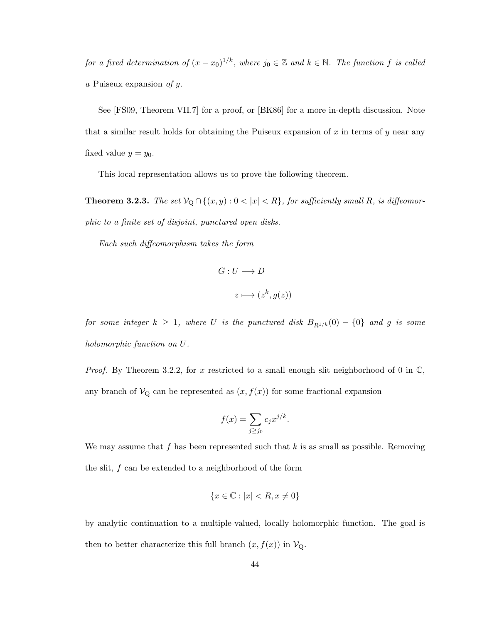*for a fixed determination of*  $(x - x_0)^{1/k}$ *, where*  $j_0 \in \mathbb{Z}$  *and*  $k \in \mathbb{N}$ *. The function* f *is called a* Puiseux expansion *of* y*.*

See [FS09, Theorem VII.7] for a proof, or [BK86] for a more in-depth discussion. Note that a similar result holds for obtaining the Puiseux expansion of  $x$  in terms of  $y$  near any fixed value  $y = y_0$ .

This local representation allows us to prove the following theorem.

**Theorem 3.2.3.** *The set*  $V_Q \cap \{(x, y) : 0 < |x| < R\}$ , for sufficiently small R, is diffeomor*phic to a finite set of disjoint, punctured open disks.*

*Each such diffeomorphism takes the form*

$$
G: U \longrightarrow D
$$

$$
z \longmapsto (z^k, g(z))
$$

*for some integer*  $k \geq 1$ *, where* U *is the punctured disk*  $B_{R^{1/k}}(0) - \{0\}$  *and* g *is some holomorphic function on* U*.*

*Proof.* By Theorem 3.2.2, for x restricted to a small enough slit neighborhood of 0 in  $\mathbb{C}$ , any branch of  $V_Q$  can be represented as  $(x, f(x))$  for some fractional expansion

$$
f(x) = \sum_{j \ge j_0} c_j x^{j/k}.
$$

We may assume that f has been represented such that  $k$  is as small as possible. Removing the slit,  $f$  can be extended to a neighborhood of the form

$$
\{x \in \mathbb{C} : |x| < R, x \neq 0\}
$$

by analytic continuation to a multiple-valued, locally holomorphic function. The goal is then to better characterize this full branch  $(x, f(x))$  in  $\mathcal{V}_{Q}$ .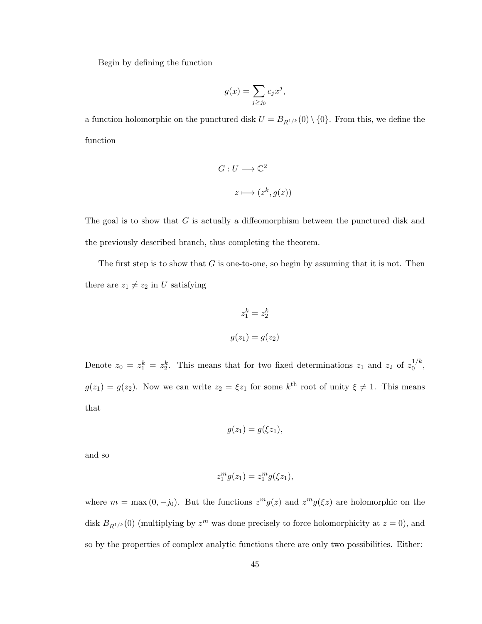Begin by defining the function

$$
g(x) = \sum_{j \ge j_0} c_j x^j,
$$

a function holomorphic on the punctured disk  $U = B_{R^{1/k}}(0) \setminus \{0\}$ . From this, we define the function

$$
G: U \longrightarrow \mathbb{C}^2
$$

$$
z \longmapsto (z^k, g(z))
$$

The goal is to show that G is actually a diffeomorphism between the punctured disk and the previously described branch, thus completing the theorem.

The first step is to show that  $G$  is one-to-one, so begin by assuming that it is not. Then there are  $z_1 \neq z_2$  in U satisfying

$$
z_1^k = z_2^k
$$

$$
g(z_1) = g(z_2)
$$

Denote  $z_0 = z_1^k = z_2^k$ . This means that for two fixed determinations  $z_1$  and  $z_2$  of  $z_0^{1/k}$  $\frac{1}{0}$ ,  $g(z_1) = g(z_2)$ . Now we can write  $z_2 = \xi z_1$  for some  $k^{\text{th}}$  root of unity  $\xi \neq 1$ . This means that

$$
g(z_1)=g(\xi z_1),
$$

and so

$$
z_1^m g(z_1) = z_1^m g(\xi z_1),
$$

where  $m = \max(0, -j_0)$ . But the functions  $z^m g(z)$  and  $z^m g(\xi z)$  are holomorphic on the disk  $B_{R^{1/k}}(0)$  (multiplying by  $z^m$  was done precisely to force holomorphicity at  $z = 0$ ), and so by the properties of complex analytic functions there are only two possibilities. Either: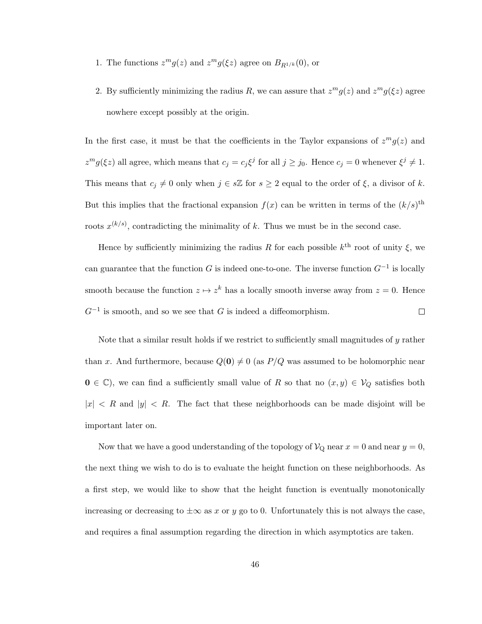- 1. The functions  $z^m g(z)$  and  $z^m g(\xi z)$  agree on  $B_{R^{1/k}}(0)$ , or
- 2. By sufficiently minimizing the radius R, we can assure that  $z^m g(z)$  and  $z^m g(\xi z)$  agree nowhere except possibly at the origin.

In the first case, it must be that the coefficients in the Taylor expansions of  $z^m g(z)$  and  $z^{m}g(\xi z)$  all agree, which means that  $c_{j} = c_{j}\xi^{j}$  for all  $j \ge j_{0}$ . Hence  $c_{j} = 0$  whenever  $\xi^{j} \neq 1$ . This means that  $c_j \neq 0$  only when  $j \in s\mathbb{Z}$  for  $s \geq 2$  equal to the order of  $\xi$ , a divisor of k. But this implies that the fractional expansion  $f(x)$  can be written in terms of the  $(k/s)$ <sup>th</sup> roots  $x^{(k/s)}$ , contradicting the minimality of k. Thus we must be in the second case.

Hence by sufficiently minimizing the radius R for each possible  $k^{\text{th}}$  root of unity  $\xi$ , we can guarantee that the function G is indeed one-to-one. The inverse function  $G^{-1}$  is locally smooth because the function  $z \mapsto z^k$  has a locally smooth inverse away from  $z = 0$ . Hence  $G^{-1}$  is smooth, and so we see that G is indeed a diffeomorphism.  $\Box$ 

Note that a similar result holds if we restrict to sufficiently small magnitudes of y rather than x. And furthermore, because  $Q(0) \neq 0$  (as  $P/Q$  was assumed to be holomorphic near  $0 \in \mathbb{C}$ , we can find a sufficiently small value of R so that no  $(x, y) \in V_Q$  satisfies both  $|x|$  < R and  $|y|$  < R. The fact that these neighborhoods can be made disjoint will be important later on.

Now that we have a good understanding of the topology of  $\mathcal{V}_{Q}$  near  $x = 0$  and near  $y = 0$ , the next thing we wish to do is to evaluate the height function on these neighborhoods. As a first step, we would like to show that the height function is eventually monotonically increasing or decreasing to  $\pm \infty$  as x or y go to 0. Unfortunately this is not always the case, and requires a final assumption regarding the direction in which asymptotics are taken.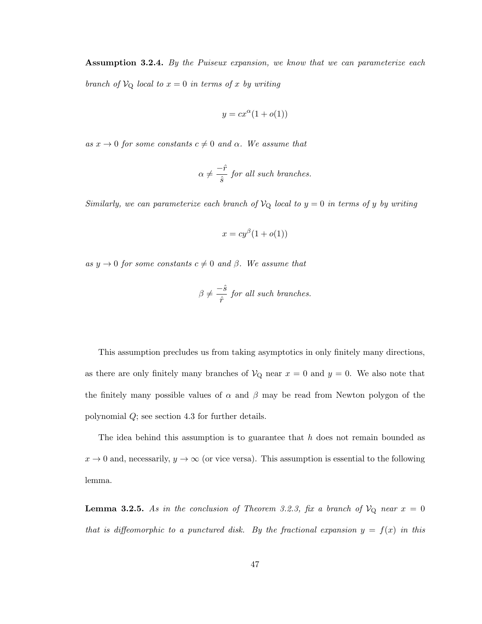Assumption 3.2.4. *By the Puiseux expansion, we know that we can parameterize each branch of*  $V_Q$  *local to*  $x = 0$  *in terms of* x *by writing* 

$$
y = cx^{\alpha}(1 + o(1))
$$

 $as x \to 0$  *for some constants*  $c \neq 0$  *and*  $\alpha$ *. We assume that* 

$$
\alpha \neq \frac{-\hat{r}}{\hat{s}} \text{ for all such branches.}
$$

*Similarly, we can parameterize each branch of*  $V_Q$  *local to*  $y = 0$  *in terms of* y *by writing* 

$$
x = cy^{\beta}(1 + o(1))
$$

 $as y \rightarrow 0$  *for some constants*  $c \neq 0$  *and*  $\beta$ *. We assume that* 

$$
\beta \neq \frac{-\hat{s}}{\hat{r}} \text{ for all such branches.}
$$

This assumption precludes us from taking asymptotics in only finitely many directions, as there are only finitely many branches of  $V_Q$  near  $x = 0$  and  $y = 0$ . We also note that the finitely many possible values of  $\alpha$  and  $\beta$  may be read from Newton polygon of the polynomial Q; see section 4.3 for further details.

The idea behind this assumption is to guarantee that  $h$  does not remain bounded as  $x \to 0$  and, necessarily,  $y \to \infty$  (or vice versa). This assumption is essential to the following lemma.

**Lemma 3.2.5.** As in the conclusion of Theorem 3.2.3, fix a branch of  $V_Q$  near  $x = 0$ *that is diffeomorphic to a punctured disk. By the fractional expansion*  $y = f(x)$  *in this*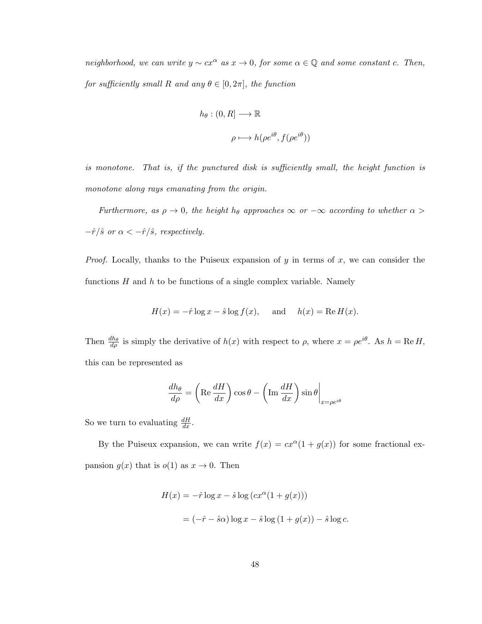*neighborhood, we can write*  $y \sim cx^{\alpha}$  *as*  $x \to 0$ *, for some*  $\alpha \in \mathbb{Q}$  *and some constant c. Then, for sufficiently small*  $R$  *and any*  $\theta \in [0, 2\pi]$ *, the function* 

$$
h_{\theta} : (0, R] \longrightarrow \mathbb{R}
$$
  

$$
\rho \longmapsto h(\rho e^{i\theta}, f(\rho e^{i\theta}))
$$

*is monotone. That is, if the punctured disk is sufficiently small, the height function is monotone along rays emanating from the origin.*

*Furthermore, as*  $\rho \rightarrow 0$ *, the height*  $h_{\theta}$  *approaches*  $\infty$  *or*  $-\infty$  *according to whether*  $\alpha$  >  $-\hat{r}/\hat{s}$  or  $\alpha < -\hat{r}/\hat{s}$ , respectively.

*Proof.* Locally, thanks to the Puiseux expansion of y in terms of x, we can consider the functions  $H$  and  $h$  to be functions of a single complex variable. Namely

$$
H(x) = -\hat{r} \log x - \hat{s} \log f(x), \quad \text{and} \quad h(x) = \text{Re}\,H(x).
$$

Then  $\frac{dh_{\theta}}{d\rho}$  is simply the derivative of  $h(x)$  with respect to  $\rho$ , where  $x = \rho e^{i\theta}$ . As  $h = \text{Re } H$ , this can be represented as

$$
\frac{dh_{\theta}}{d\rho} = \left(\text{Re}\,\frac{dH}{dx}\right)\cos\theta - \left(\text{Im}\,\frac{dH}{dx}\right)\sin\theta\bigg|_{x=\rho e^{i\theta}}
$$

So we turn to evaluating  $\frac{dH}{dx}$ .

By the Puiseux expansion, we can write  $f(x) = cx^{\alpha}(1 + g(x))$  for some fractional expansion  $g(x)$  that is  $o(1)$  as  $x \to 0$ . Then

$$
H(x) = -\hat{r} \log x - \hat{s} \log (cx^{\alpha}(1 + g(x)))
$$

$$
= (-\hat{r} - \hat{s}\alpha) \log x - \hat{s} \log (1 + g(x)) - \hat{s} \log c.
$$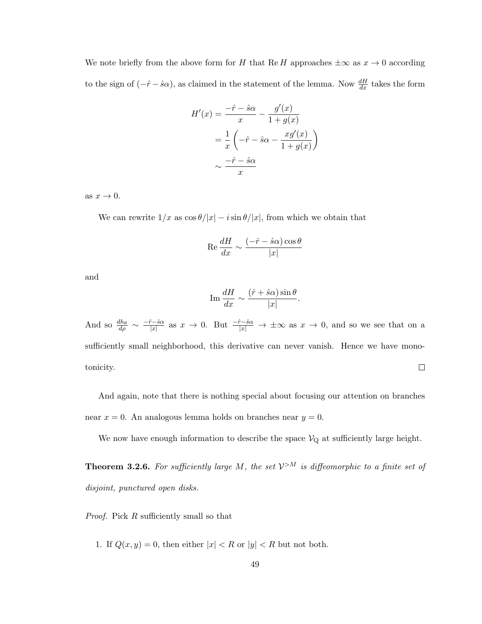We note briefly from the above form for H that Re H approaches  $\pm \infty$  as  $x \to 0$  according to the sign of  $(-\hat{r}-\hat{s}\alpha)$ , as claimed in the statement of the lemma. Now  $\frac{dH}{dx}$  takes the form

$$
H'(x) = \frac{-\hat{r} - \hat{s}\alpha}{x} - \frac{g'(x)}{1 + g(x)}
$$

$$
= \frac{1}{x} \left( -\hat{r} - \hat{s}\alpha - \frac{xg'(x)}{1 + g(x)} \right)
$$

$$
\sim \frac{-\hat{r} - \hat{s}\alpha}{x}
$$

as  $x \to 0$ .

We can rewrite  $1/x$  as  $\cos \theta/|x| - i \sin \theta/|x|$ , from which we obtain that

$$
\operatorname{Re}\frac{dH}{dx} \sim \frac{(-\hat{r} - \hat{s}\alpha)\cos\theta}{|x|}
$$

and

$$
\operatorname{Im} \frac{dH}{dx} \sim \frac{(\hat{r} + \hat{s}\alpha)\sin\theta}{|x|}.
$$

And so  $\frac{dh_{\theta}}{d\rho} \sim \frac{-\hat{r}-\hat{s}\alpha}{|x|}$  $\frac{\partial^2 - \hat{s}\alpha}{|x|}$  as  $x \to 0$ . But  $\frac{-\hat{r}-\hat{s}\alpha}{|x|} \to \pm \infty$  as  $x \to 0$ , and so we see that on a sufficiently small neighborhood, this derivative can never vanish. Hence we have monotonicity.  $\Box$ 

And again, note that there is nothing special about focusing our attention on branches near  $x = 0$ . An analogous lemma holds on branches near  $y = 0$ .

We now have enough information to describe the space  $V_{Q}$  at sufficiently large height.

**Theorem 3.2.6.** For sufficiently large M, the set  $\mathcal{V}^{>M}$  is diffeomorphic to a finite set of *disjoint, punctured open disks.*

*Proof.* Pick R sufficiently small so that

1. If  $Q(x, y) = 0$ , then either  $|x| < R$  or  $|y| < R$  but not both.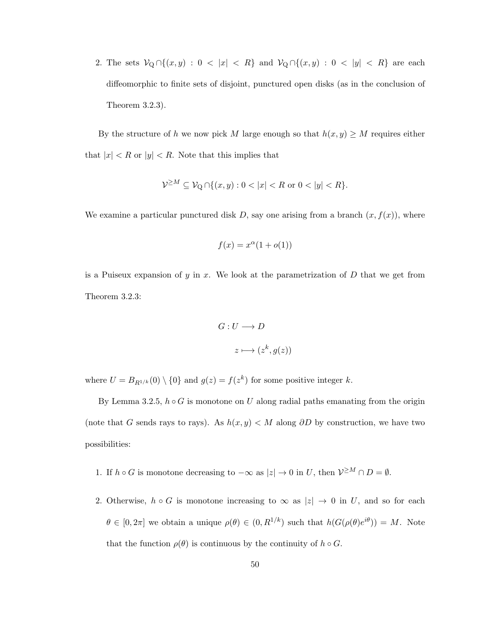2. The sets  $\mathcal{V}_{\mathbb{Q}} \cap \{(x, y) : 0 < |x| < R\}$  and  $\mathcal{V}_{\mathbb{Q}} \cap \{(x, y) : 0 < |y| < R\}$  are each diffeomorphic to finite sets of disjoint, punctured open disks (as in the conclusion of Theorem 3.2.3).

By the structure of h we now pick M large enough so that  $h(x, y) \geq M$  requires either that  $|x| < R$  or  $|y| < R$ . Note that this implies that

$$
\mathcal{V}^{\geq M} \subseteq \mathcal{V}_{\mathbf{Q}} \cap \{(x, y) : 0 < |x| < R \text{ or } 0 < |y| < R\}.
$$

We examine a particular punctured disk  $D$ , say one arising from a branch  $(x, f(x))$ , where

$$
f(x) = x^{\alpha}(1 + o(1))
$$

is a Puiseux expansion of  $y$  in  $x$ . We look at the parametrization of  $D$  that we get from Theorem 3.2.3:

$$
G: U \longrightarrow D
$$

$$
z \longmapsto (z^k, g(z))
$$

where  $U = B_{R^{1/k}}(0) \setminus \{0\}$  and  $g(z) = f(z^k)$  for some positive integer k.

By Lemma 3.2.5,  $h \circ G$  is monotone on U along radial paths emanating from the origin (note that G sends rays to rays). As  $h(x, y) < M$  along  $\partial D$  by construction, we have two possibilities:

- 1. If  $h \circ G$  is monotone decreasing to  $-\infty$  as  $|z| \to 0$  in U, then  $\mathcal{V}^{\geq M} \cap D = \emptyset$ .
- 2. Otherwise,  $h \circ G$  is monotone increasing to  $\infty$  as  $|z| \to 0$  in U, and so for each  $\theta \in [0, 2\pi]$  we obtain a unique  $\rho(\theta) \in (0, R^{1/k})$  such that  $h(G(\rho(\theta)e^{i\theta})) = M$ . Note that the function  $\rho(\theta)$  is continuous by the continuity of  $h \circ G$ .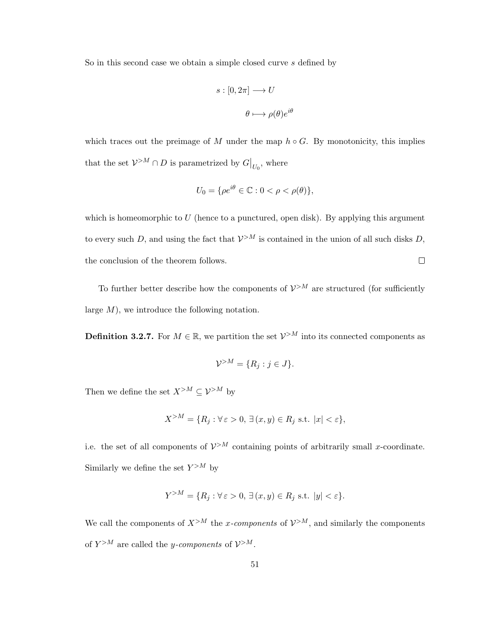So in this second case we obtain a simple closed curve s defined by

$$
s : [0, 2\pi] \longrightarrow U
$$

$$
\theta \longmapsto \rho(\theta) e^{i\theta}
$$

which traces out the preimage of M under the map  $h \circ G$ . By monotonicity, this implies that the set  $\mathcal{V}^{>M} \cap D$  is parametrized by  $G|_{U_0}$ , where

$$
U_0 = \{ \rho e^{i\theta} \in \mathbb{C} : 0 < \rho < \rho(\theta) \},
$$

which is homeomorphic to  $U$  (hence to a punctured, open disk). By applying this argument to every such D, and using the fact that  $\mathcal{V}^{>M}$  is contained in the union of all such disks D, the conclusion of the theorem follows.  $\Box$ 

To further better describe how the components of  $\mathcal{V}^{>M}$  are structured (for sufficiently large  $M$ ), we introduce the following notation.

**Definition 3.2.7.** For  $M \in \mathbb{R}$ , we partition the set  $V > M$  into its connected components as

$$
\mathcal{V}^{>M} = \{R_j : j \in J\}.
$$

Then we define the set  $X^{>M} \subseteq \mathcal{V}^{>M}$  by

$$
X^{>M} = \{ R_j : \forall \, \varepsilon > 0, \, \exists \, (x, y) \in R_j \, \text{ s.t. } |x| < \varepsilon \},
$$

i.e. the set of all components of  $\mathcal{V}^{>M}$  containing points of arbitrarily small x-coordinate. Similarly we define the set  $Y^{>M}$  by

$$
Y^{>M} = \{ R_j : \forall \varepsilon > 0, \, \exists (x, y) \in R_j \text{ s.t. } |y| < \varepsilon \}.
$$

We call the components of  $X^{>M}$  the x-components of  $\mathcal{V}^{>M}$ , and similarly the components of  $Y^{>M}$  are called the *y*-components of  $V^{>M}$ .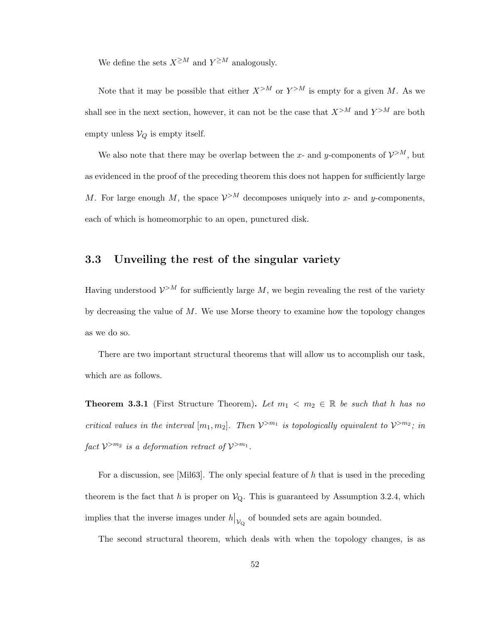We define the sets  $X^{\geq M}$  and  $Y^{\geq M}$  analogously.

Note that it may be possible that either  $X^{>M}$  or  $Y^{>M}$  is empty for a given M. As we shall see in the next section, however, it can not be the case that  $X^{>M}$  and  $Y^{>M}$  are both empty unless  $V_Q$  is empty itself.

We also note that there may be overlap between the x- and y-components of  $\mathcal{V}^{>M}$ , but as evidenced in the proof of the preceding theorem this does not happen for sufficiently large M. For large enough M, the space  $\mathcal{V}^{>M}$  decomposes uniquely into x- and y-components, each of which is homeomorphic to an open, punctured disk.

## 3.3 Unveiling the rest of the singular variety

Having understood  $\mathcal{V}^{>M}$  for sufficiently large M, we begin revealing the rest of the variety by decreasing the value of  $M$ . We use Morse theory to examine how the topology changes as we do so.

There are two important structural theorems that will allow us to accomplish our task, which are as follows.

**Theorem 3.3.1** (First Structure Theorem). Let  $m_1 < m_2 \in \mathbb{R}$  be such that h has no *critical values in the interval*  $[m_1, m_2]$ *. Then*  $V^{>m_1}$  *is topologically equivalent to*  $V^{>m_2}$ *; in*  $\int$ *fact*  $V^{>m_2}$  *is a deformation retract of*  $V^{>m_1}$ *.* 

For a discussion, see [Mil63]. The only special feature of h that is used in the preceding theorem is the fact that h is proper on  $V_{Q}$ . This is guaranteed by Assumption 3.2.4, which implies that the inverse images under  $h|_{\mathcal{V}_{Q}}$  of bounded sets are again bounded.

The second structural theorem, which deals with when the topology changes, is as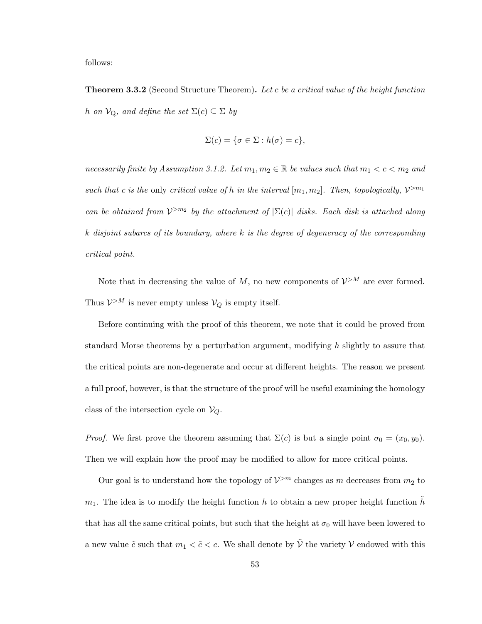follows:

Theorem 3.3.2 (Second Structure Theorem). *Let* c *be a critical value of the height function h on*  $V_Q$ *, and define the set*  $\Sigma(c) \subseteq \Sigma$  *by* 

$$
\Sigma(c) = \{\sigma \in \Sigma : h(\sigma) = c\},\
$$

*necessarily finite by Assumption 3.1.2. Let*  $m_1, m_2 \in \mathbb{R}$  *be values such that*  $m_1 < c < m_2$  *and* such that c is the only critical value of h in the interval  $[m_1, m_2]$ . Then, topologically,  $\mathcal{V}^{>m_1}$ *can be obtained from*  $V^{>m_2}$  *by the attachment of*  $|\Sigma(c)|$  *disks. Each disk is attached along* k *disjoint subarcs of its boundary, where* k *is the degree of degeneracy of the corresponding critical point.*

Note that in decreasing the value of  $M$ , no new components of  $\mathcal{V}^{>M}$  are ever formed. Thus  $\mathcal{V}^{>M}$  is never empty unless  $\mathcal{V}_Q$  is empty itself.

Before continuing with the proof of this theorem, we note that it could be proved from standard Morse theorems by a perturbation argument, modifying h slightly to assure that the critical points are non-degenerate and occur at different heights. The reason we present a full proof, however, is that the structure of the proof will be useful examining the homology class of the intersection cycle on  $V_Q$ .

*Proof.* We first prove the theorem assuming that  $\Sigma(c)$  is but a single point  $\sigma_0 = (x_0, y_0)$ . Then we will explain how the proof may be modified to allow for more critical points.

Our goal is to understand how the topology of  $\mathcal{V}^{>m}$  changes as m decreases from  $m_2$  to  $m_1$ . The idea is to modify the height function h to obtain a new proper height function h that has all the same critical points, but such that the height at  $\sigma_0$  will have been lowered to a new value  $\tilde{c}$  such that  $m_1 < \tilde{c} < c$ . We shall denote by  $\tilde{\mathcal{V}}$  the variety  $\mathcal{V}$  endowed with this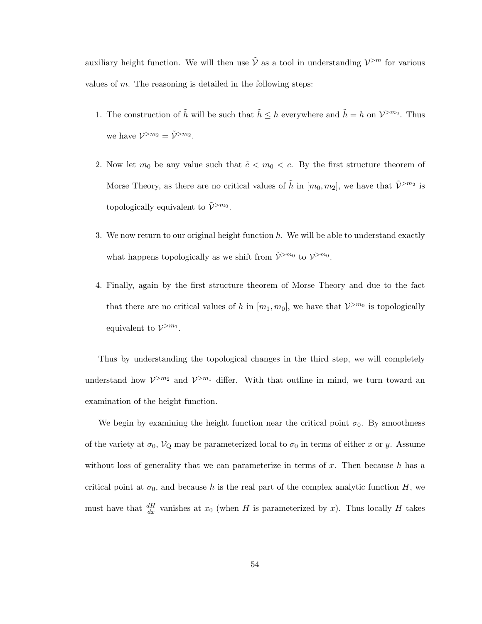auxiliary height function. We will then use  $\tilde{V}$  as a tool in understanding  $V^{>m}$  for various values of  $m$ . The reasoning is detailed in the following steps:

- 1. The construction of  $\tilde{h}$  will be such that  $\tilde{h} \leq h$  everywhere and  $\tilde{h} = h$  on  $\mathcal{V}^{>m_2}$ . Thus we have  $\mathcal{V}^{>m_2} = \tilde{\mathcal{V}}^{>m_2}$ .
- 2. Now let  $m_0$  be any value such that  $\tilde{c} < m_0 < c$ . By the first structure theorem of Morse Theory, as there are no critical values of  $\tilde{h}$  in  $[m_0, m_2]$ , we have that  $\tilde{\mathcal{V}}^{>m_2}$  is topologically equivalent to  $\tilde{\mathcal{V}}^{>m_0}$ .
- 3. We now return to our original height function  $h$ . We will be able to understand exactly what happens topologically as we shift from  $\tilde{\mathcal{V}}^{>m_0}$  to  $\mathcal{V}^{>m_0}$ .
- 4. Finally, again by the first structure theorem of Morse Theory and due to the fact that there are no critical values of h in  $[m_1, m_0]$ , we have that  $\mathcal{V}^{>m_0}$  is topologically equivalent to  $\mathcal{V}^{>m_1}$ .

Thus by understanding the topological changes in the third step, we will completely understand how  $V^{\geq m_2}$  and  $V^{\geq m_1}$  differ. With that outline in mind, we turn toward an examination of the height function.

We begin by examining the height function near the critical point  $\sigma_0$ . By smoothness of the variety at  $\sigma_0$ ,  $V_Q$  may be parameterized local to  $\sigma_0$  in terms of either x or y. Assume without loss of generality that we can parameterize in terms of  $x$ . Then because  $h$  has a critical point at  $\sigma_0$ , and because h is the real part of the complex analytic function H, we must have that  $\frac{dH}{dx}$  vanishes at  $x_0$  (when H is parameterized by x). Thus locally H takes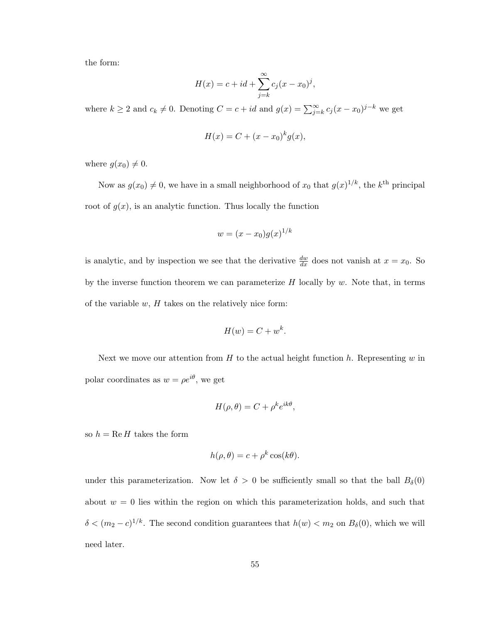the form:

$$
H(x) = c + id + \sum_{j=k}^{\infty} c_j (x - x_0)^j,
$$

where  $k \geq 2$  and  $c_k \neq 0$ . Denoting  $C = c + id$  and  $g(x) = \sum_{j=k}^{\infty} c_j (x - x_0)^{j-k}$  we get

$$
H(x) = C + (x - x0)k g(x),
$$

where  $g(x_0) \neq 0$ .

Now as  $g(x_0) \neq 0$ , we have in a small neighborhood of  $x_0$  that  $g(x)^{1/k}$ , the  $k^{\text{th}}$  principal root of  $g(x)$ , is an analytic function. Thus locally the function

$$
w = (x - x_0)g(x)^{1/k}
$$

is analytic, and by inspection we see that the derivative  $\frac{dw}{dx}$  does not vanish at  $x = x_0$ . So by the inverse function theorem we can parameterize  $H$  locally by  $w$ . Note that, in terms of the variable  $w$ ,  $H$  takes on the relatively nice form:

$$
H(w) = C + w^k.
$$

Next we move our attention from  $H$  to the actual height function h. Representing  $w$  in polar coordinates as  $w = \rho e^{i\theta}$ , we get

$$
H(\rho,\theta) = C + \rho^k e^{ik\theta},
$$

so  $h = \text{Re } H$  takes the form

$$
h(\rho, \theta) = c + \rho^k \cos(k\theta).
$$

under this parameterization. Now let  $\delta > 0$  be sufficiently small so that the ball  $B_{\delta}(0)$ about  $w = 0$  lies within the region on which this parameterization holds, and such that  $\delta < (m_2 - c)^{1/k}$ . The second condition guarantees that  $h(w) < m_2$  on  $B_\delta(0)$ , which we will need later.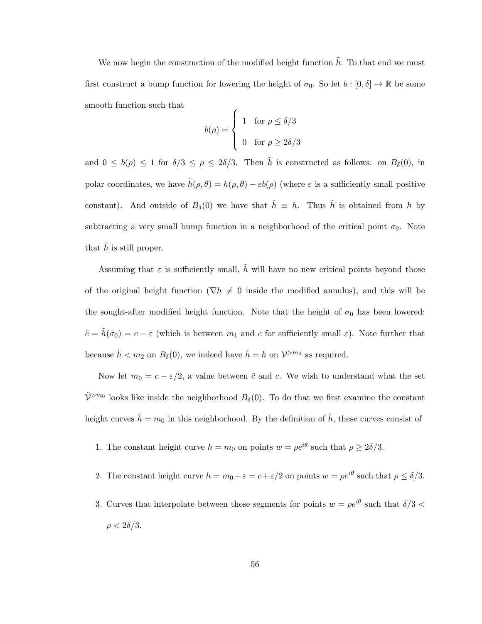We now begin the construction of the modified height function  $\tilde{h}$ . To that end we must first construct a bump function for lowering the height of  $\sigma_0$ . So let  $b : [0, \delta] \to \mathbb{R}$  be some smooth function such that

$$
b(\rho) = \begin{cases} 1 & \text{for } \rho \le \delta/3 \\ 0 & \text{for } \rho \ge 2\delta/3 \end{cases}
$$

and  $0 \leq b(\rho) \leq 1$  for  $\delta/3 \leq \rho \leq 2\delta/3$ . Then  $\tilde{h}$  is constructed as follows: on  $B_{\delta}(0)$ , in polar coordinates, we have  $\tilde{h}(\rho, \theta) = h(\rho, \theta) - \varepsilon b(\rho)$  (where  $\varepsilon$  is a sufficiently small positive constant). And outside of  $B_\delta(0)$  we have that  $\tilde{h} \equiv h$ . Thus  $\tilde{h}$  is obtained from h by subtracting a very small bump function in a neighborhood of the critical point  $\sigma_0$ . Note that  $\hat{h}$  is still proper.

Assuming that  $\varepsilon$  is sufficiently small,  $\tilde{h}$  will have no new critical points beyond those of the original height function ( $\nabla h \neq 0$  inside the modified annulus), and this will be the sought-after modified height function. Note that the height of  $\sigma_0$  has been lowered:  $\tilde{c} = \tilde{h}(\sigma_0) = c - \varepsilon$  (which is between  $m_1$  and c for sufficiently small  $\varepsilon$ ). Note further that because  $\tilde{h} < m_2$  on  $B_\delta(0)$ , we indeed have  $\tilde{h} = h$  on  $\mathcal{V}^{>m_2}$  as required.

Now let  $m_0 = c - \varepsilon/2$ , a value between  $\tilde{c}$  and c. We wish to understand what the set  $\tilde{\mathcal{V}}^{>m_0}$  looks like inside the neighborhood  $B_\delta(0)$ . To do that we first examine the constant height curves  $\tilde{h} = m_0$  in this neighborhood. By the definition of  $\tilde{h}$ , these curves consist of

- 1. The constant height curve  $h = m_0$  on points  $w = \rho e^{i\theta}$  such that  $\rho \geq 2\delta/3$ .
- 2. The constant height curve  $h = m_0 + \varepsilon = c + \varepsilon/2$  on points  $w = \rho e^{i\theta}$  such that  $\rho \le \delta/3$ .
- 3. Curves that interpolate between these segments for points  $w = \rho e^{i\theta}$  such that  $\delta/3$  $\rho < 2\delta/3$ .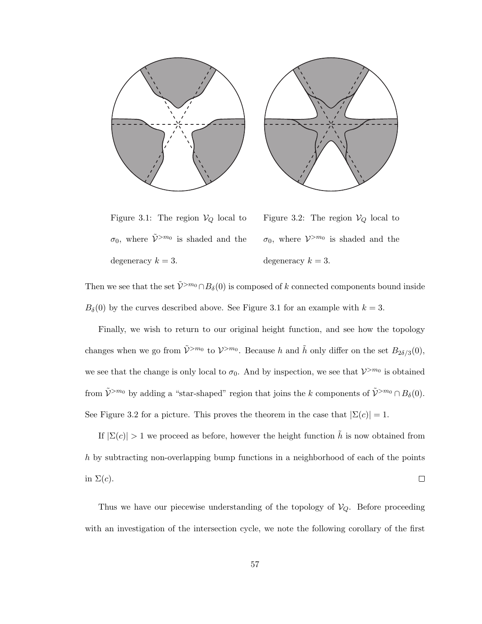

Figure 3.1: The region  $\mathcal{V}_Q$  local to  $\sigma_0$ , where  $\tilde{\mathcal{V}}^{>m_0}$  is shaded and the degeneracy  $k = 3$ .

Figure 3.2: The region  $V_Q$  local to  $\sigma_0$ , where  $V^{>m_0}$  is shaded and the degeneracy  $k = 3$ .

Then we see that the set  $\tilde{\mathcal{V}}^{>m_0} \cap B_\delta(0)$  is composed of k connected components bound inside  $B_\delta(0)$  by the curves described above. See Figure 3.1 for an example with  $k = 3$ .

Finally, we wish to return to our original height function, and see how the topology changes when we go from  $\tilde{\mathcal{V}}^{>m_0}$  to  $\mathcal{V}^{>m_0}$ . Because h and  $\tilde{h}$  only differ on the set  $B_{2\delta/3}(0)$ , we see that the change is only local to  $\sigma_0$ . And by inspection, we see that  $\mathcal{V}^{>m_0}$  is obtained from  $\tilde{\mathcal{V}}^{>m_0}$  by adding a "star-shaped" region that joins the k components of  $\tilde{\mathcal{V}}^{>m_0} \cap B_\delta(0)$ . See Figure 3.2 for a picture. This proves the theorem in the case that  $|\Sigma(c)| = 1$ .

If  $|\Sigma(c)| > 1$  we proceed as before, however the height function  $\tilde{h}$  is now obtained from h by subtracting non-overlapping bump functions in a neighborhood of each of the points in  $\Sigma(c)$ .  $\Box$ 

Thus we have our piecewise understanding of the topology of  $V_Q$ . Before proceeding with an investigation of the intersection cycle, we note the following corollary of the first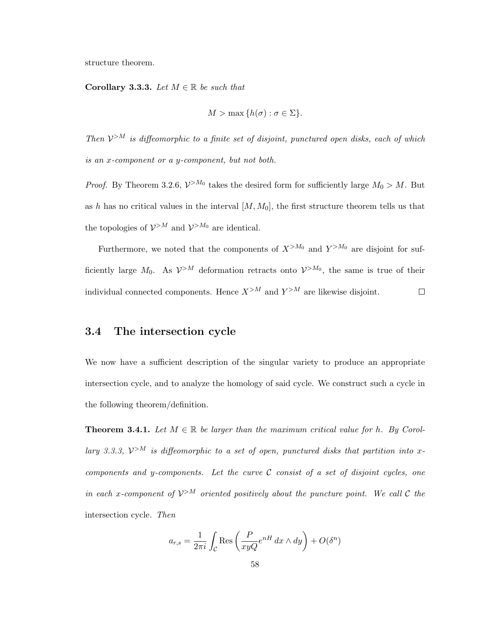structure theorem.

Corollary 3.3.3. Let  $M \in \mathbb{R}$  be such that

$$
M > \max\{h(\sigma) : \sigma \in \Sigma\}.
$$

Then  $\mathcal{V}^{>M}$  is diffeomorphic to a finite set of disjoint, punctured open disks, each of which *is an* x*-component or a* y*-component, but not both.*

*Proof.* By Theorem 3.2.6,  $V^{>M_0}$  takes the desired form for sufficiently large  $M_0 > M$ . But as h has no critical values in the interval  $[M, M_0]$ , the first structure theorem tells us that the topologies of  $\mathcal{V}^{>M}$  and  $\mathcal{V}^{>M_0}$  are identical.

Furthermore, we noted that the components of  $X^{>M_0}$  and  $Y^{>M_0}$  are disjoint for sufficiently large  $M_0$ . As  $\mathcal{V}^{>M}$  deformation retracts onto  $\mathcal{V}^{>M_0}$ , the same is true of their individual connected components. Hence  $X^{>M}$  and  $Y^{>M}$  are likewise disjoint.  $\Box$ 

## 3.4 The intersection cycle

We now have a sufficient description of the singular variety to produce an appropriate intersection cycle, and to analyze the homology of said cycle. We construct such a cycle in the following theorem/definition.

**Theorem 3.4.1.** Let  $M \in \mathbb{R}$  be larger than the maximum critical value for h. By Corol*lary 3.3.3,*  $V^{\geq M}$  *is diffeomorphic to a set of open, punctured disks that partition into* x*components and* y*-components. Let the curve* C *consist of a set of disjoint cycles, one in each x-component of*  $V^{>M}$  *oriented positively about the puncture point. We call*  $C$  *the* intersection cycle*. Then*

$$
a_{r,s} = \frac{1}{2\pi i} \int_{\mathcal{C}} \text{Res}\left(\frac{P}{xyQ}e^{nH} dx \wedge dy\right) + O(\delta^n)
$$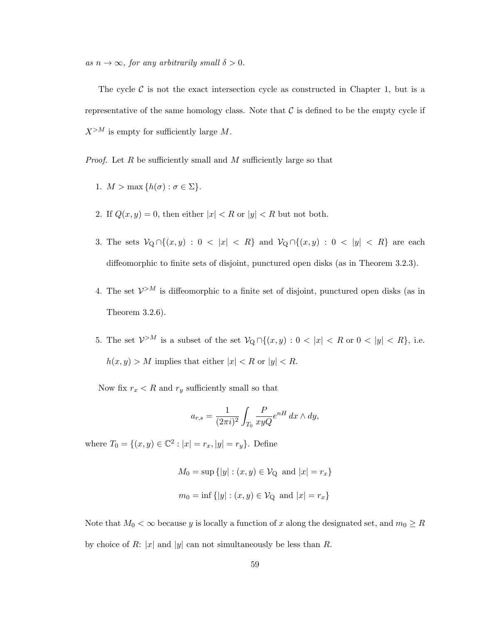$as n \to \infty$ *, for any arbitrarily small*  $\delta > 0$ *.* 

The cycle  $\mathcal C$  is not the exact intersection cycle as constructed in Chapter 1, but is a representative of the same homology class. Note that  $\mathcal C$  is defined to be the empty cycle if  $X^{>M}$  is empty for sufficiently large M.

*Proof.* Let R be sufficiently small and M sufficiently large so that

- 1.  $M > \max\{h(\sigma) : \sigma \in \Sigma\}.$
- 2. If  $Q(x, y) = 0$ , then either  $|x| < R$  or  $|y| < R$  but not both.
- 3. The sets  $\mathcal{V}_{\mathcal{Q}} \cap \{(x, y) : 0 < |x| < R\}$  and  $\mathcal{V}_{\mathcal{Q}} \cap \{(x, y) : 0 < |y| < R\}$  are each diffeomorphic to finite sets of disjoint, punctured open disks (as in Theorem 3.2.3).
- 4. The set  $\mathcal{V}^{>M}$  is diffeomorphic to a finite set of disjoint, punctured open disks (as in Theorem 3.2.6).
- 5. The set  $\mathcal{V}^{>M}$  is a subset of the set  $\mathcal{V}_{Q} \cap \{(x, y) : 0 < |x| < R$  or  $0 < |y| < R\}$ , i.e.  $h(x, y) > M$  implies that either  $|x| < R$  or  $|y| < R$ .

Now fix  $r_x < R$  and  $r_y$  sufficiently small so that

$$
a_{r,s} = \frac{1}{(2\pi i)^2} \int_{T_0} \frac{P}{xyQ} e^{nH} dx \wedge dy,
$$

where  $T_0 = \{(x, y) \in \mathbb{C}^2 : |x| = r_x, |y| = r_y\}$ . Define

$$
M_0 = \sup \{ |y| : (x, y) \in \mathcal{V}_{Q} \text{ and } |x| = r_x \}
$$
  

$$
m_0 = \inf \{ |y| : (x, y) \in \mathcal{V}_{Q} \text{ and } |x| = r_x \}
$$

Note that  $M_0 < \infty$  because y is locally a function of x along the designated set, and  $m_0 \geq R$ by choice of R: |x| and |y| can not simultaneously be less than R.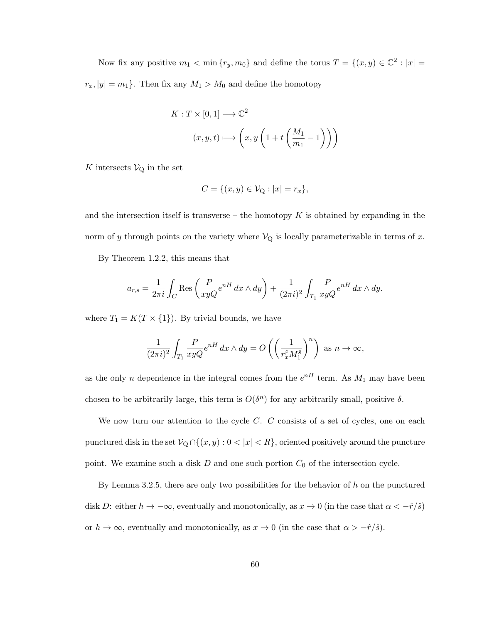Now fix any positive  $m_1 < \min \{r_y, m_0\}$  and define the torus  $T = \{(x, y) \in \mathbb{C}^2 : |x| =$  $r_x$ ,  $|y| = m_1$ . Then fix any  $M_1 > M_0$  and define the homotopy

$$
K: T \times [0,1] \longrightarrow \mathbb{C}^2
$$

$$
(x, y, t) \longmapsto \left(x, y \left(1 + t \left(\frac{M_1}{m_1} - 1\right)\right)\right)
$$

 $K$  intersects  $\mathcal{V}_{\text{Q}}$  in the set

$$
C = \{(x, y) \in \mathcal{V}_{Q} : |x| = r_{x}\},\
$$

and the intersection itself is transverse – the homotopy  $K$  is obtained by expanding in the norm of y through points on the variety where  $\mathcal{V}_{Q}$  is locally parameterizable in terms of x.

By Theorem 1.2.2, this means that

$$
a_{r,s} = \frac{1}{2\pi i} \int_C \text{Res}\left(\frac{P}{xyQ}e^{nH} dx \wedge dy\right) + \frac{1}{(2\pi i)^2} \int_{T_1} \frac{P}{xyQ}e^{nH} dx \wedge dy.
$$

where  $T_1 = K(T \times \{1\})$ . By trivial bounds, we have

$$
\frac{1}{(2\pi i)^2} \int_{T_1} \frac{P}{xyQ} e^{nH} dx \wedge dy = O\left(\left(\frac{1}{r_x^{\hat{r}} M_1^{\hat{s}}}\right)^n\right) \text{ as } n \to \infty,
$$

as the only n dependence in the integral comes from the  $e^{nH}$  term. As  $M_1$  may have been chosen to be arbitrarily large, this term is  $O(\delta^n)$  for any arbitrarily small, positive  $\delta$ .

We now turn our attention to the cycle  $C$ .  $C$  consists of a set of cycles, one on each punctured disk in the set  $\mathcal{V}_{Q} \cap \{(x, y): 0 < |x| < R\}$ , oriented positively around the puncture point. We examine such a disk  $D$  and one such portion  $C_0$  of the intersection cycle.

By Lemma 3.2.5, there are only two possibilities for the behavior of  $h$  on the punctured disk D: either  $h \to -\infty$ , eventually and monotonically, as  $x \to 0$  (in the case that  $\alpha < -\hat{r}/\hat{s}$ ) or  $h \to \infty$ , eventually and monotonically, as  $x \to 0$  (in the case that  $\alpha > -\hat{r}/\hat{s}$ ).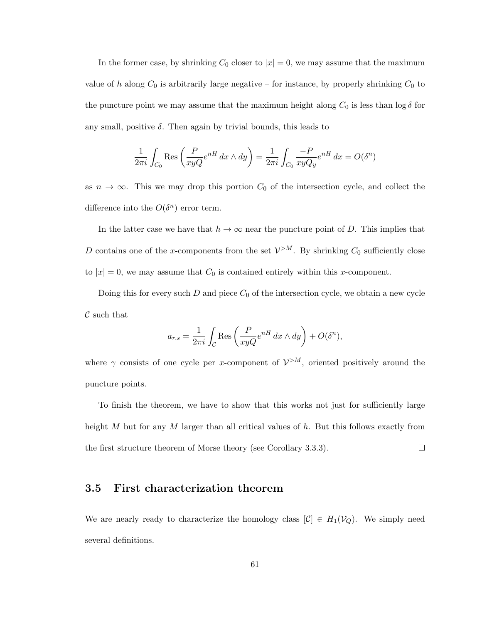In the former case, by shrinking  $C_0$  closer to  $|x| = 0$ , we may assume that the maximum value of h along  $C_0$  is arbitrarily large negative – for instance, by properly shrinking  $C_0$  to the puncture point we may assume that the maximum height along  $C_0$  is less than  $\log \delta$  for any small, positive  $\delta$ . Then again by trivial bounds, this leads to

$$
\frac{1}{2\pi i} \int_{C_0} \text{Res}\left(\frac{P}{xyQ}e^{nH} dx \wedge dy\right) = \frac{1}{2\pi i} \int_{C_0} \frac{-P}{xyQ_y}e^{nH} dx = O(\delta^n)
$$

as  $n \to \infty$ . This we may drop this portion  $C_0$  of the intersection cycle, and collect the difference into the  $O(\delta^n)$  error term.

In the latter case we have that  $h \to \infty$  near the puncture point of D. This implies that D contains one of the x-components from the set  $\mathcal{V}^{>M}$ . By shrinking  $C_0$  sufficiently close to  $|x| = 0$ , we may assume that  $C_0$  is contained entirely within this x-component.

Doing this for every such  $D$  and piece  $C_0$  of the intersection cycle, we obtain a new cycle  $\mathcal C$  such that

$$
a_{r,s} = \frac{1}{2\pi i} \int_C \text{Res}\left(\frac{P}{xyQ}e^{nH} dx \wedge dy\right) + O(\delta^n),
$$

where  $\gamma$  consists of one cycle per x-component of  $\mathcal{V}^{>M}$ , oriented positively around the puncture points.

To finish the theorem, we have to show that this works not just for sufficiently large height M but for any M larger than all critical values of  $h$ . But this follows exactly from the first structure theorem of Morse theory (see Corollary 3.3.3).  $\Box$ 

### 3.5 First characterization theorem

We are nearly ready to characterize the homology class  $[\mathcal{C}] \in H_1(\mathcal{V}_Q)$ . We simply need several definitions.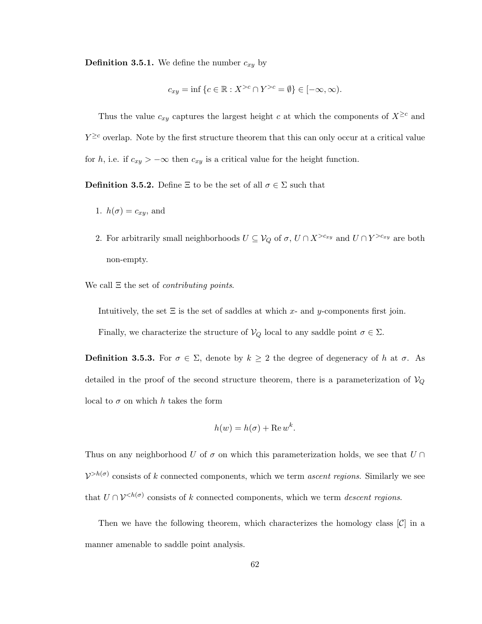**Definition 3.5.1.** We define the number  $c_{xy}$  by

$$
c_{xy} = \inf \{ c \in \mathbb{R} : X^{>c} \cap Y^{>c} = \emptyset \} \in [-\infty, \infty).
$$

Thus the value  $c_{xy}$  captures the largest height c at which the components of  $X^{\geq c}$  and  $Y^{\geq c}$  overlap. Note by the first structure theorem that this can only occur at a critical value for h, i.e. if  $c_{xy} > -\infty$  then  $c_{xy}$  is a critical value for the height function.

**Definition 3.5.2.** Define  $\Xi$  to be the set of all  $\sigma \in \Sigma$  such that

- 1.  $h(\sigma) = c_{xy}$ , and
- 2. For arbitrarily small neighborhoods  $U \subseteq V_Q$  of  $\sigma$ ,  $U \cap X^{>c_{xy}}$  and  $U \cap Y^{>c_{xy}}$  are both non-empty.

We call Ξ the set of *contributing points*.

Intuitively, the set  $\Xi$  is the set of saddles at which x- and y-components first join.

Finally, we characterize the structure of  $V_Q$  local to any saddle point  $\sigma \in \Sigma$ .

**Definition 3.5.3.** For  $\sigma \in \Sigma$ , denote by  $k \geq 2$  the degree of degeneracy of h at  $\sigma$ . As detailed in the proof of the second structure theorem, there is a parameterization of  $V_Q$ local to  $\sigma$  on which h takes the form

$$
h(w) = h(\sigma) + \text{Re}\,w^k.
$$

Thus on any neighborhood U of  $\sigma$  on which this parameterization holds, we see that  $U \cap$  $V^{>h(\sigma)}$  consists of k connected components, which we term *ascent regions*. Similarly we see that  $U \cap V^{\leq h(\sigma)}$  consists of k connected components, which we term *descent regions*.

Then we have the following theorem, which characterizes the homology class  $[\mathcal{C}]$  in a manner amenable to saddle point analysis.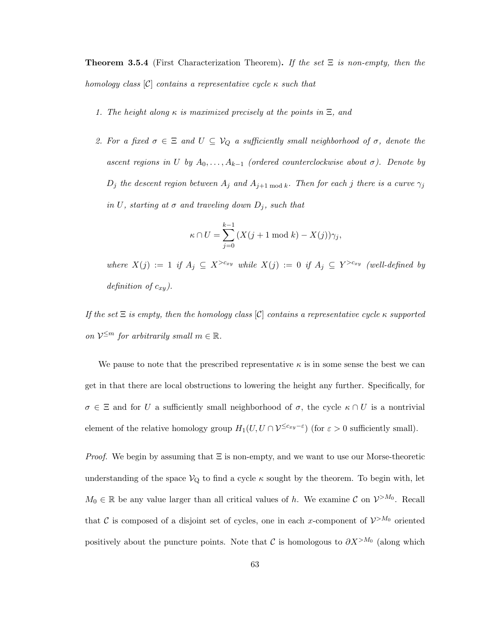Theorem 3.5.4 (First Characterization Theorem). *If the set* Ξ *is non-empty, then the homology class* [C] *contains a representative cycle* κ *such that*

- *1. The height along* κ *is maximized precisely at the points in* Ξ*, and*
- *2. For a fixed*  $\sigma \in \Xi$  *and*  $U \subseteq V_Q$  *a sufficiently small neighborhood of*  $\sigma$ *, denote the ascent regions in* U *by*  $A_0, \ldots, A_{k-1}$  *(ordered counterclockwise about*  $\sigma$ ). Denote by  $D_j$  *the descent region between*  $A_j$  *and*  $A_{j+1 \bmod k}$ *. Then for each j there is a curve*  $\gamma_j$ *in* U, starting at  $\sigma$  and traveling down  $D_i$ , such that

$$
\kappa \cap U = \sum_{j=0}^{k-1} \left( X(j+1 \bmod k) - X(j) \right) \gamma_j,
$$

 $where X(j) := 1$  if  $A_j \subseteq X^{>c_{xy}}$  while  $X(j) := 0$  if  $A_j \subseteq Y^{>c_{xy}}$  (well-defined by *definition of*  $c_{xy}$ *).* 

*If the set* Ξ *is empty, then the homology class* [C] *contains a representative cycle* κ *supported on*  $V^{\leq m}$  *for arbitrarily small*  $m \in \mathbb{R}$ *.* 

We pause to note that the prescribed representative  $\kappa$  is in some sense the best we can get in that there are local obstructions to lowering the height any further. Specifically, for  $\sigma \in \Xi$  and for U a sufficiently small neighborhood of  $\sigma$ , the cycle  $\kappa \cap U$  is a nontrivial element of the relative homology group  $H_1(U, U \cap V^{\leq c_{xy}-\varepsilon})$  (for  $\varepsilon > 0$  sufficiently small).

*Proof.* We begin by assuming that Ξ is non-empty, and we want to use our Morse-theoretic understanding of the space  $V_{Q}$  to find a cycle  $\kappa$  sought by the theorem. To begin with, let  $M_0 \in \mathbb{R}$  be any value larger than all critical values of h. We examine C on  $\mathcal{V}^{>M_0}$ . Recall that C is composed of a disjoint set of cycles, one in each x-component of  $\mathcal{V}^{>M_0}$  oriented positively about the puncture points. Note that C is homologous to  $\partial X^{>M_0}$  (along which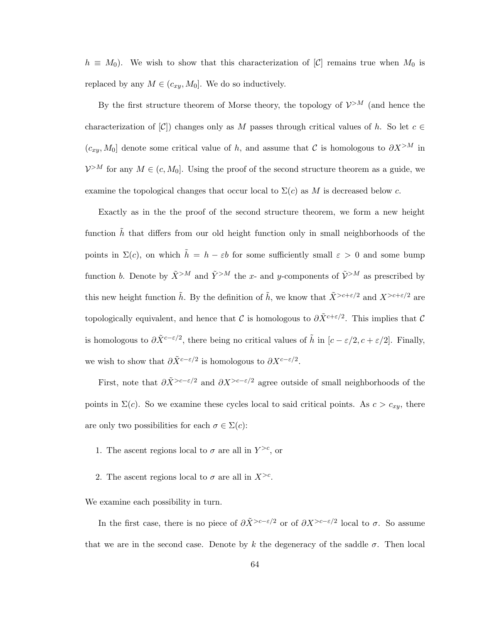$h \equiv M_0$ ). We wish to show that this characterization of [C] remains true when  $M_0$  is replaced by any  $M \in (c_{xy}, M_0]$ . We do so inductively.

By the first structure theorem of Morse theory, the topology of  $\mathcal{V}^{>M}$  (and hence the characterization of  $[\mathcal{C}]$  changes only as M passes through critical values of h. So let  $c \in \mathcal{C}$  $(c_{xy}, M_0]$  denote some critical value of h, and assume that C is homologous to  $\partial X^{>M}$  in  $\mathcal{V}^{\geq M}$  for any  $M \in (c, M_0]$ . Using the proof of the second structure theorem as a guide, we examine the topological changes that occur local to  $\Sigma(c)$  as M is decreased below c.

Exactly as in the the proof of the second structure theorem, we form a new height function  $\tilde{h}$  that differs from our old height function only in small neighborhoods of the points in  $\Sigma(c)$ , on which  $\tilde{h} = h - \varepsilon b$  for some sufficiently small  $\varepsilon > 0$  and some bump function b. Denote by  $\tilde{X}^{>M}$  and  $\tilde{Y}^{>M}$  the x- and y-components of  $\tilde{V}^{>M}$  as prescribed by this new height function  $\tilde{h}$ . By the definition of  $\tilde{h}$ , we know that  $\tilde{X}^{>c+\varepsilon/2}$  and  $X^{>c+\varepsilon/2}$  are topologically equivalent, and hence that C is homologous to  $\partial \tilde{X}^{c+\epsilon/2}$ . This implies that C is homologous to  $\partial \tilde{X}^{c-\varepsilon/2}$ , there being no critical values of  $\tilde{h}$  in  $[c - \varepsilon/2, c + \varepsilon/2]$ . Finally, we wish to show that  $\partial \tilde{X}^{c-\varepsilon/2}$  is homologous to  $\partial X^{c-\varepsilon/2}$ .

First, note that  $\partial \tilde{X}^{>c-\epsilon/2}$  and  $\partial X^{>c-\epsilon/2}$  agree outside of small neighborhoods of the points in  $\Sigma(c)$ . So we examine these cycles local to said critical points. As  $c > c_{xy}$ , there are only two possibilities for each  $\sigma \in \Sigma(c)$ :

- 1. The ascent regions local to  $\sigma$  are all in  $Y^{>c}$ , or
- 2. The ascent regions local to  $\sigma$  are all in  $X^{>c}$ .

We examine each possibility in turn.

In the first case, there is no piece of  $\partial \tilde{X}^{>c-\varepsilon/2}$  or of  $\partial X^{>c-\varepsilon/2}$  local to  $\sigma$ . So assume that we are in the second case. Denote by k the degeneracy of the saddle  $\sigma$ . Then local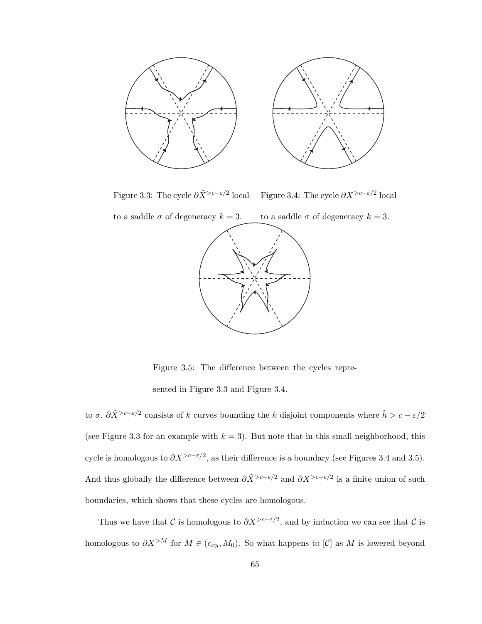

Figure 3.3: The cycle  $\partial \tilde{X}^{>c-\varepsilon/2}$  local Figure 3.4: The cycle  $\partial X^{>c-\varepsilon/2}$  local

to a saddle  $\sigma$  of degeneracy  $k = 3$ . to a saddle  $\sigma$  of degeneracy  $k = 3$ .



Figure 3.5: The difference between the cycles repre-

sented in Figure 3.3 and Figure 3.4.

to  $\sigma$ ,  $\partial \tilde{X} > c - \varepsilon/2$  consists of k curves bounding the k disjoint components where  $\tilde{h} > c - \varepsilon/2$ (see Figure 3.3 for an example with  $k = 3$ ). But note that in this small neighborhood, this cycle is homologous to  $\partial X^{>c-\varepsilon/2}$ , as their difference is a boundary (see Figures 3.4 and 3.5). And thus globally the difference between  $\partial \tilde{X}^{>c-\varepsilon/2}$  and  $\partial X^{>c-\varepsilon/2}$  is a finite union of such boundaries, which shows that these cycles are homologous.

Thus we have that C is homologous to  $\partial X^{>c-\epsilon/2}$ , and by induction we can see that C is homologous to  $\partial X^{>M}$  for  $M \in (c_{xy}, M_0)$ . So what happens to  $[\mathcal{C}]$  as M is lowered beyond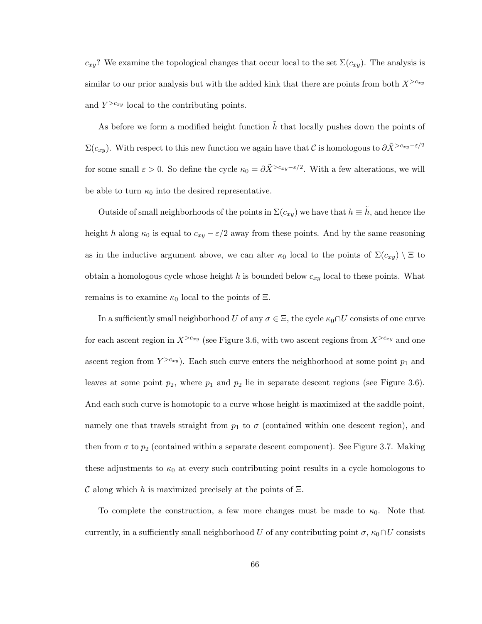$c_{xy}$ ? We examine the topological changes that occur local to the set  $\Sigma(c_{xy})$ . The analysis is similar to our prior analysis but with the added kink that there are points from both  $X^{>c_{xy}}$ and  $Y^{>c_{xy}}$  local to the contributing points.

As before we form a modified height function  $\tilde{h}$  that locally pushes down the points of  $\Sigma(c_{xy})$ . With respect to this new function we again have that C is homologous to  $\partial \tilde{X}^{>c_{xy}-\varepsilon/2}$ for some small  $\varepsilon > 0$ . So define the cycle  $\kappa_0 = \partial \tilde{X}^{>c_{xy}-\varepsilon/2}$ . With a few alterations, we will be able to turn  $\kappa_0$  into the desired representative.

Outside of small neighborhoods of the points in  $\Sigma(c_{xy})$  we have that  $h \equiv h$ , and hence the height h along  $\kappa_0$  is equal to  $c_{xy} - \varepsilon/2$  away from these points. And by the same reasoning as in the inductive argument above, we can alter  $\kappa_0$  local to the points of  $\Sigma(c_{xy}) \setminus \Xi$  to obtain a homologous cycle whose height h is bounded below  $c_{xy}$  local to these points. What remains is to examine  $\kappa_0$  local to the points of  $\Xi$ .

In a sufficiently small neighborhood U of any  $\sigma \in \Xi$ , the cycle  $\kappa_0 \cap U$  consists of one curve for each ascent region in  $X^{>c_{xy}}$  (see Figure 3.6, with two ascent regions from  $X^{>c_{xy}}$  and one ascent region from  $Y^{>c_{xy}}$ ). Each such curve enters the neighborhood at some point  $p_1$  and leaves at some point  $p_2$ , where  $p_1$  and  $p_2$  lie in separate descent regions (see Figure 3.6). And each such curve is homotopic to a curve whose height is maximized at the saddle point, namely one that travels straight from  $p_1$  to  $\sigma$  (contained within one descent region), and then from  $\sigma$  to  $p_2$  (contained within a separate descent component). See Figure 3.7. Making these adjustments to  $\kappa_0$  at every such contributing point results in a cycle homologous to C along which h is maximized precisely at the points of  $\Xi$ .

To complete the construction, a few more changes must be made to  $\kappa_0$ . Note that currently, in a sufficiently small neighborhood U of any contributing point  $\sigma$ ,  $\kappa_0 \cap U$  consists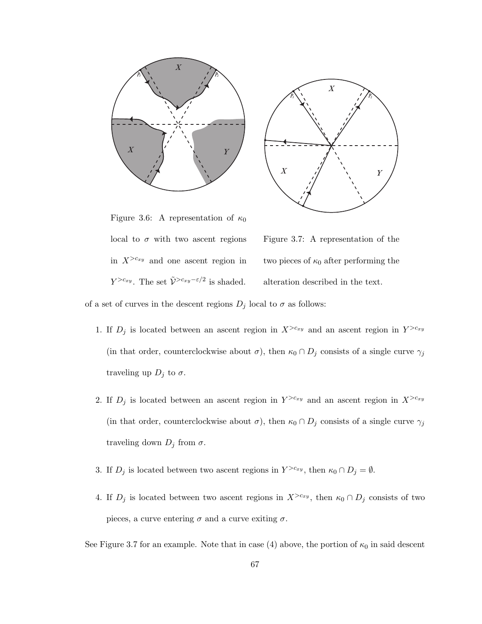



Figure 3.6: A representation of  $\kappa_0$ local to  $\sigma$  with two ascent regions in  $X^{>c_{xy}}$  and one ascent region in  $Y^{>c_{xy}}$ . The set  $\tilde{\mathcal{V}}^{>c_{xy}-\varepsilon/2}$  is shaded.

Figure 3.7: A representation of the two pieces of  $\kappa_0$  after performing the alteration described in the text.

of a set of curves in the descent regions  $D_j$  local to  $\sigma$  as follows:

- 1. If  $D_j$  is located between an ascent region in  $X^{>c_{xy}}$  and an ascent region in  $Y^{>c_{xy}}$ (in that order, counterclockwise about  $\sigma$ ), then  $\kappa_0 \cap D_j$  consists of a single curve  $\gamma_j$ traveling up  $D_j$  to  $\sigma$ .
- 2. If  $D_j$  is located between an ascent region in  $Y^{>c_{xy}}$  and an ascent region in  $X^{>c_{xy}}$ (in that order, counterclockwise about  $\sigma$ ), then  $\kappa_0 \cap D_j$  consists of a single curve  $\gamma_j$ traveling down  $D_j$  from  $\sigma$ .
- 3. If  $D_j$  is located between two ascent regions in  $Y^{>c_{xy}}$ , then  $\kappa_0 \cap D_j = \emptyset$ .
- 4. If  $D_j$  is located between two ascent regions in  $X^{>c_{xy}}$ , then  $\kappa_0 \cap D_j$  consists of two pieces, a curve entering  $\sigma$  and a curve exiting  $\sigma$ .

See Figure 3.7 for an example. Note that in case (4) above, the portion of  $\kappa_0$  in said descent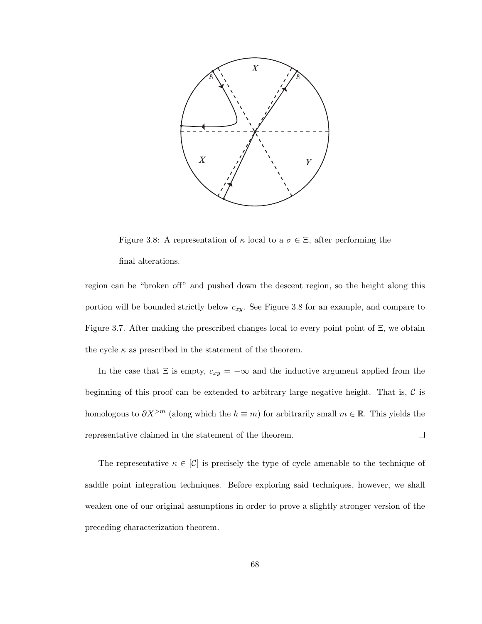

Figure 3.8: A representation of  $\kappa$  local to a  $\sigma \in \Xi$ , after performing the final alterations.

region can be "broken off" and pushed down the descent region, so the height along this portion will be bounded strictly below  $c_{xy}$ . See Figure 3.8 for an example, and compare to Figure 3.7. After making the prescribed changes local to every point point of Ξ, we obtain the cycle  $\kappa$  as prescribed in the statement of the theorem.

In the case that  $\Xi$  is empty,  $c_{xy} = -\infty$  and the inductive argument applied from the beginning of this proof can be extended to arbitrary large negative height. That is,  $\mathcal C$  is homologous to  $\partial X^{>m}$  (along which the  $h \equiv m$ ) for arbitrarily small  $m \in \mathbb{R}$ . This yields the representative claimed in the statement of the theorem.  $\Box$ 

The representative  $\kappa \in [\mathcal{C}]$  is precisely the type of cycle amenable to the technique of saddle point integration techniques. Before exploring said techniques, however, we shall weaken one of our original assumptions in order to prove a slightly stronger version of the preceding characterization theorem.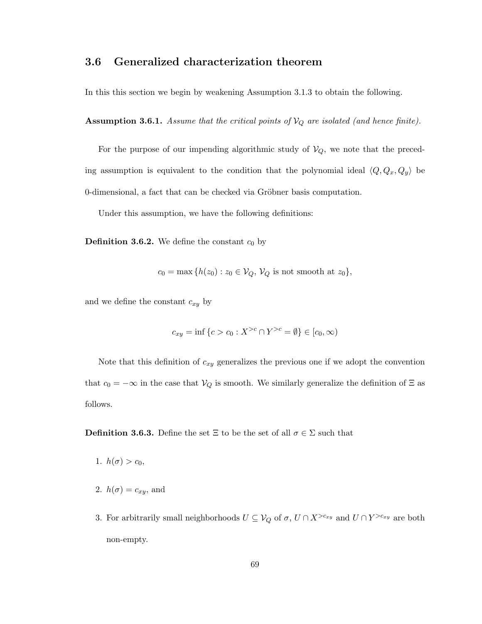# 3.6 Generalized characterization theorem

In this this section we begin by weakening Assumption 3.1.3 to obtain the following.

Assumption 3.6.1. *Assume that the critical points of*  $V_Q$  *are isolated (and hence finite).* 

For the purpose of our impending algorithmic study of  $V_Q$ , we note that the preceding assumption is equivalent to the condition that the polynomial ideal  $\langle Q, Q_x, Q_y \rangle$  be 0-dimensional, a fact that can be checked via Gröbner basis computation.

Under this assumption, we have the following definitions:

**Definition 3.6.2.** We define the constant  $c_0$  by

$$
c_0 = \max\{h(z_0): z_0 \in \mathcal{V}_Q, \mathcal{V}_Q \text{ is not smooth at } z_0\},\
$$

and we define the constant  $c_{xy}$  by

$$
c_{xy} = \inf \{ c > c_0 : X^{>c} \cap Y^{>c} = \emptyset \} \in [c_0, \infty)
$$

Note that this definition of  $c_{xy}$  generalizes the previous one if we adopt the convention that  $c_0 = -\infty$  in the case that  $V_Q$  is smooth. We similarly generalize the definition of  $\Xi$  as follows.

**Definition 3.6.3.** Define the set  $\Xi$  to be the set of all  $\sigma \in \Sigma$  such that

- 1.  $h(\sigma) > c_0$ ,
- 2.  $h(\sigma) = c_{xy}$ , and
- 3. For arbitrarily small neighborhoods  $U \subseteq V_Q$  of  $\sigma$ ,  $U \cap X^{>c_{xy}}$  and  $U \cap Y^{>c_{xy}}$  are both non-empty.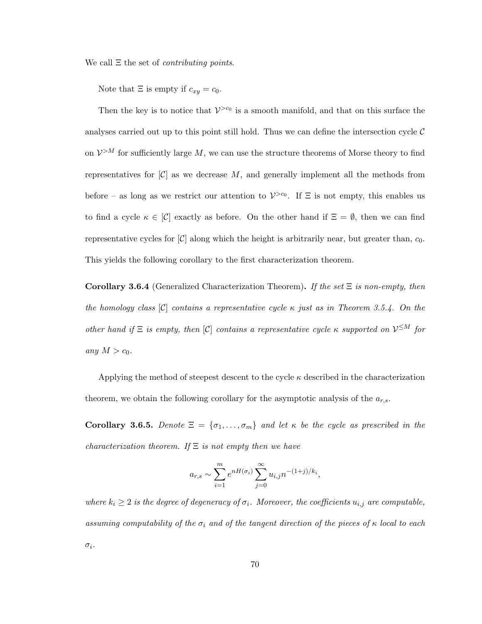We call Ξ the set of *contributing points*.

Note that  $\Xi$  is empty if  $c_{xy} = c_0$ .

Then the key is to notice that  $V^{>c_0}$  is a smooth manifold, and that on this surface the analyses carried out up to this point still hold. Thus we can define the intersection cycle  $\mathcal C$ on  $\mathcal{V}^{>M}$  for sufficiently large  $M$ , we can use the structure theorems of Morse theory to find representatives for  $[\mathcal{C}]$  as we decrease M, and generally implement all the methods from before – as long as we restrict our attention to  $\mathcal{V}^{>c_0}$ . If  $\Xi$  is not empty, this enables us to find a cycle  $\kappa \in [\mathcal{C}]$  exactly as before. On the other hand if  $\Xi = \emptyset$ , then we can find representative cycles for  $|\mathcal{C}|$  along which the height is arbitrarily near, but greater than,  $c_0$ . This yields the following corollary to the first characterization theorem.

Corollary 3.6.4 (Generalized Characterization Theorem). *If the set* Ξ *is non-empty, then the homology class* [C] *contains a representative cycle* κ *just as in Theorem 3.5.4. On the other hand if*  $\Xi$  *is empty, then* [C] *contains a representative cycle*  $\kappa$  *supported on*  $V^{\leq M}$  *for any*  $M > c_0$ *.* 

Applying the method of steepest descent to the cycle  $\kappa$  described in the characterization theorem, we obtain the following corollary for the asymptotic analysis of the  $a_{r,s}$ .

Corollary 3.6.5. *Denote*  $\Xi = {\sigma_1, \ldots, \sigma_m}$  *and let*  $\kappa$  *be the cycle as prescribed in the characterization theorem. If* Ξ *is not empty then we have*

$$
a_{r,s} \sim \sum_{i=1}^m e^{nH(\sigma_i)} \sum_{j=0}^\infty u_{i,j} n^{-(1+j)/k_i},
$$

*where*  $k_i \geq 2$  *is the degree of degeneracy of*  $\sigma_i$ *. Moreover, the coefficients*  $u_{i,j}$  *are computable, assuming computability of the*  $\sigma_i$  *and of the tangent direction of the pieces of*  $\kappa$  *local to each* σi*.*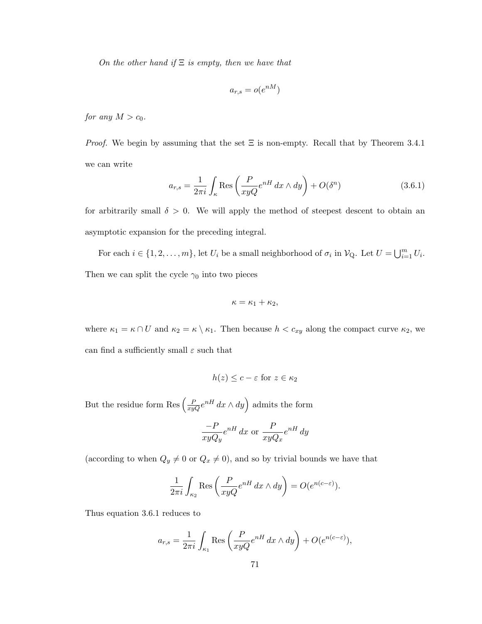*On the other hand if* Ξ *is empty, then we have that*

$$
a_{r,s} = o(e^{nM})
$$

*for any*  $M > c_0$ *.* 

*Proof.* We begin by assuming that the set  $\Xi$  is non-empty. Recall that by Theorem 3.4.1 we can write

$$
a_{r,s} = \frac{1}{2\pi i} \int_{\kappa} \text{Res}\left(\frac{P}{xyQ}e^{nH} dx \wedge dy\right) + O(\delta^n)
$$
 (3.6.1)

for arbitrarily small  $\delta > 0$ . We will apply the method of steepest descent to obtain an asymptotic expansion for the preceding integral.

For each  $i \in \{1, 2, ..., m\}$ , let  $U_i$  be a small neighborhood of  $\sigma_i$  in  $\mathcal{V}_{Q}$ . Let  $U = \bigcup_{i=1}^{m} U_i$ . Then we can split the cycle  $\gamma_0$  into two pieces

$$
\kappa = \kappa_1 + \kappa_2,
$$

where  $\kappa_1 = \kappa \cap U$  and  $\kappa_2 = \kappa \setminus \kappa_1$ . Then because  $h < c_{xy}$  along the compact curve  $\kappa_2$ , we can find a sufficiently small  $\varepsilon$  such that

$$
h(z) \le c - \varepsilon \text{ for } z \in \kappa_2
$$

But the residue form Res  $\left(\frac{P}{xyQ}e^{nH} dx \wedge dy\right)$  admits the form

$$
\frac{-P}{xyQ_y}e^{nH} dx
$$
 or 
$$
\frac{P}{xyQ_x}e^{nH} dy
$$

(according to when  $Q_y \neq 0$  or  $Q_x \neq 0$ ), and so by trivial bounds we have that

$$
\frac{1}{2\pi i} \int_{\kappa_2} \text{Res}\left(\frac{P}{xyQ}e^{nH} dx \wedge dy\right) = O(e^{n(c-\varepsilon)}).
$$

Thus equation 3.6.1 reduces to

$$
a_{r,s} = \frac{1}{2\pi i} \int_{\kappa_1} \text{Res}\left(\frac{P}{xyQ}e^{nH} dx \wedge dy\right) + O(e^{n(c-\varepsilon)}),
$$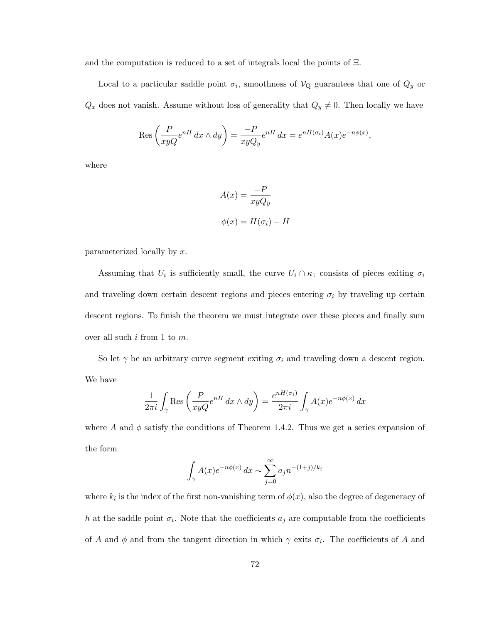and the computation is reduced to a set of integrals local the points of Ξ.

Local to a particular saddle point  $\sigma_i$ , smoothness of  $\mathcal{V}_Q$  guarantees that one of  $Q_y$  or  $Q_x$  does not vanish. Assume without loss of generality that  $Q_y \neq 0$ . Then locally we have

$$
\operatorname{Res}\left(\frac{P}{xyQ}e^{nH} dx \wedge dy\right) = \frac{-P}{xyQ_y}e^{nH} dx = e^{nH(\sigma_i)}A(x)e^{-n\phi(x)},
$$

where

$$
A(x) = \frac{-P}{xyQ_y}
$$

$$
\phi(x) = H(\sigma_i) - H
$$

parameterized locally by x.

Assuming that  $U_i$  is sufficiently small, the curve  $U_i \cap \kappa_1$  consists of pieces exiting  $\sigma_i$ and traveling down certain descent regions and pieces entering  $\sigma_i$  by traveling up certain descent regions. To finish the theorem we must integrate over these pieces and finally sum over all such  $i$  from 1 to  $m$ .

So let  $\gamma$  be an arbitrary curve segment exiting  $\sigma_i$  and traveling down a descent region. We have

$$
\frac{1}{2\pi i} \int_{\gamma} \text{Res}\left(\frac{P}{xyQ}e^{nH} dx \wedge dy\right) = \frac{e^{nH(\sigma_i)}}{2\pi i} \int_{\gamma} A(x)e^{-n\phi(x)} dx
$$

where A and  $\phi$  satisfy the conditions of Theorem 1.4.2. Thus we get a series expansion of the form

$$
\int_{\gamma} A(x)e^{-n\phi(x)} dx \sim \sum_{j=0}^{\infty} a_j n^{-(1+j)/k_i}
$$

where  $k_i$  is the index of the first non-vanishing term of  $\phi(x)$ , also the degree of degeneracy of h at the saddle point  $\sigma_i$ . Note that the coefficients  $a_j$  are computable from the coefficients of A and  $\phi$  and from the tangent direction in which  $\gamma$  exits  $\sigma_i$ . The coefficients of A and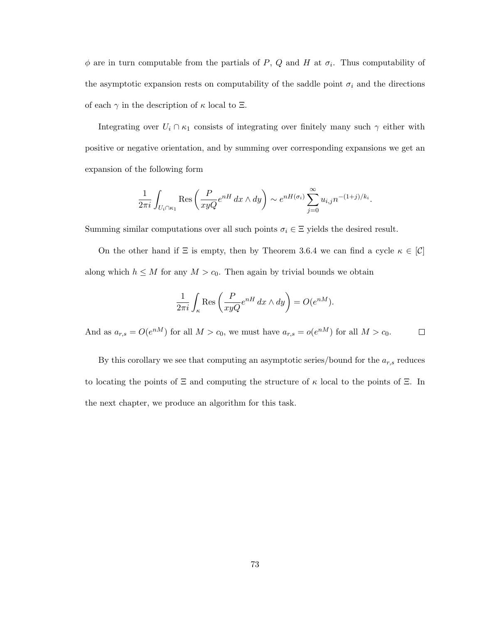$\phi$  are in turn computable from the partials of P, Q and H at  $\sigma_i$ . Thus computability of the asymptotic expansion rests on computability of the saddle point  $\sigma_i$  and the directions of each  $\gamma$  in the description of  $\kappa$  local to  $\Xi$ .

Integrating over  $U_i \cap \kappa_1$  consists of integrating over finitely many such  $\gamma$  either with positive or negative orientation, and by summing over corresponding expansions we get an expansion of the following form

$$
\frac{1}{2\pi i} \int_{U_i \cap \kappa_1} \text{Res}\left(\frac{P}{xyQ}e^{nH} dx \wedge dy\right) \sim e^{nH(\sigma_i)} \sum_{j=0}^{\infty} u_{i,j} n^{-(1+j)/k_i}.
$$

Summing similar computations over all such points  $\sigma_i \in \Xi$  yields the desired result.

On the other hand if  $\Xi$  is empty, then by Theorem 3.6.4 we can find a cycle  $\kappa \in [\mathcal{C}]$ along which  $h \leq M$  for any  $M > c_0$ . Then again by trivial bounds we obtain

$$
\frac{1}{2\pi i} \int_{\kappa} \text{Res}\left(\frac{P}{xyQ}e^{nH} dx \wedge dy\right) = O(e^{nM}).
$$

And as  $a_{r,s} = O(e^{nM})$  for all  $M > c_0$ , we must have  $a_{r,s} = o(e^{nM})$  for all  $M > c_0$ .  $\Box$ 

By this corollary we see that computing an asymptotic series/bound for the  $a_{r,s}$  reduces to locating the points of  $\Xi$  and computing the structure of  $\kappa$  local to the points of  $\Xi$ . In the next chapter, we produce an algorithm for this task.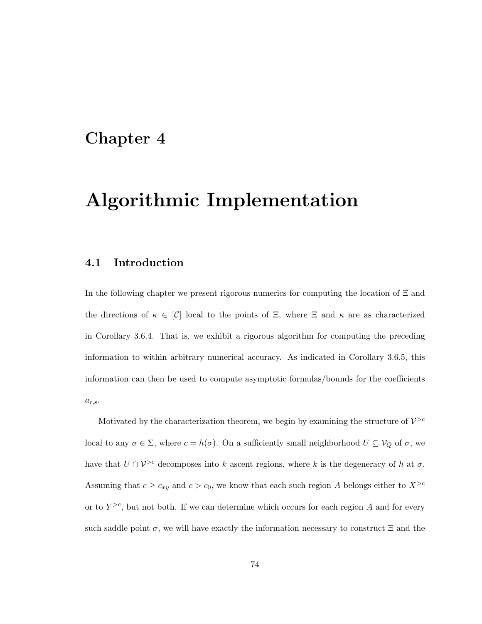# Chapter 4

# Algorithmic Implementation

# 4.1 Introduction

In the following chapter we present rigorous numerics for computing the location of Ξ and the directions of  $\kappa \in [C]$  local to the points of  $\Xi$ , where  $\Xi$  and  $\kappa$  are as characterized in Corollary 3.6.4. That is, we exhibit a rigorous algorithm for computing the preceding information to within arbitrary numerical accuracy. As indicated in Corollary 3.6.5, this information can then be used to compute asymptotic formulas/bounds for the coefficients  $a_{r,s}.$ 

Motivated by the characterization theorem, we begin by examining the structure of  $\mathcal{V}^{>c}$ local to any  $\sigma \in \Sigma$ , where  $c = h(\sigma)$ . On a sufficiently small neighborhood  $U \subseteq V_Q$  of  $\sigma$ , we have that  $U \cap V^{>c}$  decomposes into k ascent regions, where k is the degeneracy of h at  $\sigma$ . Assuming that  $c \geq c_{xy}$  and  $c > c_0$ , we know that each such region A belongs either to  $X^{>c}$ or to  $Y^{>c}$ , but not both. If we can determine which occurs for each region A and for every such saddle point  $\sigma$ , we will have exactly the information necessary to construct  $\Xi$  and the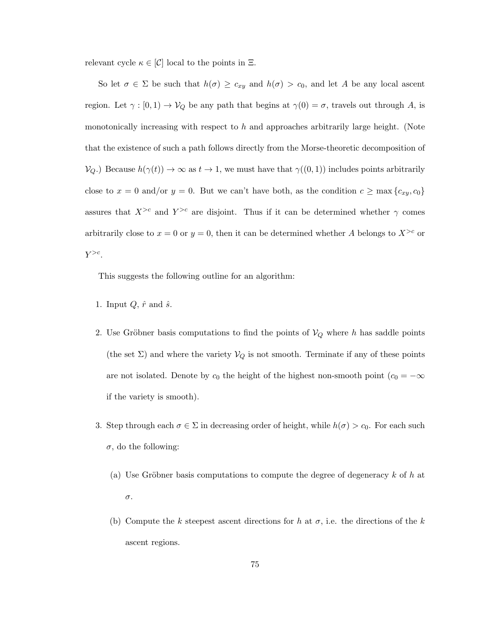relevant cycle  $\kappa \in [\mathcal{C}]$  local to the points in  $\Xi$ .

So let  $\sigma \in \Sigma$  be such that  $h(\sigma) \geq c_{xy}$  and  $h(\sigma) > c_0$ , and let A be any local ascent region. Let  $\gamma : [0, 1) \to V_Q$  be any path that begins at  $\gamma(0) = \sigma$ , travels out through A, is monotonically increasing with respect to  $h$  and approaches arbitrarily large height. (Note that the existence of such a path follows directly from the Morse-theoretic decomposition of  $V_Q$ .) Because  $h(\gamma(t)) \to \infty$  as  $t \to 1$ , we must have that  $\gamma((0,1))$  includes points arbitrarily close to  $x = 0$  and/or  $y = 0$ . But we can't have both, as the condition  $c \ge \max\{c_{xy}, c_0\}$ assures that  $X^{>c}$  and  $Y^{>c}$  are disjoint. Thus if it can be determined whether  $\gamma$  comes arbitrarily close to  $x = 0$  or  $y = 0$ , then it can be determined whether A belongs to  $X^{>c}$  or  $Y^{>c}$ .

This suggests the following outline for an algorithm:

- 1. Input  $Q, \hat{r}$  and  $\hat{s}$ .
- 2. Use Gröbner basis computations to find the points of  $V_Q$  where h has saddle points (the set  $\Sigma$ ) and where the variety  $V_Q$  is not smooth. Terminate if any of these points are not isolated. Denote by  $c_0$  the height of the highest non-smooth point  $(c_0 = -\infty)$ if the variety is smooth).
- 3. Step through each  $\sigma \in \Sigma$  in decreasing order of height, while  $h(\sigma) > c_0$ . For each such  $\sigma$ , do the following:
	- (a) Use Gröbner basis computations to compute the degree of degeneracy  $k$  of h at σ.
	- (b) Compute the k steepest ascent directions for h at  $\sigma$ , i.e. the directions of the k ascent regions.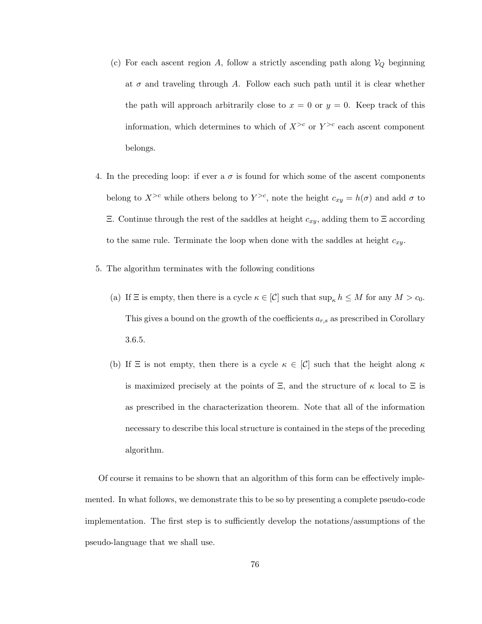- (c) For each ascent region A, follow a strictly ascending path along  $V_Q$  beginning at  $\sigma$  and traveling through A. Follow each such path until it is clear whether the path will approach arbitrarily close to  $x = 0$  or  $y = 0$ . Keep track of this information, which determines to which of  $X^{>c}$  or  $Y^{>c}$  each ascent component belongs.
- 4. In the preceding loop: if ever a  $\sigma$  is found for which some of the ascent components belong to  $X^{>c}$  while others belong to  $Y^{>c}$ , note the height  $c_{xy} = h(\sigma)$  and add  $\sigma$  to Ξ. Continue through the rest of the saddles at height cxy, adding them to Ξ according to the same rule. Terminate the loop when done with the saddles at height  $c_{xy}$ .
- 5. The algorithm terminates with the following conditions
	- (a) If  $\Xi$  is empty, then there is a cycle  $\kappa \in [C]$  such that  $\sup_{\kappa} h \leq M$  for any  $M > c_0$ . This gives a bound on the growth of the coefficients  $a_{r,s}$  as prescribed in Corollary 3.6.5.
	- (b) If  $\Xi$  is not empty, then there is a cycle  $\kappa \in [C]$  such that the height along  $\kappa$ is maximized precisely at the points of  $\Xi$ , and the structure of  $\kappa$  local to  $\Xi$  is as prescribed in the characterization theorem. Note that all of the information necessary to describe this local structure is contained in the steps of the preceding algorithm.

Of course it remains to be shown that an algorithm of this form can be effectively implemented. In what follows, we demonstrate this to be so by presenting a complete pseudo-code implementation. The first step is to sufficiently develop the notations/assumptions of the pseudo-language that we shall use.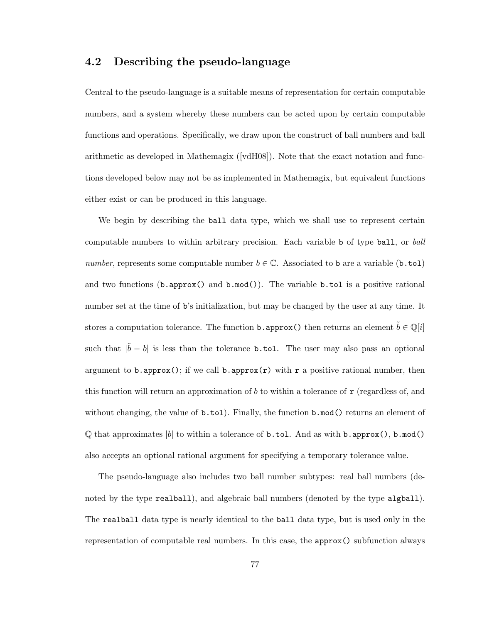# 4.2 Describing the pseudo-language

Central to the pseudo-language is a suitable means of representation for certain computable numbers, and a system whereby these numbers can be acted upon by certain computable functions and operations. Specifically, we draw upon the construct of ball numbers and ball arithmetic as developed in Mathemagix ([vdH08]). Note that the exact notation and functions developed below may not be as implemented in Mathemagix, but equivalent functions either exist or can be produced in this language.

We begin by describing the ball data type, which we shall use to represent certain computable numbers to within arbitrary precision. Each variable b of type ball, or *ball number*, represents some computable number  $b \in \mathbb{C}$ . Associated to b are a variable (b.tol) and two functions (b.approx() and  $b \mod$ ). The variable b.tol is a positive rational number set at the time of b's initialization, but may be changed by the user at any time. It stores a computation tolerance. The function **b.** approx() then returns an element  $\tilde{b} \in \mathbb{Q}[i]$ such that  $|\tilde{b} - b|$  is less than the tolerance **b.tol.** The user may also pass an optional argument to b.approx(); if we call b.approx(r) with r a positive rational number, then this function will return an approximation of b to within a tolerance of  $\mathbf r$  (regardless of, and without changing, the value of  $\mathbf{b}.\mathbf{tol}$ . Finally, the function  $\mathbf{b}.\text{mod}$  returns an element of  $\mathbb Q$  that approximates |b| to within a tolerance of **b**.tol. And as with **b**.approx(), **b**.mod() also accepts an optional rational argument for specifying a temporary tolerance value.

The pseudo-language also includes two ball number subtypes: real ball numbers (denoted by the type realball), and algebraic ball numbers (denoted by the type algball). The realball data type is nearly identical to the ball data type, but is used only in the representation of computable real numbers. In this case, the approx() subfunction always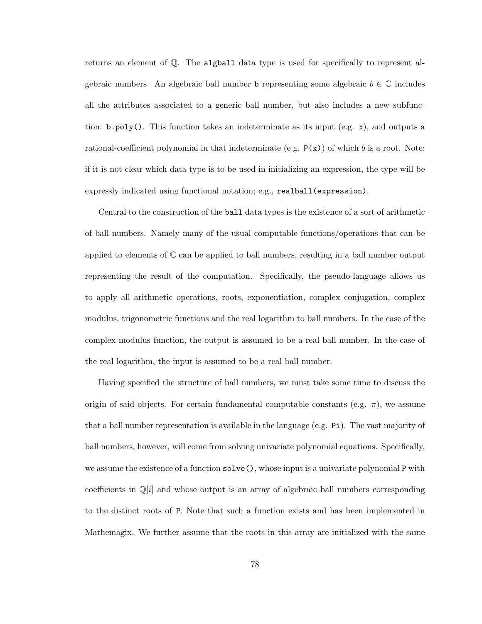returns an element of Q. The algball data type is used for specifically to represent algebraic numbers. An algebraic ball number **b** representing some algebraic  $b \in \mathbb{C}$  includes all the attributes associated to a generic ball number, but also includes a new subfunction:  $\mathbf{b}.\mathbf{poly}()$ . This function takes an indeterminate as its input (e.g. x), and outputs a rational-coefficient polynomial in that indeterminate (e.g.  $P(x)$ ) of which b is a root. Note: if it is not clear which data type is to be used in initializing an expression, the type will be expressly indicated using functional notation; e.g., realball(expression).

Central to the construction of the ball data types is the existence of a sort of arithmetic of ball numbers. Namely many of the usual computable functions/operations that can be applied to elements of  $\mathbb C$  can be applied to ball numbers, resulting in a ball number output representing the result of the computation. Specifically, the pseudo-language allows us to apply all arithmetic operations, roots, exponentiation, complex conjugation, complex modulus, trigonometric functions and the real logarithm to ball numbers. In the case of the complex modulus function, the output is assumed to be a real ball number. In the case of the real logarithm, the input is assumed to be a real ball number.

Having specified the structure of ball numbers, we must take some time to discuss the origin of said objects. For certain fundamental computable constants (e.g.  $\pi$ ), we assume that a ball number representation is available in the language (e.g. Pi). The vast majority of ball numbers, however, will come from solving univariate polynomial equations. Specifically, we assume the existence of a function solve(), whose input is a univariate polynomial P with coefficients in  $\mathbb{Q}[i]$  and whose output is an array of algebraic ball numbers corresponding to the distinct roots of P. Note that such a function exists and has been implemented in Mathemagix. We further assume that the roots in this array are initialized with the same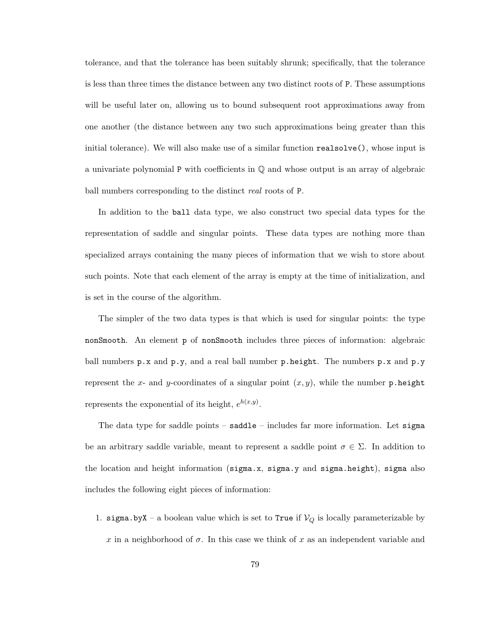tolerance, and that the tolerance has been suitably shrunk; specifically, that the tolerance is less than three times the distance between any two distinct roots of P. These assumptions will be useful later on, allowing us to bound subsequent root approximations away from one another (the distance between any two such approximations being greater than this initial tolerance). We will also make use of a similar function realsolve(), whose input is a univariate polynomial P with coefficients in  $\mathbb Q$  and whose output is an array of algebraic ball numbers corresponding to the distinct *real* roots of P.

In addition to the ball data type, we also construct two special data types for the representation of saddle and singular points. These data types are nothing more than specialized arrays containing the many pieces of information that we wish to store about such points. Note that each element of the array is empty at the time of initialization, and is set in the course of the algorithm.

The simpler of the two data types is that which is used for singular points: the type nonSmooth. An element p of nonSmooth includes three pieces of information: algebraic ball numbers  $p.x$  and  $p.y$ , and a real ball number p.height. The numbers  $p.x$  and  $p.y$ represent the x- and y-coordinates of a singular point  $(x, y)$ , while the number p.height represents the exponential of its height,  $e^{h(x,y)}$ .

The data type for saddle points – saddle – includes far more information. Let sigma be an arbitrary saddle variable, meant to represent a saddle point  $\sigma \in \Sigma$ . In addition to the location and height information (sigma.x, sigma.y and sigma.height), sigma also includes the following eight pieces of information:

1. sigma.byX – a boolean value which is set to True if  $V_Q$  is locally parameterizable by x in a neighborhood of  $\sigma$ . In this case we think of x as an independent variable and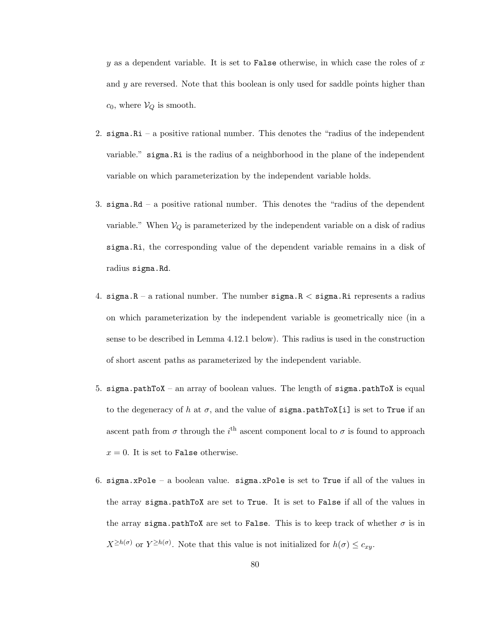y as a dependent variable. It is set to False otherwise, in which case the roles of  $x$ and y are reversed. Note that this boolean is only used for saddle points higher than  $c_0$ , where  $V_Q$  is smooth.

- 2. sigma.Ri a positive rational number. This denotes the "radius of the independent variable." sigma.Ri is the radius of a neighborhood in the plane of the independent variable on which parameterization by the independent variable holds.
- 3. sigma. $Rd a$  positive rational number. This denotes the "radius of the dependent" variable." When  $V_Q$  is parameterized by the independent variable on a disk of radius sigma.Ri, the corresponding value of the dependent variable remains in a disk of radius sigma.Rd.
- 4. sigma. $R a$  rational number. The number sigma. $R <$  sigma. $R$  represents a radius on which parameterization by the independent variable is geometrically nice (in a sense to be described in Lemma 4.12.1 below). This radius is used in the construction of short ascent paths as parameterized by the independent variable.
- 5. sigma.pathToX an array of boolean values. The length of sigma.pathToX is equal to the degeneracy of h at  $\sigma$ , and the value of sigma.pathToX[i] is set to True if an ascent path from  $\sigma$  through the i<sup>th</sup> ascent component local to  $\sigma$  is found to approach  $x = 0$ . It is set to False otherwise.
- 6. sigma.xPole a boolean value. sigma.xPole is set to True if all of the values in the array sigma.pathToX are set to True. It is set to False if all of the values in the array sigma.pathToX are set to False. This is to keep track of whether  $\sigma$  is in  $X^{\geq h(\sigma)}$  or  $Y^{\geq h(\sigma)}$ . Note that this value is not initialized for  $h(\sigma) \leq c_{xy}$ .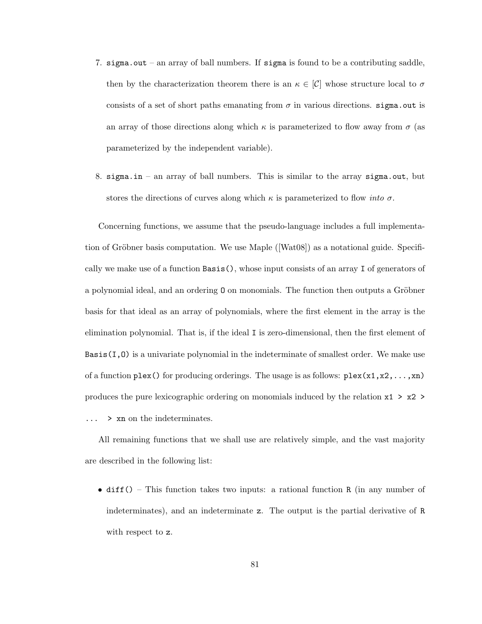- 7. sigma.out an array of ball numbers. If sigma is found to be a contributing saddle, then by the characterization theorem there is an  $\kappa \in [C]$  whose structure local to  $\sigma$ consists of a set of short paths emanating from  $\sigma$  in various directions. sigma.out is an array of those directions along which  $\kappa$  is parameterized to flow away from  $\sigma$  (as parameterized by the independent variable).
- 8. sigma.in an array of ball numbers. This is similar to the array sigma.out, but stores the directions of curves along which  $\kappa$  is parameterized to flow *into*  $\sigma$ .

Concerning functions, we assume that the pseudo-language includes a full implementation of Gröbner basis computation. We use Maple  $([Wat08])$  as a notational guide. Specifically we make use of a function Basis(), whose input consists of an array I of generators of a polynomial ideal, and an ordering 0 on monomials. The function then outputs a Gröbner basis for that ideal as an array of polynomials, where the first element in the array is the elimination polynomial. That is, if the ideal I is zero-dimensional, then the first element of  $Basis(I,0)$  is a univariate polynomial in the indeterminate of smallest order. We make use of a function  $plex()$  for producing orderings. The usage is as follows:  $plex(x1, x2, \ldots, xn)$ produces the pure lexicographic ordering on monomials induced by the relation  $x1 > x2 >$ ... > xn on the indeterminates.

All remaining functions that we shall use are relatively simple, and the vast majority are described in the following list:

• diff() – This function takes two inputs: a rational function R (in any number of indeterminates), and an indeterminate z. The output is the partial derivative of R with respect to z.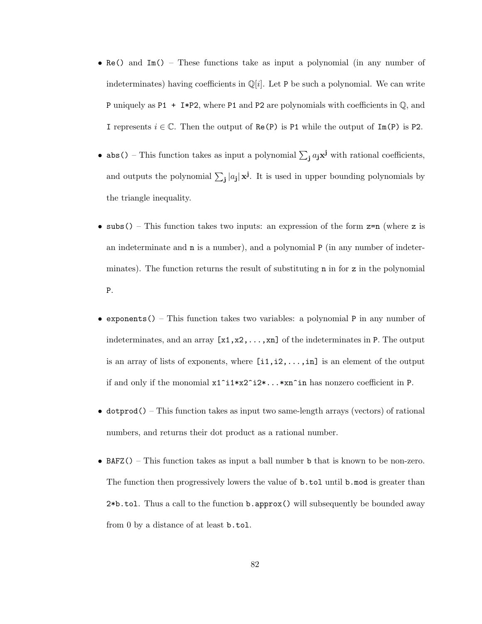- Re() and Im() These functions take as input a polynomial (in any number of indeterminates) having coefficients in  $\mathbb{Q}[i]$ . Let P be such a polynomial. We can write P uniquely as P1  $+ I * P2$ , where P1 and P2 are polynomials with coefficients in  $\mathbb{Q}$ , and I represents  $i \in \mathbb{C}$ . Then the output of Re(P) is P1 while the output of Im(P) is P2.
- abs() This function takes as input a polynomial  $\sum_j a_j \mathbf{x}^j$  with rational coefficients, and outputs the polynomial  $\sum_{j} |a_j| \mathbf{x}^j$ . It is used in upper bounding polynomials by the triangle inequality.
- subs() This function takes two inputs: an expression of the form  $z=n$  (where z is an indeterminate and n is a number), and a polynomial P (in any number of indeterminates). The function returns the result of substituting n in for z in the polynomial P.
- exponents() This function takes two variables: a polynomial P in any number of indeterminates, and an array  $[x1, x2, \ldots, xn]$  of the indeterminates in P. The output is an array of lists of exponents, where  $[i1,i2,\ldots,in]$  is an element of the output if and only if the monomial  $x1^i1*x2^i2*\ldots*xn^im$  has nonzero coefficient in P.
- $\bullet$  dotprod() This function takes as input two same-length arrays (vectors) of rational numbers, and returns their dot product as a rational number.
- BAFZ() This function takes as input a ball number b that is known to be non-zero. The function then progressively lowers the value of b.tol until b.mod is greater than 2\*b.tol. Thus a call to the function b.approx() will subsequently be bounded away from 0 by a distance of at least b.tol.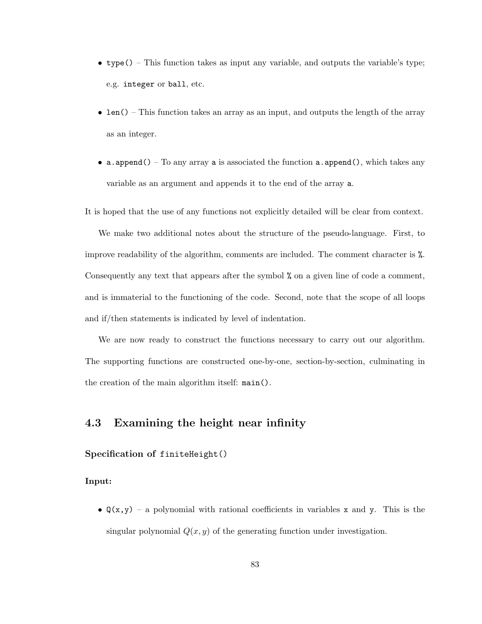- type() This function takes as input any variable, and outputs the variable's type; e.g. integer or ball, etc.
- len() This function takes an array as an input, and outputs the length of the array as an integer.
- a. append() To any array a is associated the function a. append(), which takes any variable as an argument and appends it to the end of the array a.

It is hoped that the use of any functions not explicitly detailed will be clear from context.

We make two additional notes about the structure of the pseudo-language. First, to improve readability of the algorithm, comments are included. The comment character is %. Consequently any text that appears after the symbol % on a given line of code a comment, and is immaterial to the functioning of the code. Second, note that the scope of all loops and if/then statements is indicated by level of indentation.

We are now ready to construct the functions necessary to carry out our algorithm. The supporting functions are constructed one-by-one, section-by-section, culminating in the creation of the main algorithm itself: main().

# 4.3 Examining the height near infinity

## Specification of finiteHeight()

Input:

•  $Q(x, y)$  – a polynomial with rational coefficients in variables x and y. This is the singular polynomial  $Q(x, y)$  of the generating function under investigation.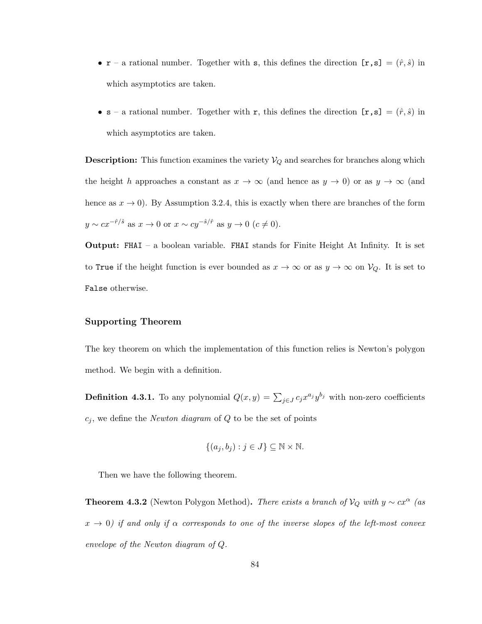- $\mathbf{r}$  a rational number. Together with s, this defines the direction  $[\mathbf{r}, \mathbf{s}] = (\hat{r}, \hat{s})$  in which asymptotics are taken.
- $s a$  rational number. Together with r, this defines the direction  $[r, s] = (\hat{r}, \hat{s})$  in which asymptotics are taken.

**Description:** This function examines the variety  $V_Q$  and searches for branches along which the height h approaches a constant as  $x \to \infty$  (and hence as  $y \to 0$ ) or as  $y \to \infty$  (and hence as  $x \to 0$ . By Assumption 3.2.4, this is exactly when there are branches of the form  $y \sim cx^{-\hat{r}/\hat{s}}$  as  $x \to 0$  or  $x \sim cy^{-\hat{s}/\hat{r}}$  as  $y \to 0$   $(c \neq 0)$ .

Output: FHAI – a boolean variable. FHAI stands for Finite Height At Infinity. It is set to True if the height function is ever bounded as  $x \to \infty$  or as  $y \to \infty$  on  $V_Q$ . It is set to False otherwise.

#### Supporting Theorem

The key theorem on which the implementation of this function relies is Newton's polygon method. We begin with a definition.

**Definition 4.3.1.** To any polynomial  $Q(x, y) = \sum_{j \in J} c_j x^{a_j} y^{b_j}$  with non-zero coefficients  $c_j$ , we define the *Newton diagram* of  $Q$  to be the set of points

$$
\{(a_j, b_j) : j \in J\} \subseteq \mathbb{N} \times \mathbb{N}.
$$

Then we have the following theorem.

**Theorem 4.3.2** (Newton Polygon Method). *There exists a branch of*  $V_Q$  *with*  $y \sim cx^\alpha$  (as  $x \to 0$ ) if and only if  $\alpha$  corresponds to one of the inverse slopes of the left-most convex *envelope of the Newton diagram of* Q*.*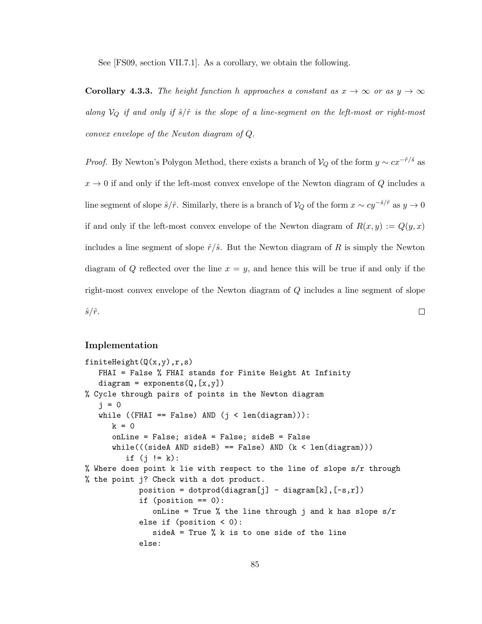See [FS09, section VII.7.1]. As a corollary, we obtain the following.

**Corollary 4.3.3.** The height function h approaches a constant as  $x \to \infty$  or as  $y \to \infty$ *along*  $V_Q$  *if and only if*  $\hat{s}/\hat{r}$  *is the slope of a line-segment on the left-most or right-most convex envelope of the Newton diagram of* Q*.*

*Proof.* By Newton's Polygon Method, there exists a branch of  $V_Q$  of the form  $y \sim cx^{-r/3}$  as  $x \to 0$  if and only if the left-most convex envelope of the Newton diagram of Q includes a line segment of slope  $\hat{s}/\hat{r}$ . Similarly, there is a branch of  $V_Q$  of the form  $x \sim cy^{-\hat{s}/\hat{r}}$  as  $y \to 0$ if and only if the left-most convex envelope of the Newton diagram of  $R(x, y) := Q(y, x)$ includes a line segment of slope  $\hat{r}/\hat{s}$ . But the Newton diagram of R is simply the Newton diagram of Q reflected over the line  $x = y$ , and hence this will be true if and only if the right-most convex envelope of the Newton diagram of Q includes a line segment of slope  $\hat{s}/\hat{r}$ .  $\Box$ 

#### Implementation

```
finiteHeight(Q(x,y),r,s)FHAI = False % FHAI stands for Finite Height At Infinity
   diagram = exponents(Q, [x, y])% Cycle through pairs of points in the Newton diagram
   i = 0while ((FHAI == False) AND (j < len(diagram))):
      k = 0onLine = False; sideA = False; sideB = False
      while((sideA \text{ AND } sideB) == False) \text{ AND } (k < len(diagram)))if (j != k):
% Where does point k lie with respect to the line of slope s/r through
% the point j? Check with a dot product.
            position = dotprod(diagram[j] - diagram[k], [-s,r])if (position == 0):
               onLine = True % the line through j and k has slope s/relse if (position < 0):
               sideA = True % k is to one side of the line
            else:
```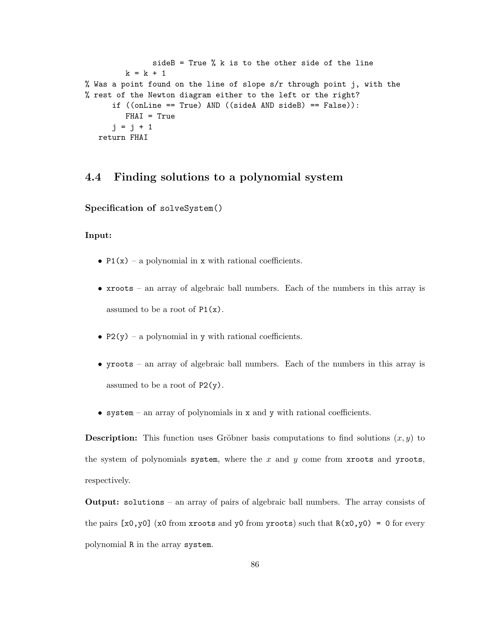```
sideB = True \frac{9}{6} k is to the other side of the line
         k = k + 1% Was a point found on the line of slope s/r through point j, with the
% rest of the Newton diagram either to the left or the right?
      if ((onLine == True) AND ((sideA AND sideB) == False)):
         FHAI = True
      j = j + 1return FHAI
```
# 4.4 Finding solutions to a polynomial system

Specification of solveSystem()

### Input:

- P1(x) a polynomial in x with rational coefficients.
- xroots an array of algebraic ball numbers. Each of the numbers in this array is assumed to be a root of  $P1(x)$ .
- P2(y) a polynomial in y with rational coefficients.
- yroots an array of algebraic ball numbers. Each of the numbers in this array is assumed to be a root of P2(y).
- system an array of polynomials in x and y with rational coefficients.

**Description:** This function uses Gröbner basis computations to find solutions  $(x, y)$  to the system of polynomials system, where the  $x$  and  $y$  come from xroots and yroots, respectively.

Output: solutions – an array of pairs of algebraic ball numbers. The array consists of the pairs  $[x0, y0]$  (x0 from xroots and y0 from yroots) such that  $R(x0, y0) = 0$  for every polynomial R in the array system.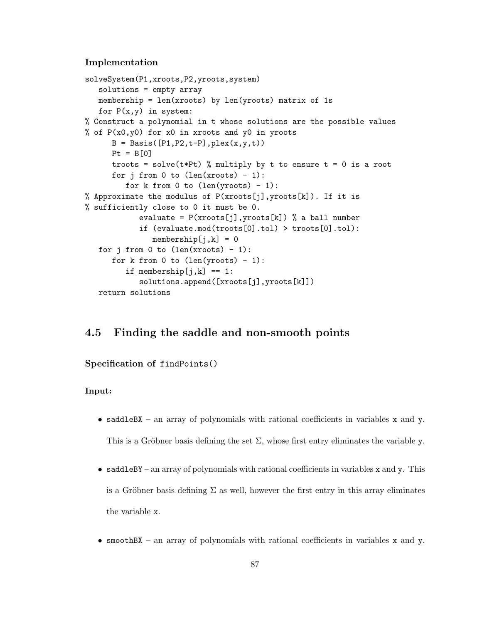#### Implementation

```
solveSystem(P1,xroots,P2,yroots,system)
   solutions = empty array
   membership = len(xroots) by len(yroots) matrix of 1s
   for P(x,y) in system:
% Construct a polynomial in t whose solutions are the possible values
% of P(x0,y0) for x0 in xroots and y0 in yroots
     B = Basis([P1,P2,t-P],plex(x,y,t))Pt = B[0]troots = solve(t*Pt) % multiply by t to ensure t = 0 is a root
      for j from 0 to (len(xroots) - 1):
         for k from 0 to (len(yroots) - 1):
% Approximate the modulus of P(xroots[j],yroots[k]). If it is
% sufficiently close to 0 it must be 0.
            evaluate = P(xroots[i],yroots[k]) % a ball number
            if (evaluate.mod(troots[0].tol) > troots[0].tol):
               membership[i, k] = 0for j from 0 to (len(xroots) - 1):
      for k from 0 to (len(yroots) - 1):
         if membership[j, k] == 1:
            solutions.append([xroots[j],yroots[k]])
   return solutions
```
# 4.5 Finding the saddle and non-smooth points

#### Specification of findPoints()

#### Input:

- saddleBX an array of polynomials with rational coefficients in variables x and y. This is a Gröbner basis defining the set  $\Sigma$ , whose first entry eliminates the variable y.
- saddleBY an array of polynomials with rational coefficients in variables x and y. This is a Gröbner basis defining  $\Sigma$  as well, however the first entry in this array eliminates the variable x.
- smoothBX an array of polynomials with rational coefficients in variables x and y.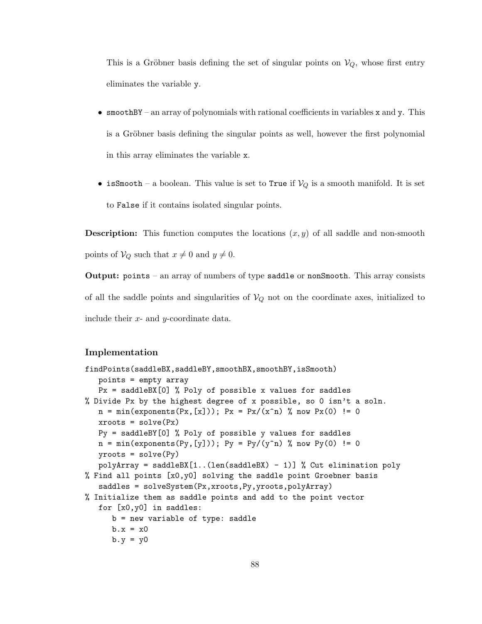This is a Gröbner basis defining the set of singular points on  $V_Q$ , whose first entry eliminates the variable y.

- smoothBY an array of polynomials with rational coefficients in variables  $x$  and  $y$ . This is a Gröbner basis defining the singular points as well, however the first polynomial in this array eliminates the variable x.
- isSmooth a boolean. This value is set to True if  $V_Q$  is a smooth manifold. It is set to False if it contains isolated singular points.

**Description:** This function computes the locations  $(x, y)$  of all saddle and non-smooth points of  $V_Q$  such that  $x \neq 0$  and  $y \neq 0$ .

Output: points – an array of numbers of type saddle or nonSmooth. This array consists of all the saddle points and singularities of  $V_Q$  not on the coordinate axes, initialized to include their x- and y-coordinate data.

## Implementation

```
findPoints(saddleBX,saddleBY,smoothBX,smoothBY,isSmooth)
   points = empty array
   Px = saddleBX[0] % Poly of possible x values for saddles
% Divide Px by the highest degree of x possible, so 0 isn't a soln.
   n = min(exponents(Px, [x])); Px = Px/(x^n) % now Px(0) != 0xroots = solve(Px)Py = saddleBY[0] % Poly of possible y values for saddles
   n = min(exponents(Py, [y])); Py = Py/(y^n) % now Py(0) != 0yroots = solve(Py)polyArray = saddleBX[1..(len(saddleBX) - 1)] % Cut elimination poly
% Find all points [x0,y0] solving the saddle point Groebner basis
   saddles = solveSystem(Px,xroots,Py,yroots,polyArray)
% Initialize them as saddle points and add to the point vector
   for [x0,y0] in saddles:
     b = new variable of type: saddle
     b.x = x0b.y = y0
```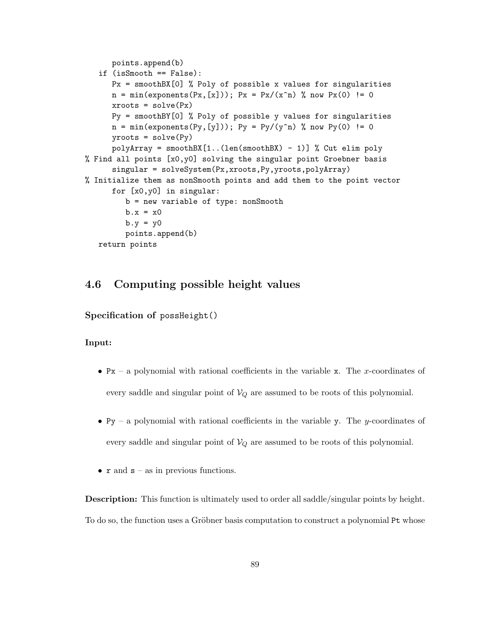```
points.append(b)
   if (isSmooth == False):
     Px = smoothBX[0] % Poly of possible x values for singularities
     n = min(exponents(Px, [x])); Px = Px/(x^n) % now Px(0) != 0xroots = solve(Px)Py = smoothBY[0] % Poly of possible y values for singularities
     n = min(exponents(Py, [y])); Py = Py/(y^n n) % now Py(0) != 0yroots = solve(Py)polyArray = smoothBX[1..(len(smoothBX) - 1)] % Cut elim poly
% Find all points [x0,y0] solving the singular point Groebner basis
      singular = solveSystem(Px,xroots,Py,yroots,polyArray)
% Initialize them as nonSmooth points and add them to the point vector
      for [x0,y0] in singular:
         b = new variable of type: nonSmooth
         b.x = x0b.y = y0points.append(b)
   return points
```
# 4.6 Computing possible height values

Specification of possHeight()

## Input:

- Px a polynomial with rational coefficients in the variable x. The x-coordinates of every saddle and singular point of  $V_Q$  are assumed to be roots of this polynomial.
- Py a polynomial with rational coefficients in the variable y. The y-coordinates of every saddle and singular point of  $V_Q$  are assumed to be roots of this polynomial.
- $r$  and  $s as$  in previous functions.

Description: This function is ultimately used to order all saddle/singular points by height. To do so, the function uses a Gröbner basis computation to construct a polynomial Pt whose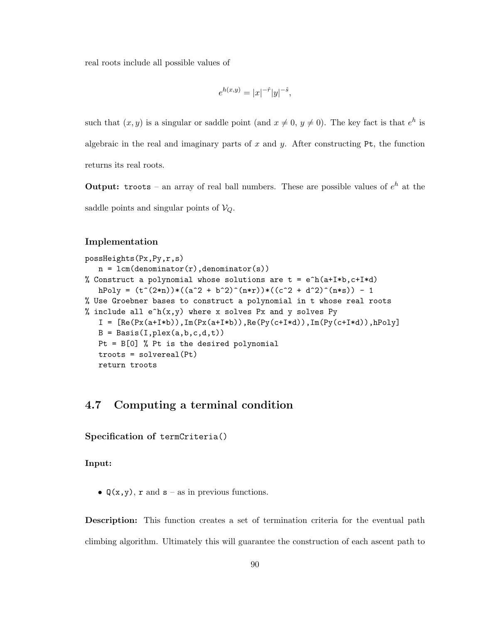real roots include all possible values of

$$
e^{h(x,y)} = |x|^{-\hat{r}} |y|^{-\hat{s}},
$$

such that  $(x, y)$  is a singular or saddle point (and  $x \neq 0, y \neq 0$ ). The key fact is that  $e^{h}$  is algebraic in the real and imaginary parts of x and y. After constructing  $Pt$ , the function returns its real roots.

**Output:** troots – an array of real ball numbers. These are possible values of  $e^h$  at the saddle points and singular points of  $V_Q$ .

### Implementation

```
possHeights(Px,Py,r,s)
   n = lcm(denominator(r),denominator(s))% Construct a polynomial whose solutions are t = e^h(a+I*b, c+I*d)hPoly = (t^*(2*n))*( (a^2 + b^2)^*(n*r))*( (c^2 + d^2)^*(n*s)) - 1% Use Groebner bases to construct a polynomial in t whose real roots
% include all e^h(x,y) where x solves Px and y solves Py
   I = [Re(Px(a+I*b)), Im(Px(a+I*b)), Re(Py(c+I*d)), Im(Py(c+I*d)), hPoly]B = Basis(I,plex(a,b,c,d,t))Pt = B[0] % Pt is the desired polynomial
   troots = solvereal(Pt)
   return troots
```
# 4.7 Computing a terminal condition

```
Specification of termCriteria()
```
Input:

•  $Q(x, y)$ , r and  $s - as$  in previous functions.

Description: This function creates a set of termination criteria for the eventual path climbing algorithm. Ultimately this will guarantee the construction of each ascent path to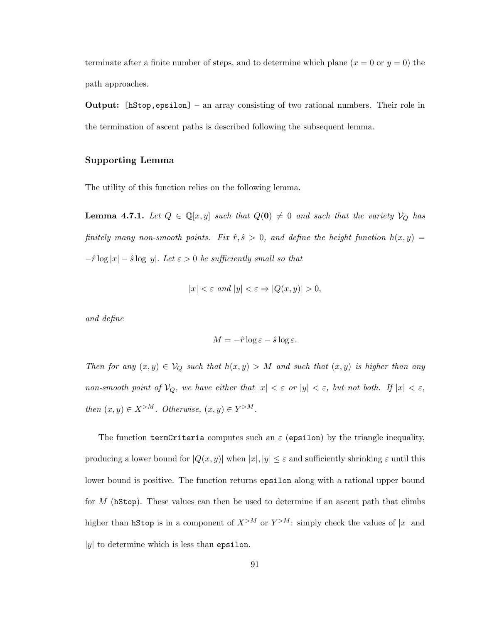terminate after a finite number of steps, and to determine which plane  $(x = 0 \text{ or } y = 0)$  the path approaches.

Output: [hStop,epsilon] – an array consisting of two rational numbers. Their role in the termination of ascent paths is described following the subsequent lemma.

## Supporting Lemma

The utility of this function relies on the following lemma.

**Lemma 4.7.1.** Let  $Q \in \mathbb{Q}[x, y]$  such that  $Q(\mathbf{0}) \neq 0$  and such that the variety  $V_Q$  has *finitely many non-smooth points. Fix*  $\hat{r}, \hat{s} > 0$ , and define the height function  $h(x, y) =$  $-\hat{r}\log|x| - \hat{s}\log|y|$ . Let  $\varepsilon > 0$  be sufficiently small so that

$$
|x| < \varepsilon \text{ and } |y| < \varepsilon \Rightarrow |Q(x, y)| > 0,
$$

*and define*

$$
M = -\hat{r} \log \varepsilon - \hat{s} \log \varepsilon.
$$

*Then for any*  $(x, y) \in V_Q$  *such that*  $h(x, y) > M$  *and such that*  $(x, y)$  *is higher than any non-smooth point of*  $V_Q$ *, we have either that*  $|x| < \varepsilon$  *or*  $|y| < \varepsilon$ *, but not both.* If  $|x| < \varepsilon$ *, then*  $(x, y) \in X^{>M}$ *. Otherwise,*  $(x, y) \in Y^{>M}$ *.* 

The function termCriteria computes such an  $\varepsilon$  (epsilon) by the triangle inequality, producing a lower bound for  $|Q(x, y)|$  when  $|x|, |y| \leq \varepsilon$  and sufficiently shrinking  $\varepsilon$  until this lower bound is positive. The function returns epsilon along with a rational upper bound for  $M$  (hStop). These values can then be used to determine if an ascent path that climbs higher than **hStop** is in a component of  $X^{>M}$  or  $Y^{>M}$ : simply check the values of |x| and  $|y|$  to determine which is less than epsilon.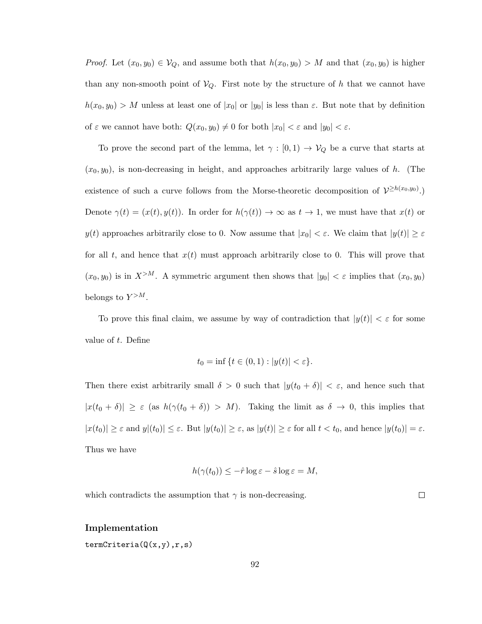*Proof.* Let  $(x_0, y_0) \in V_Q$ , and assume both that  $h(x_0, y_0) > M$  and that  $(x_0, y_0)$  is higher than any non-smooth point of  $V_Q$ . First note by the structure of h that we cannot have  $h(x_0, y_0) > M$  unless at least one of  $|x_0|$  or  $|y_0|$  is less than  $\varepsilon$ . But note that by definition of  $\varepsilon$  we cannot have both:  $Q(x_0, y_0) \neq 0$  for both  $|x_0| < \varepsilon$  and  $|y_0| < \varepsilon$ .

To prove the second part of the lemma, let  $\gamma : [0,1) \to V_Q$  be a curve that starts at  $(x_0, y_0)$ , is non-decreasing in height, and approaches arbitrarily large values of h. (The existence of such a curve follows from the Morse-theoretic decomposition of  $\mathcal{V}^{\geq h(x_0,y_0)}$ . Denote  $\gamma(t) = (x(t), y(t))$ . In order for  $h(\gamma(t)) \to \infty$  as  $t \to 1$ , we must have that  $x(t)$  or  $y(t)$  approaches arbitrarily close to 0. Now assume that  $|x_0| < \varepsilon$ . We claim that  $|y(t)| \geq \varepsilon$ for all t, and hence that  $x(t)$  must approach arbitrarily close to 0. This will prove that  $(x_0, y_0)$  is in  $X^{>M}$ . A symmetric argument then shows that  $|y_0| < \varepsilon$  implies that  $(x_0, y_0)$ belongs to  $Y^{>M}$ .

To prove this final claim, we assume by way of contradiction that  $|y(t)| < \varepsilon$  for some value of t. Define

$$
t_0 = \inf \{ t \in (0,1) : |y(t)| < \varepsilon \}.
$$

Then there exist arbitrarily small  $\delta > 0$  such that  $|y(t_0 + \delta)| < \varepsilon$ , and hence such that  $|x(t_0 + \delta)| \geq \varepsilon$  (as  $h(\gamma(t_0 + \delta)) > M$ ). Taking the limit as  $\delta \to 0$ , this implies that  $|x(t_0)| \geq \varepsilon$  and  $y|(t_0)| \leq \varepsilon$ . But  $|y(t_0)| \geq \varepsilon$ , as  $|y(t)| \geq \varepsilon$  for all  $t < t_0$ , and hence  $|y(t_0)| = \varepsilon$ . Thus we have

$$
h(\gamma(t_0)) \leq -\hat{r} \log \varepsilon - \hat{s} \log \varepsilon = M,
$$

which contradicts the assumption that  $\gamma$  is non-decreasing.

#### $\Box$

#### Implementation

termCriteria(Q(x,y),r,s)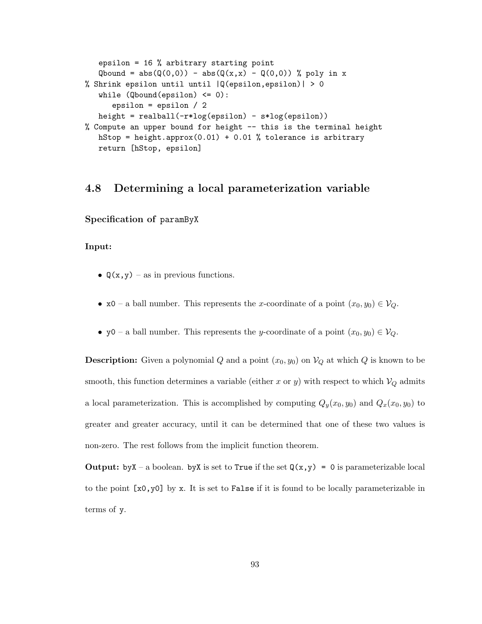```
epsilon = 16 % arbitrary starting point
   Qbound = abs(Q(0,0)) - abs(Q(x,x) - Q(0,0)) % poly in x
% Shrink epsilon until until |Q(epsilon,epsilon)| > 0
   while (Qbound(epsilon) \leq 0):
      epsilon = epsilon / 2
   height = realball(-r*log(epsilon) - s*log(epsilon))
% Compute an upper bound for height -- this is the terminal height
   hStop = height.append(0.01) + 0.01 % tolerance is arbitrary
   return [hStop, epsilon]
```
# 4.8 Determining a local parameterization variable

Specification of paramByX

## Input:

- $Q(x, y)$  as in previous functions.
- x0 a ball number. This represents the x-coordinate of a point  $(x_0, y_0) \in V_Q$ .
- y0 a ball number. This represents the y-coordinate of a point  $(x_0, y_0) \in V_Q$ .

**Description:** Given a polynomial Q and a point  $(x_0, y_0)$  on  $V_Q$  at which Q is known to be smooth, this function determines a variable (either x or y) with respect to which  $V_Q$  admits a local parameterization. This is accomplished by computing  $Q_y(x_0, y_0)$  and  $Q_x(x_0, y_0)$  to greater and greater accuracy, until it can be determined that one of these two values is non-zero. The rest follows from the implicit function theorem.

**Output:** by  $X - a$  boolean. by  $X$  is set to True if the set  $Q(x, y) = 0$  is parameterizable local to the point  $[x0, y0]$  by x. It is set to False if it is found to be locally parameterizable in terms of y.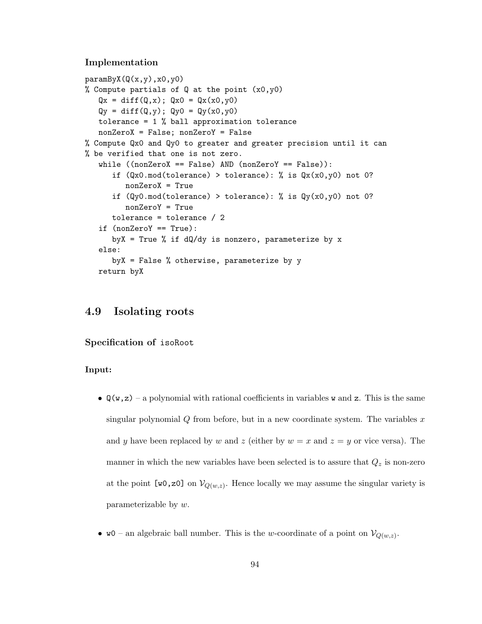#### Implementation

```
paramByX(Q(x,y),x0,y0)% Compute partials of Q at the point (x0,y0)
   Qx = diff(Q, x); Qx0 = Qx(x0, y0)Qy = diff(Q, y); Qy0 = Qy(x0, y0)tolerance = 1 % ball approximation tolerance
   nonZeroX = False; nonZeroY = False
% Compute Qx0 and Qy0 to greater and greater precision until it can
% be verified that one is not zero.
   while ((nonZeroX == False) AND (nonZeroY == False)):
      if (Qx0(mod(tolerance) > tolerance): % is Qx(x0,y0) not 0?nonZeroX = True
      if (Qy0(mod(to) > tolerance): % is Qy(x0,y0) not 0?nonZeroY = True
     tolerance = tolerance / 2
   if (nonZeroY == True):
     byX = True % if dQ/dy is nonzero, parameterize by x
   else:
     byX = False % otherwise, parameterize by y
   return byX
```
# 4.9 Isolating roots

Specification of isoRoot

#### Input:

- $\mathbb{Q}(\mathbf{w}, \mathbf{z})$  a polynomial with rational coefficients in variables **w** and **z**. This is the same singular polynomial  $Q$  from before, but in a new coordinate system. The variables  $x$ and y have been replaced by w and z (either by  $w = x$  and  $z = y$  or vice versa). The manner in which the new variables have been selected is to assure that  $Q_z$  is non-zero at the point  $[w0, z0]$  on  $V_{Q(w,z)}$ . Hence locally we may assume the singular variety is parameterizable by w.
- w0 an algebraic ball number. This is the w-coordinate of a point on  $\mathcal{V}_{Q(w,z)}$ .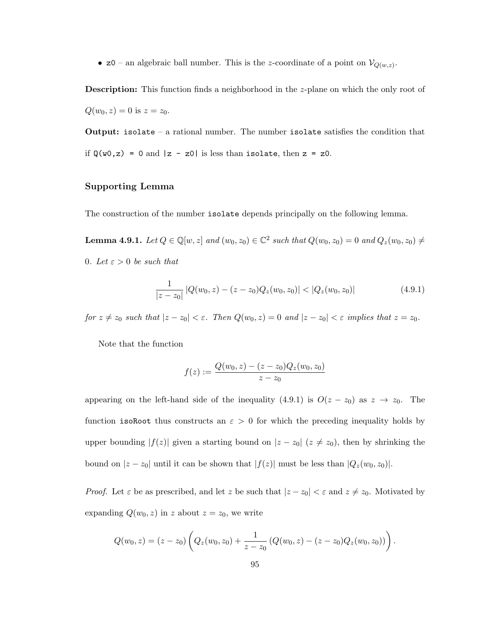•  $z_0$  – an algebraic ball number. This is the *z*-coordinate of a point on  $\mathcal{V}_{Q(w,z)}$ .

**Description:** This function finds a neighborhood in the *z*-plane on which the only root of  $Q(w_0, z) = 0$  is  $z = z_0$ .

**Output:** isolate – a rational number. The number isolate satisfies the condition that if  $\mathtt{Q}(w0,z)$  = 0 and  $|z$  - z0| is less than isolate, then z = z0.

## Supporting Lemma

The construction of the number isolate depends principally on the following lemma.

**Lemma 4.9.1.** *Let*  $Q \in \mathbb{Q}[w, z]$  *and*  $(w_0, z_0) \in \mathbb{C}^2$  *such that*  $Q(w_0, z_0) = 0$  *and*  $Q_z(w_0, z_0) \neq$ 0*.* Let  $\varepsilon > 0$  be such that

$$
\frac{1}{|z-z_0|} |Q(w_0, z) - (z-z_0)Q_z(w_0, z_0)| < |Q_z(w_0, z_0)|
$$
\n(4.9.1)

*for*  $z \neq z_0$  *such that*  $|z - z_0| < \varepsilon$ *. Then*  $Q(w_0, z) = 0$  *and*  $|z - z_0| < \varepsilon$  *implies that*  $z = z_0$ *.* 

Note that the function

$$
f(z) := \frac{Q(w_0, z) - (z - z_0)Q_z(w_0, z_0)}{z - z_0}
$$

appearing on the left-hand side of the inequality (4.9.1) is  $O(z - z_0)$  as  $z \to z_0$ . The function isoRoot thus constructs an  $\varepsilon > 0$  for which the preceding inequality holds by upper bounding  $|f(z)|$  given a starting bound on  $|z - z_0|$   $(z \neq z_0)$ , then by shrinking the bound on  $|z - z_0|$  until it can be shown that  $|f(z)|$  must be less than  $|Q_z(w_0, z_0)|$ .

*Proof.* Let  $\varepsilon$  be as prescribed, and let z be such that  $|z - z_0| < \varepsilon$  and  $z \neq z_0$ . Motivated by expanding  $Q(w_0, z)$  in z about  $z = z_0$ , we write

$$
Q(w_0, z) = (z - z_0) \left( Q_z(w_0, z_0) + \frac{1}{z - z_0} \left( Q(w_0, z) - (z - z_0) Q_z(w_0, z_0) \right) \right).
$$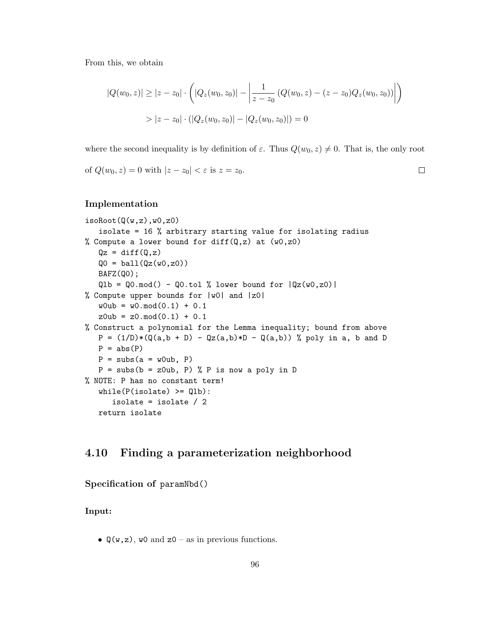From this, we obtain

$$
|Q(w_0, z)| \ge |z - z_0| \cdot \left( |Q_z(w_0, z_0)| - \left| \frac{1}{z - z_0} \left( Q(w_0, z) - (z - z_0) Q_z(w_0, z_0) \right) \right| \right)
$$
  
> 
$$
|z - z_0| \cdot \left( |Q_z(w_0, z_0)| - |Q_z(w_0, z_0)| \right) = 0
$$

where the second inequality is by definition of  $\varepsilon$ . Thus  $Q(w_0, z) \neq 0$ . That is, the only root

 $\Box$ 

of  $Q(w_0, z) = 0$  with  $|z - z_0| < \varepsilon$  is  $z = z_0$ .

# Implementation

```
isoRoot(Q(w,z),w0,z0)
   isolate = 16 % arbitrary starting value for isolating radius
% Compute a lower bound for diff(Q, z) at (w0, z0)Qz = diff(Q, z)Q0 = ball(Qz(w0, z0))BAFZ(Q0);
   Q1b = Q0 \mod() - Q0 \cdot tol % lower bound for |Qz(w0, z0)|% Compute upper bounds for |w0| and |z0|
   w0ub = w0.mod(0.1) + 0.1z0ub = z0.mod(0.1) + 0.1% Construct a polynomial for the Lemma inequality; bound from above
   P = (1/D)*(Q(a, b + D) - Qz(a, b)*D - Q(a, b)) % poly in a, b and D
   P = abs(P)P = \text{subs}(a = w0ub, P)P = \text{subs}(b = z0ub, P) % P is now a poly in D
% NOTE: P has no constant term!
   while(P(isolate) \geq Q1b):
      isolate = isolate / 2
   return isolate
```
# 4.10 Finding a parameterization neighborhood

Specification of paramNbd()

## Input:

•  $\mathbb{Q}(w, z)$ , w0 and  $z0 -$  as in previous functions.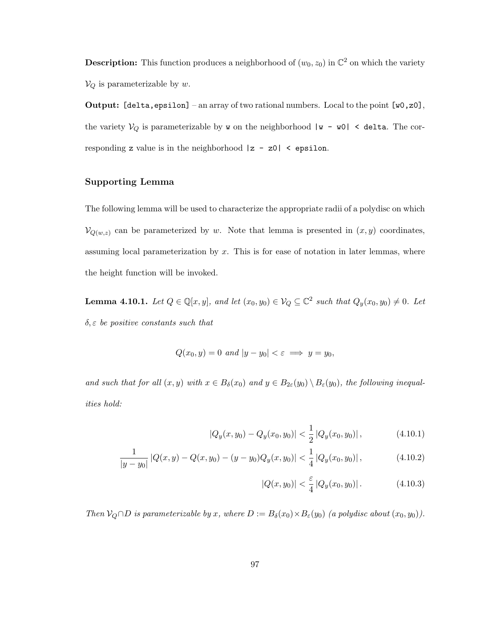**Description:** This function produces a neighborhood of  $(w_0, z_0)$  in  $\mathbb{C}^2$  on which the variety  $V_Q$  is parameterizable by w.

**Output:** [delta, epsilon] – an array of two rational numbers. Local to the point  $[w0,z0]$ , the variety  $V_Q$  is parameterizable by **w** on the neighborhood  $|w - w0|$  < delta. The corresponding z value is in the neighborhood  $|z - z0|$  < epsilon.

# Supporting Lemma

The following lemma will be used to characterize the appropriate radii of a polydisc on which  $\mathcal{V}_{Q(w,z)}$  can be parameterized by w. Note that lemma is presented in  $(x, y)$  coordinates, assuming local parameterization by  $x$ . This is for ease of notation in later lemmas, where the height function will be invoked.

**Lemma 4.10.1.** Let  $Q \in \mathbb{Q}[x, y]$ , and let  $(x_0, y_0) \in V_Q \subseteq \mathbb{C}^2$  such that  $Q_y(x_0, y_0) \neq 0$ . Let δ, ε *be positive constants such that*

$$
Q(x_0, y) = 0 \text{ and } |y - y_0| < \varepsilon \implies y = y_0,
$$

*and such that for all*  $(x, y)$  *with*  $x \in B_\delta(x_0)$  *and*  $y \in B_{2\varepsilon}(y_0) \setminus B_\varepsilon(y_0)$ *, the following inequalities hold:*

$$
|Q_y(x, y_0) - Q_y(x_0, y_0)| < \frac{1}{2} |Q_y(x_0, y_0)| \,, \tag{4.10.1}
$$

$$
\frac{1}{|y-y_0|} |Q(x,y) - Q(x,y_0) - (y-y_0)Q_y(x,y_0)| < \frac{1}{4} |Q_y(x_0,y_0)|,
$$
\n(4.10.2)

$$
|Q(x, y_0)| < \frac{\varepsilon}{4} \left| Q_y(x_0, y_0) \right|. \tag{4.10.3}
$$

*Then*  $V_Q \cap D$  *is parameterizable by* x, where  $D := B_\delta(x_0) \times B_\varepsilon(y_0)$  *(a polydisc about*  $(x_0, y_0)$ *)*.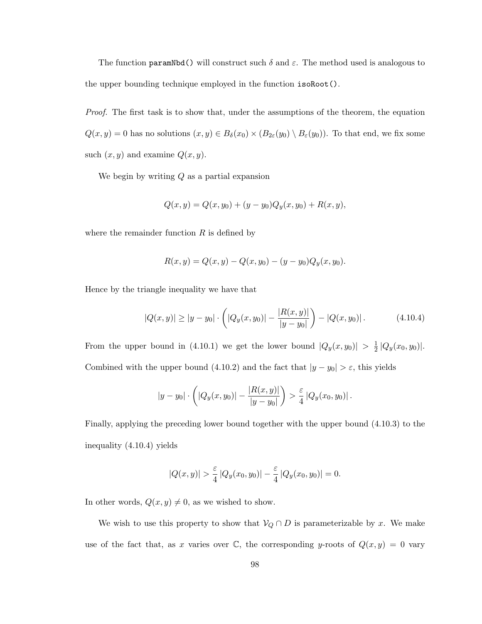The function paramNbd() will construct such  $\delta$  and  $\varepsilon$ . The method used is analogous to the upper bounding technique employed in the function isoRoot().

*Proof.* The first task is to show that, under the assumptions of the theorem, the equation  $Q(x, y) = 0$  has no solutions  $(x, y) \in B_\delta(x_0) \times (B_{2\epsilon}(y_0) \setminus B_{\epsilon}(y_0))$ . To that end, we fix some such  $(x, y)$  and examine  $Q(x, y)$ .

We begin by writing  $Q$  as a partial expansion

$$
Q(x, y) = Q(x, y_0) + (y - y_0)Q_y(x, y_0) + R(x, y),
$$

where the remainder function  $R$  is defined by

$$
R(x, y) = Q(x, y) - Q(x, y_0) - (y - y_0)Q_y(x, y_0).
$$

Hence by the triangle inequality we have that

$$
|Q(x,y)| \ge |y - y_0| \cdot \left( |Q_y(x,y_0)| - \frac{|R(x,y)|}{|y - y_0|} \right) - |Q(x,y_0)|. \tag{4.10.4}
$$

From the upper bound in (4.10.1) we get the lower bound  $|Q_y(x, y_0)| > \frac{1}{2}$  $\frac{1}{2} |Q_y(x_0, y_0)|.$ Combined with the upper bound (4.10.2) and the fact that  $|y - y_0| > \varepsilon$ , this yields

$$
|y - y_0| \cdot \left( |Q_y(x, y_0)| - \frac{|R(x, y)|}{|y - y_0|} \right) > \frac{\varepsilon}{4} |Q_y(x_0, y_0)|.
$$

Finally, applying the preceding lower bound together with the upper bound (4.10.3) to the inequality (4.10.4) yields

$$
|Q(x,y)| > \frac{\varepsilon}{4} |Q_y(x_0,y_0)| - \frac{\varepsilon}{4} |Q_y(x_0,y_0)| = 0.
$$

In other words,  $Q(x,y) \neq 0$ , as we wished to show.

We wish to use this property to show that  $\mathcal{V}_Q \cap D$  is parameterizable by x. We make use of the fact that, as x varies over  $\mathbb C$ , the corresponding y-roots of  $Q(x, y) = 0$  vary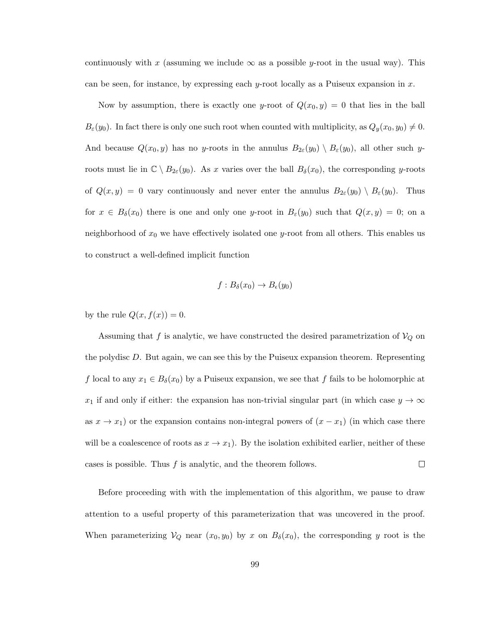continuously with x (assuming we include  $\infty$  as a possible y-root in the usual way). This can be seen, for instance, by expressing each y-root locally as a Puiseux expansion in  $x$ .

Now by assumption, there is exactly one y-root of  $Q(x_0, y) = 0$  that lies in the ball  $B_{\varepsilon}(y_0)$ . In fact there is only one such root when counted with multiplicity, as  $Q_y(x_0, y_0) \neq 0$ . And because  $Q(x_0, y)$  has no y-roots in the annulus  $B_{2\varepsilon}(y_0) \setminus B_{\varepsilon}(y_0)$ , all other such yroots must lie in  $\mathbb{C} \setminus B_{2\varepsilon}(y_0)$ . As x varies over the ball  $B_{\delta}(x_0)$ , the corresponding y-roots of  $Q(x, y) = 0$  vary continuously and never enter the annulus  $B_{2\varepsilon}(y_0) \setminus B_{\varepsilon}(y_0)$ . Thus for  $x \in B_\delta(x_0)$  there is one and only one y-root in  $B_\varepsilon(y_0)$  such that  $Q(x, y) = 0$ ; on a neighborhood of  $x_0$  we have effectively isolated one y-root from all others. This enables us to construct a well-defined implicit function

$$
f: B_{\delta}(x_0) \to B_{\epsilon}(y_0)
$$

by the rule  $Q(x, f(x)) = 0$ .

Assuming that f is analytic, we have constructed the desired parametrization of  $V_Q$  on the polydisc D. But again, we can see this by the Puiseux expansion theorem. Representing f local to any  $x_1 \in B_\delta(x_0)$  by a Puiseux expansion, we see that f fails to be holomorphic at  $x_1$  if and only if either: the expansion has non-trivial singular part (in which case  $y \to \infty$ as  $x \to x_1$ ) or the expansion contains non-integral powers of  $(x - x_1)$  (in which case there will be a coalescence of roots as  $x \to x_1$ ). By the isolation exhibited earlier, neither of these cases is possible. Thus  $f$  is analytic, and the theorem follows.  $\Box$ 

Before proceeding with with the implementation of this algorithm, we pause to draw attention to a useful property of this parameterization that was uncovered in the proof. When parameterizing  $V_Q$  near  $(x_0, y_0)$  by x on  $B_\delta(x_0)$ , the corresponding y root is the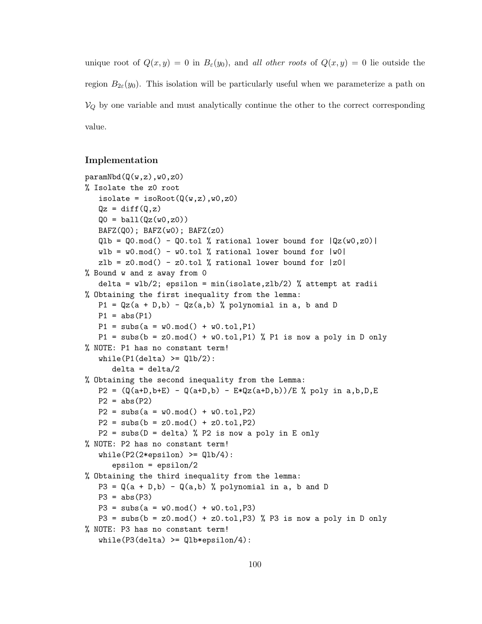unique root of  $Q(x, y) = 0$  in  $B_\varepsilon(y_0)$ , and *all other roots* of  $Q(x, y) = 0$  lie outside the region  $B_{2\varepsilon}(y_0)$ . This isolation will be particularly useful when we parameterize a path on  $V_Q$  by one variable and must analytically continue the other to the correct corresponding value.

## Implementation

```
paramNbd(Q(w,z),w0,z0)
% Isolate the z0 root
   isolate = isoRoot(Q(w, z), w0, z0)Qz = diff(Q, z)Q0 = \text{ball}(Qz(w0, z0))BAFZ(Q0); BAFZ(w0); BAFZ(z0)Q1b = Q0.mod() - Q0.tol % rational lower bound for <math>|Qz(w0,z0)|wlb = w0.mod() - w0.tol % rational lower bound for <math>|w0|</math>zlb = z0.mod() - z0.tol % rational lower bound for <math>|z0|</math>% Bound w and z away from 0
   delta = wlb/2; epsilon = min(isolate, zlb/2) % attempt at radii
% Obtaining the first inequality from the lemma:
   P1 = Qz(a + D,b) - Qz(a,b) % polynomial in a, b and D
   P1 = abs(P1)P1 = \text{subs}(a = w0 \text{ mod}() + w0 \text{ .tol}, P1)P1 = subs(b = z0.mod() + w0.tol, P1) % P1 is now a poly in D only
% NOTE: P1 has no constant term!
   while(P1(delta) \geq Q1b/2):
      delta = delta/2% Obtaining the second inequality from the Lemma:
   P2 = (Q(a+D,b+E) - Q(a+D,b) - E*Qz(a+D,b))/E % poly in a,b,D,E
   P2 = abs(P2)P2 = \text{subs}(a = w0 \text{ mod}() + w0 \text{ .tol}, P2)P2 = subs(b = z0.mod() + z0.tol, P2)P2 = \text{subs}(D = \text{delta}) % P2 is now a poly in E only
% NOTE: P2 has no constant term!
   while(P2(2*epsilon) \rightarrow ) = Q1b/4):
       epsilon = epsilon/2
% Obtaining the third inequality from the lemma:
   P3 = Q(a + D,b) - Q(a,b) % polynomial in a, b and D
   P3 = abs(P3)P3 = \text{subs}(a = w0.\text{mod}() + w0.\text{tol}, P3)P3 = \text{subs}(b = z0 \text{ mod}() + z0 \text{ to } p3) % P3 is now a poly in D only
% NOTE: P3 has no constant term!
   while(P3(detta) \ge Qlb*epsilon/4):
```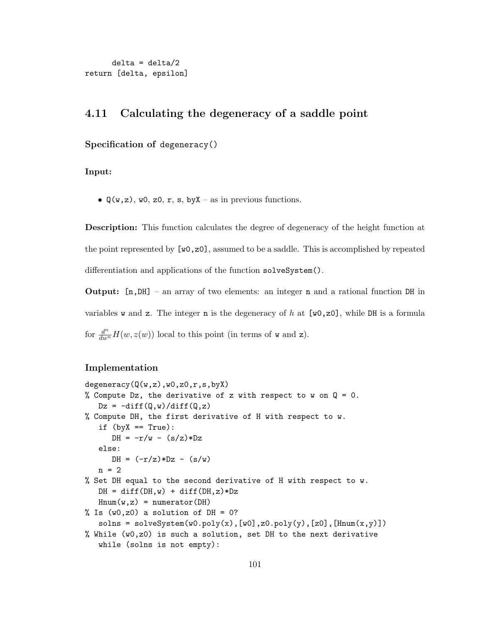```
delta = delta/2
return [delta, epsilon]
```
# 4.11 Calculating the degeneracy of a saddle point

## Specification of degeneracy()

Input:

•  $\mathbb{Q}(w, z)$ , w0, z0, r, s, by X – as in previous functions.

Description: This function calculates the degree of degeneracy of the height function at the point represented by  $[w0,z0]$ , assumed to be a saddle. This is accomplished by repeated differentiation and applications of the function solveSystem().

**Output:**  $[n,DH]$  – an array of two elements: an integer **n** and a rational function DH in variables w and z. The integer n is the degeneracy of h at  $[w0,z0]$ , while DH is a formula for  $\frac{d^n}{dw^n}H(w, z(w))$  local to this point (in terms of w and z).

### Implementation

```
degreeracy(Q(w,z),w0,z0,r,s,byX)% Compute Dz, the derivative of z with respect to w on Q = 0.
   Dz = -diff(Q,w)/diff(Q,z)% Compute DH, the first derivative of H with respect to w.
   if (byX == True):DH = -r/w - (s/z) * Dzelse:
      DH = (-r/z)*Dz - (s/w)n = 2% Set DH equal to the second derivative of H with respect to w.
   DH = diff(DH, w) + diff(DH, z) * DzHnum(w, z) = numerator(DH)% Is (w0, z0) a solution of DH = 0?
   solns = solveSystem(w0.poly(x),[w0],z0.poly(y),[z0],[Hnum(x,y)])
% While (w0, z0) is such a solution, set DH to the next derivative
   while (solns is not empty):
```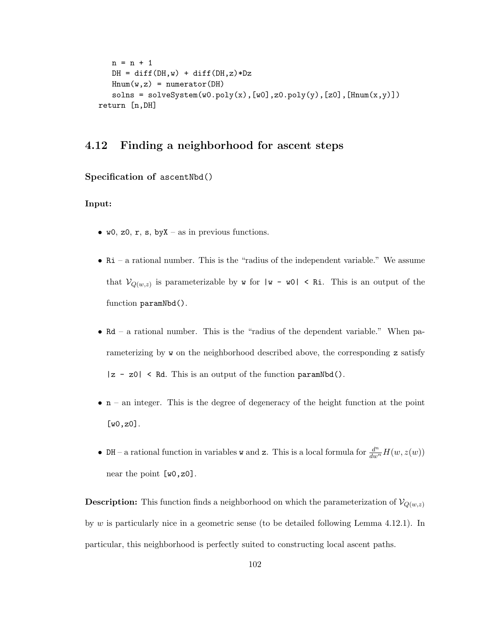```
n = n + 1DH = diff(DH, w) + diff(DH, z) * DzHnum(w, z) = numerator(DH)solns = solveSystem(w0.poly(x), [w0], z0.poly(y), [z0], [Hnum(x,y)])return [n,DH]
```
## 4.12 Finding a neighborhood for ascent steps

#### Specification of ascentNbd()

#### Input:

- $w0$ , z0, r, s, by X as in previous functions.
- Ri a rational number. This is the "radius of the independent variable." We assume that  $\mathcal{V}_{Q(w,z)}$  is parameterizable by **w** for  $|w - w0| < R$ **i**. This is an output of the function paramNbd().
- Rd a rational number. This is the "radius of the dependent variable." When parameterizing by w on the neighborhood described above, the corresponding z satisfy  $|z - z0|$  < Rd. This is an output of the function paramNbd().
- $\bullet$  n an integer. This is the degree of degeneracy of the height function at the point [w0,z0].
- DH a rational function in variables **w** and **z**. This is a local formula for  $\frac{d^n}{dw^n}H(w, z(w))$ near the point [w0,z0].

**Description:** This function finds a neighborhood on which the parameterization of  $V_{Q(w,z)}$ by w is particularly nice in a geometric sense (to be detailed following Lemma 4.12.1). In particular, this neighborhood is perfectly suited to constructing local ascent paths.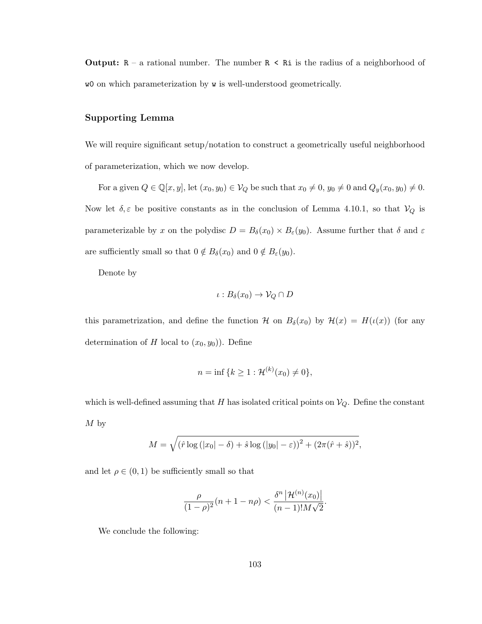**Output:**  $R - a$  rational number. The number  $R < R$  is the radius of a neighborhood of w0 on which parameterization by w is well-understood geometrically.

#### Supporting Lemma

We will require significant setup/notation to construct a geometrically useful neighborhood of parameterization, which we now develop.

For a given  $Q \in \mathbb{Q}[x, y]$ , let  $(x_0, y_0) \in V_Q$  be such that  $x_0 \neq 0$ ,  $y_0 \neq 0$  and  $Q_y(x_0, y_0) \neq 0$ . Now let  $\delta, \varepsilon$  be positive constants as in the conclusion of Lemma 4.10.1, so that  $V_Q$  is parameterizable by x on the polydisc  $D = B_{\delta}(x_0) \times B_{\epsilon}(y_0)$ . Assume further that  $\delta$  and  $\varepsilon$ are sufficiently small so that  $0 \notin B_\delta(x_0)$  and  $0 \notin B_\varepsilon(y_0)$ .

Denote by

$$
\iota: B_{\delta}(x_0) \to \mathcal{V}_Q \cap D
$$

this parametrization, and define the function H on  $B_\delta(x_0)$  by  $\mathcal{H}(x) = H(\iota(x))$  (for any determination of H local to  $(x_0, y_0)$ . Define

$$
n = \inf \{ k \ge 1 : \mathcal{H}^{(k)}(x_0) \neq 0 \},
$$

which is well-defined assuming that  $H$  has isolated critical points on  $V_Q$ . Define the constant  $M<sub>by</sub>$ 

$$
M = \sqrt{(\hat{r} \log (|x_0| - \delta) + \hat{s} \log (|y_0| - \varepsilon))^2 + (2\pi(\hat{r} + \hat{s}))^2},
$$

and let  $\rho \in (0,1)$  be sufficiently small so that

$$
\frac{\rho}{(1-\rho)^2}(n+1-n\rho) < \frac{\delta^n \left| \mathcal{H}^{(n)}(x_0) \right|}{(n-1)! M \sqrt{2}}.
$$

We conclude the following: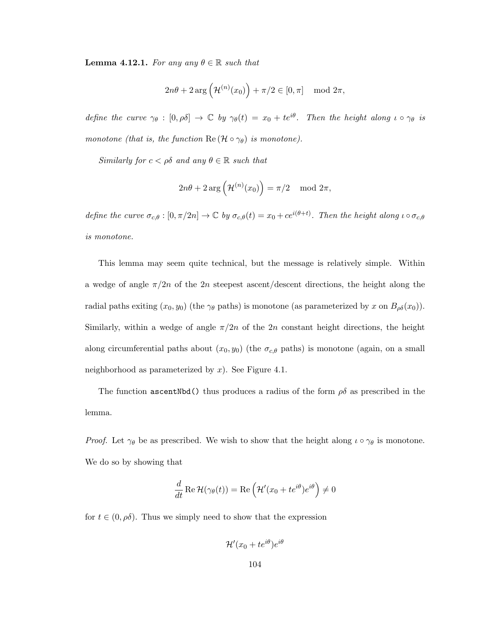**Lemma 4.12.1.** *For any any*  $\theta \in \mathbb{R}$  *such that* 

$$
2n\theta + 2\arg\left(\mathcal{H}^{(n)}(x_0)\right) + \pi/2 \in [0, \pi] \mod 2\pi,
$$

*define the curve*  $\gamma_{\theta} : [0, \rho_{\theta}] \rightarrow \mathbb{C}$  *by*  $\gamma_{\theta}(t) = x_0 + te^{i\theta}$ *. Then the height along*  $\iota \circ \gamma_{\theta}$  *is monotone (that is, the function*  $\text{Re}(\mathcal{H} \circ \gamma_{\theta})$  *is monotone).* 

*Similarly for*  $c < \rho \delta$  *and any*  $\theta \in \mathbb{R}$  *such that* 

$$
2n\theta + 2\arg\left(\mathcal{H}^{(n)}(x_0)\right) = \pi/2 \mod 2\pi,
$$

*define the curve*  $\sigma_{c,\theta} : [0, \pi/2n] \to \mathbb{C}$  *by*  $\sigma_{c,\theta}(t) = x_0 + ce^{i(\theta+t)}$ *. Then the height along*  $\iota \circ \sigma_{c,\theta}$ *is monotone.*

This lemma may seem quite technical, but the message is relatively simple. Within a wedge of angle  $\pi/2n$  of the 2n steepest ascent/descent directions, the height along the radial paths exiting  $(x_0, y_0)$  (the  $\gamma_\theta$  paths) is monotone (as parameterized by x on  $B_{\rho\delta}(x_0)$ ). Similarly, within a wedge of angle  $\pi/2n$  of the 2n constant height directions, the height along circumferential paths about  $(x_0, y_0)$  (the  $\sigma_{c,\theta}$  paths) is monotone (again, on a small neighborhood as parameterized by  $x$ ). See Figure 4.1.

The function ascentNbd() thus produces a radius of the form  $\rho\delta$  as prescribed in the lemma.

*Proof.* Let  $\gamma_{\theta}$  be as prescribed. We wish to show that the height along  $\iota \circ \gamma_{\theta}$  is monotone. We do so by showing that

$$
\frac{d}{dt}\operatorname{Re}\mathcal{H}(\gamma_\theta(t)) = \operatorname{Re}\left(\mathcal{H}'(x_0 + te^{i\theta})e^{i\theta}\right) \neq 0
$$

for  $t \in (0, \rho\delta)$ . Thus we simply need to show that the expression

$$
\mathcal{H}'(x_0 + te^{i\theta})e^{i\theta}
$$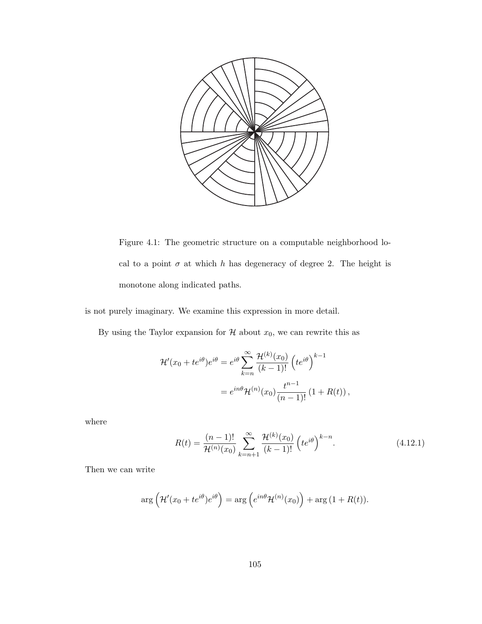

Figure 4.1: The geometric structure on a computable neighborhood local to a point  $\sigma$  at which h has degeneracy of degree 2. The height is monotone along indicated paths.

is not purely imaginary. We examine this expression in more detail.

By using the Taylor expansion for  $\mathcal H$  about  $x_0$ , we can rewrite this as

$$
\mathcal{H}'(x_0 + te^{i\theta})e^{i\theta} = e^{i\theta} \sum_{k=n}^{\infty} \frac{\mathcal{H}^{(k)}(x_0)}{(k-1)!} \left( te^{i\theta} \right)^{k-1}
$$

$$
= e^{in\theta} \mathcal{H}^{(n)}(x_0) \frac{t^{n-1}}{(n-1)!} \left( 1 + R(t) \right),
$$

where

$$
R(t) = \frac{(n-1)!}{\mathcal{H}^{(n)}(x_0)} \sum_{k=n+1}^{\infty} \frac{\mathcal{H}^{(k)}(x_0)}{(k-1)!} \left( t e^{i\theta} \right)^{k-n}.
$$
 (4.12.1)

Then we can write

$$
\arg\left(\mathcal{H}'(x_0 + te^{i\theta})e^{i\theta}\right) = \arg\left(e^{in\theta}\mathcal{H}^{(n)}(x_0)\right) + \arg\left(1 + R(t)\right).
$$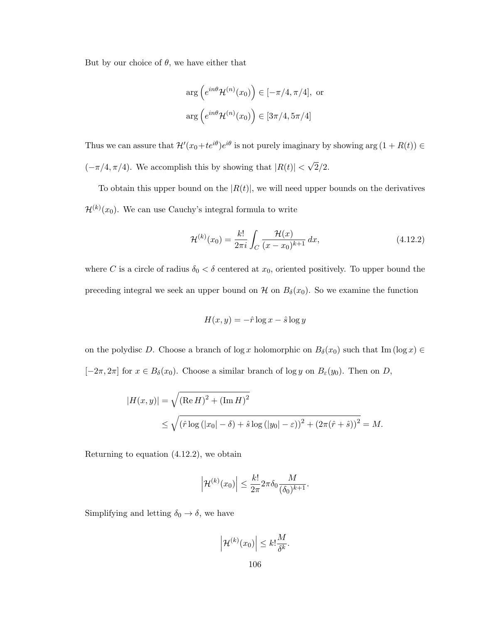But by our choice of  $\theta$ , we have either that

$$
\arg\left(e^{in\theta} \mathcal{H}^{(n)}(x_0)\right) \in [-\pi/4, \pi/4], \text{ or}
$$
  

$$
\arg\left(e^{in\theta} \mathcal{H}^{(n)}(x_0)\right) \in [3\pi/4, 5\pi/4]
$$

Thus we can assure that  $\mathcal{H}'(x_0+te^{i\theta})e^{i\theta}$  is not purely imaginary by showing  $\arg(1 + R(t)) \in$  $(-\pi/4, \pi/4)$ . We accomplish this by showing that  $|R(t)| < \sqrt{2}/2$ .

To obtain this upper bound on the  $|R(t)|$ , we will need upper bounds on the derivatives  $\mathcal{H}^{(k)}(x_0)$ . We can use Cauchy's integral formula to write

$$
\mathcal{H}^{(k)}(x_0) = \frac{k!}{2\pi i} \int_C \frac{\mathcal{H}(x)}{(x - x_0)^{k+1}} dx,
$$
\n(4.12.2)

where C is a circle of radius  $\delta_0 < \delta$  centered at  $x_0$ , oriented positively. To upper bound the preceding integral we seek an upper bound on  $\mathcal H$  on  $B_\delta(x_0)$ . So we examine the function

$$
H(x, y) = -\hat{r} \log x - \hat{s} \log y
$$

on the polydisc D. Choose a branch of log x holomorphic on  $B_\delta(x_0)$  such that Im (log x) ∈  $[-2\pi, 2\pi]$  for  $x \in B_\delta(x_0)$ . Choose a similar branch of log y on  $B_\varepsilon(y_0)$ . Then on D,

$$
|H(x,y)| = \sqrt{(\text{Re } H)^2 + (\text{Im } H)^2}
$$
  
\$\leq \sqrt{(\hat{r} \log (|x\_0| - \delta) + \hat{s} \log (|y\_0| - \varepsilon))^2 + (2\pi(\hat{r} + \hat{s}))^2} = M\$.

Returning to equation (4.12.2), we obtain

$$
\left|\mathcal{H}^{(k)}(x_0)\right| \leq \frac{k!}{2\pi} 2\pi \delta_0 \frac{M}{(\delta_0)^{k+1}}.
$$

Simplifying and letting  $\delta_0 \rightarrow \delta$ , we have

$$
\left|\mathcal{H}^{(k)}(x_0)\right| \leq k! \frac{M}{\delta^k}.
$$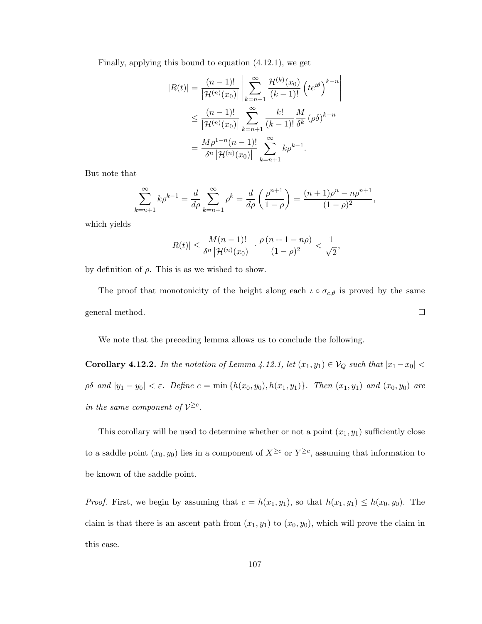Finally, applying this bound to equation (4.12.1), we get

$$
|R(t)| = \frac{(n-1)!}{|\mathcal{H}^{(n)}(x_0)|} \left| \sum_{k=n+1}^{\infty} \frac{\mathcal{H}^{(k)}(x_0)}{(k-1)!} \left( t e^{i\theta} \right)^{k-n} \right|
$$
  

$$
\leq \frac{(n-1)!}{|\mathcal{H}^{(n)}(x_0)|} \sum_{k=n+1}^{\infty} \frac{k!}{(k-1)!} \frac{M}{\delta^k} (\rho \delta)^{k-n}
$$
  

$$
= \frac{M\rho^{1-n}(n-1)!}{\delta^n |\mathcal{H}^{(n)}(x_0)|} \sum_{k=n+1}^{\infty} k \rho^{k-1}.
$$

But note that

$$
\sum_{k=n+1}^{\infty} k \rho^{k-1} = \frac{d}{d\rho} \sum_{k=n+1}^{\infty} \rho^k = \frac{d}{d\rho} \left( \frac{\rho^{n+1}}{1-\rho} \right) = \frac{(n+1)\rho^n - n\rho^{n+1}}{(1-\rho)^2},
$$

which yields

$$
|R(t)| \le \frac{M(n-1)!}{\delta^n |{\mathcal{H}}^{(n)}(x_0)|} \cdot \frac{\rho(n+1-n\rho)}{(1-\rho)^2} < \frac{1}{\sqrt{2}},
$$

by definition of  $\rho$ . This is as we wished to show.

The proof that monotonicity of the height along each  $\iota \circ \sigma_{c,\theta}$  is proved by the same general method.  $\Box$ 

We note that the preceding lemma allows us to conclude the following.

Corollary 4.12.2. *In the notation of Lemma 4.12.1, let*  $(x_1, y_1) \in V_Q$  *such that*  $|x_1-x_0|$  <  $\rho\delta$  *and*  $|y_1 - y_0| < \varepsilon$ *.* Define  $c = \min\{h(x_0, y_0), h(x_1, y_1)\}\$ *. Then*  $(x_1, y_1)$  *and*  $(x_0, y_0)$  *are in the same component of*  $V^{\geq c}$ *.* 

This corollary will be used to determine whether or not a point  $(x_1, y_1)$  sufficiently close to a saddle point  $(x_0, y_0)$  lies in a component of  $X^{\geq c}$  or  $Y^{\geq c}$ , assuming that information to be known of the saddle point.

*Proof.* First, we begin by assuming that  $c = h(x_1, y_1)$ , so that  $h(x_1, y_1) \leq h(x_0, y_0)$ . The claim is that there is an ascent path from  $(x_1, y_1)$  to  $(x_0, y_0)$ , which will prove the claim in this case.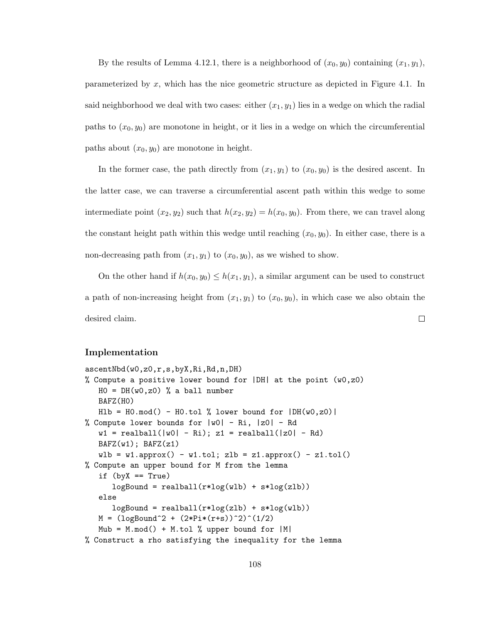By the results of Lemma 4.12.1, there is a neighborhood of  $(x_0, y_0)$  containing  $(x_1, y_1)$ , parameterized by x, which has the nice geometric structure as depicted in Figure 4.1. In said neighborhood we deal with two cases: either  $(x_1, y_1)$  lies in a wedge on which the radial paths to  $(x_0, y_0)$  are monotone in height, or it lies in a wedge on which the circumferential paths about  $(x_0, y_0)$  are monotone in height.

In the former case, the path directly from  $(x_1, y_1)$  to  $(x_0, y_0)$  is the desired ascent. In the latter case, we can traverse a circumferential ascent path within this wedge to some intermediate point  $(x_2, y_2)$  such that  $h(x_2, y_2) = h(x_0, y_0)$ . From there, we can travel along the constant height path within this wedge until reaching  $(x_0, y_0)$ . In either case, there is a non-decreasing path from  $(x_1, y_1)$  to  $(x_0, y_0)$ , as we wished to show.

On the other hand if  $h(x_0, y_0) \leq h(x_1, y_1)$ , a similar argument can be used to construct a path of non-increasing height from  $(x_1, y_1)$  to  $(x_0, y_0)$ , in which case we also obtain the desired claim.  $\Box$ 

#### Implementation

```
ascentNbd(w0,z0,r,s,byX,Ri,Rd,n,DH)
% Compute a positive lower bound for |DH| at the point (w0, z0)HO = DH(w0, z0) % a ball number
   BAFZ(H0)
   H1b = H0.mod() - H0.tol % lower bound for |DH(w0,z0)|% Compute lower bounds for |w0| - Ri, |z0| - Rd
   w1 = realball(|w0| - Ri); z1 = realball(|z0| - Rd)BAFZ(w1); BAFZ(z1)wlb = w1.approx() - w1.tol; zlb = z1.approx() - z1.tol()
% Compute an upper bound for M from the lemma
   if (byX == True)logBound = realball(r*log(wlb) + s*log(zlb))else
      logBound = realball(r*log(z1b) + s*log(w1b))M = (logBound^2 + (2*Pi*(r+s))^2)(1/2)Mub = M.mod() + M.tol % upper bound for <math>|M|</math>% Construct a rho satisfying the inequality for the lemma
```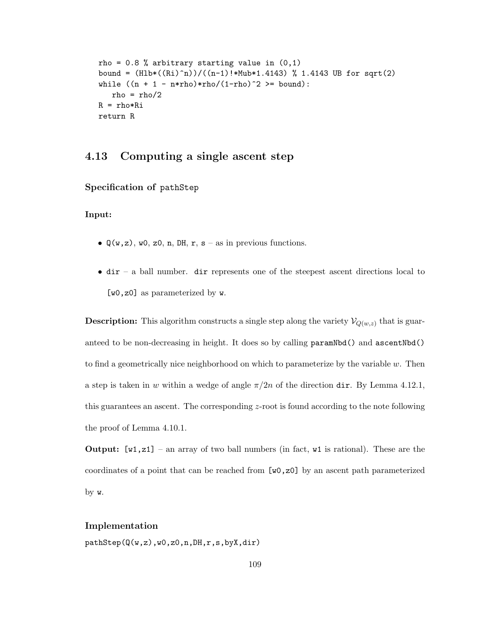```
rho = 0.8 % arbitrary starting value in (0,1)bound = (Hlb*(Ri)^n)/((n-1)!*Mub*1.4143) % 1.4143 UB for sqrt(2)
while ((n + 1 - n*rho)*rho/(1-rho)^2) >= bound):
   rho = rho/2R = rho*Ri
return R
```
# 4.13 Computing a single ascent step

Specification of pathStep

Input:

- $\mathbb{Q}(\mathbf{w}, \mathbf{z})$ , w0, z0, n, DH, r, s as in previous functions.
- dir a ball number. dir represents one of the steepest ascent directions local to [w0,z0] as parameterized by w.

**Description:** This algorithm constructs a single step along the variety  $\mathcal{V}_{Q(w,z)}$  that is guaranteed to be non-decreasing in height. It does so by calling paramNbd() and ascentNbd() to find a geometrically nice neighborhood on which to parameterize by the variable  $w$ . Then a step is taken in w within a wedge of angle  $\pi/2n$  of the direction dir. By Lemma 4.12.1, this guarantees an ascent. The corresponding z-root is found according to the note following the proof of Lemma 4.10.1.

**Output:**  $[\mathbf{w1}, \mathbf{z1}]$  – an array of two ball numbers (in fact,  $\mathbf{w1}$  is rational). These are the coordinates of a point that can be reached from [w0,z0] by an ascent path parameterized by w.

#### Implementation

pathStep(Q(w,z),w0,z0,n,DH,r,s,byX,dir)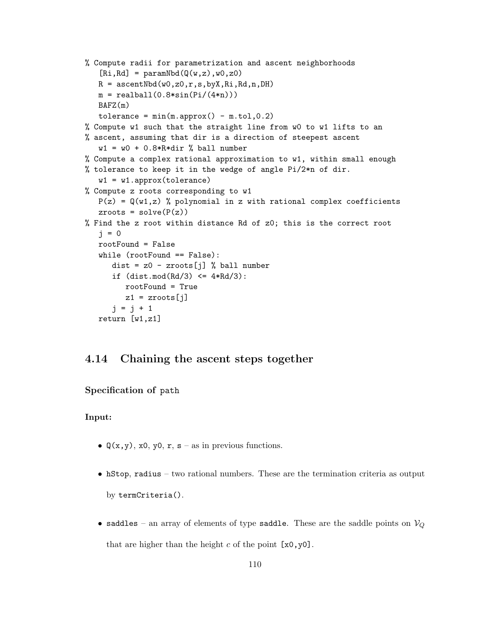```
% Compute radii for parametrization and ascent neighborhoods
   [Ri,Rd] = paramNbd(Q(w,z),w0,z0)R = ascentNbd(w0,z0,r,s,byX,Ri,Rd,n,DH)
  m = realball(0.8*sin(Pi/(4*n)))BAFZ(m)
   tolerance = min(m.append) - m.tol, 0.2)% Compute w1 such that the straight line from w0 to w1 lifts to an
% ascent, assuming that dir is a direction of steepest ascent
   w1 = w0 + 0.8 * R * dir% ball number
% Compute a complex rational approximation to w1, within small enough
% tolerance to keep it in the wedge of angle Pi/2*n of dir.
   w1 = w1.append.approx(tolerance)
% Compute z roots corresponding to w1
  P(z) = Q(w1, z) % polynomial in z with rational complex coefficients
   zroots = solve(P(z))% Find the z root within distance Rd of z0; this is the correct root
   j = 0rootFound = False
   while (rootFound == False):
      dist = z0 - zroots[j] % ball number
      if (dist.mod(Rd/3) \leq 4*Rd/3):
         rootFound = True
         z1 = zroots[j]j = j + 1return [w1,z1]
```
# 4.14 Chaining the ascent steps together

Specification of path

#### Input:

- $Q(x, y)$ , x0, y0, r, s as in previous functions.
- hStop, radius two rational numbers. These are the termination criteria as output by termCriteria().
- saddles an array of elements of type saddle. These are the saddle points on  $\mathcal{V}_Q$ that are higher than the height c of the point  $[x0,y0]$ .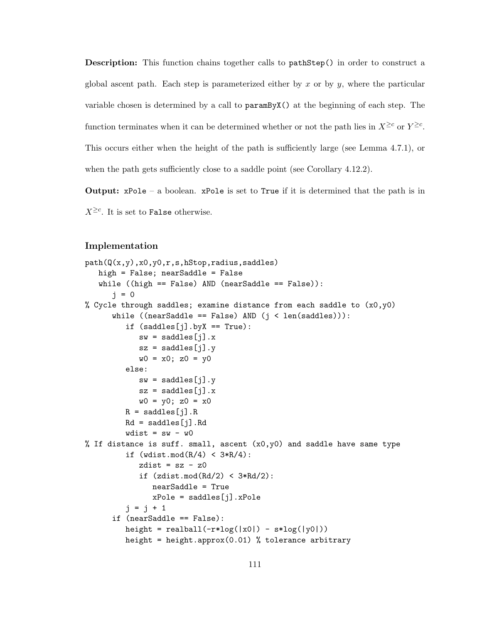**Description:** This function chains together calls to pathStep() in order to construct a global ascent path. Each step is parameterized either by  $x$  or by  $y$ , where the particular variable chosen is determined by a call to paramByX() at the beginning of each step. The function terminates when it can be determined whether or not the path lies in  $X^{\geq c}$  or  $Y^{\geq c}$ . This occurs either when the height of the path is sufficiently large (see Lemma 4.7.1), or when the path gets sufficiently close to a saddle point (see Corollary 4.12.2).

**Output:**  $xPole - a boolean.  $xPole$  is set to True if it is determined that the path is in$  $X^{\geq c}$ . It is set to False otherwise.

#### Implementation

```
path(Q(x,y),x0,y0,r,s,hStop,radius,saddles)
   high = False; nearSaddle = False
   while (\text{high} == \text{False}) AND (\text{nearSaddle} == \text{False})):
      j = 0% Cycle through saddles; examine distance from each saddle to (x0, y0)while ((nearSaddle == False) AND (j < len(saddles))):
         if (saddles[j].byX == True):
            sw = saddles[j] . xsz = saddles[j].y
            w0 = x0; z0 = y0else:
            sw = saddles[j].ysz = saddles[j].xw0 = y0; z0 = x0R = saddles[j].RRd = saddles[j].Rdwdist = sw - w0% If distance is suff. small, ascent (x0, y0) and saddle have same type
         if (wdist.mod(R/4) < 3*R/4):
            zdist = sz - z0if (zdist.mod(Rd/2) < 3*Rd/2):
               nearSaddle = True
               xPole = saddles[j] . xPolej = j + 1if (nearSaddle == False):
         height = realball(-r * log(|x0|) - s * log(|y0|))height = height.approx(0.01) % tolerance arbitrary
```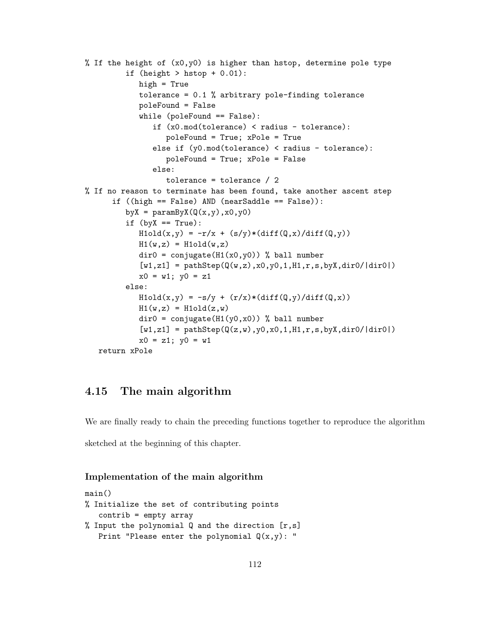```
% If the height of (x0,y0) is higher than hstop, determine pole type
         if (height > hstop + 0.01):
            high = True
            tolerance = 0.1 % arbitrary pole-finding tolerance
            poleFound = False
            while (poleFound == False):
               if (x0.mod(tolerance) < radius - tolerance):
                  poleFound = True; xPole = True
               else if (y0.mod(tolerance) < radius - tolerance):
                  poleFound = True; xPole = False
               else:
                  tolerance = tolerance / 2
% If no reason to terminate has been found, take another ascent step
      if ((high == False) AND (nearSaddle == False)):
         byX = paramByX(Q(x,y),x0,y0)if (byX == True):
            H1old(x,y) = -r/x + (s/y)*(diff(Q,x)/diff(Q,y))H1(w,z) = H1old(w,z)div0 = \text{conjugate}(H1(x0,y0)) % ball number
            [v1,z1] = pathStep(Q(w,z),x0,y0,1,H1,r,s,byX,dir0/|dir0|)x0 = w1; y0 = z1else:
            H1old(x,y) = -s/y + (r/x)*(diff(Q,y)/diff(Q,x))H1(w,z) = H1old(z,w)div0 = \text{conjugate}(H1(y0,x0)) % ball number
            [v1,z1] = pathStep(Q(z,w),y0,x0,1,H1,r,s,byX,dir0/|dir0|)x0 = z1; y0 = w1return xPole
```
# 4.15 The main algorithm

We are finally ready to chain the preceding functions together to reproduce the algorithm sketched at the beginning of this chapter.

### Implementation of the main algorithm

```
main()
% Initialize the set of contributing points
   contrib = empty array
% Input the polynomial Q and the direction [r,s]Print "Please enter the polynomial Q(x,y): "
```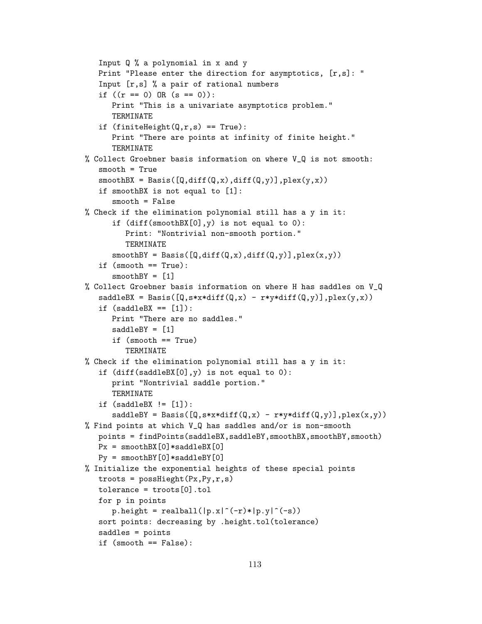```
Input Q % a polynomial in x and y
   Print "Please enter the direction for asymptotics, [r,s]: "
   Input [r,s] % a pair of rational numbers
   if ((r == 0) \tOR (s == 0)):
     Print "This is a univariate asymptotics problem."
      TERMINATE
   if (finiteHeight(Q,r,s) == True):
      Print "There are points at infinity of finite height."
      TERMINATE
% Collect Groebner basis information on where V_Q is not smooth:
   smooth = True
   smoothBX = Basis([Q,diff(Q,x),diff(Q,y)],plex(y,x))if smoothBX is not equal to [1]:
      smooth = False
% Check if the elimination polynomial still has a y in it:
      if (diff(smoothBX[0],y) is not equal to 0):
         Print: "Nontrivial non-smooth portion."
         TERMINATE
      smoothBY = Basis([Q,diff(Q,x),diff(Q,y)],plex(x,y))if (smooth == True):
      smoothBY = [1]% Collect Groebner basis information on where H has saddles on V_Q
   saddleBX = Basis([Q, s*x*diff(Q, x) - r*y*diff(Q, y)], plex(y, x))if (saddleBX == [1]):Print "There are no saddles."
      saddleBY = [1]if (smooth == True)
         TERMINATE
% Check if the elimination polynomial still has a y in it:
   if (diff(saddleBX[0],y) is not equal to 0):
      print "Nontrivial saddle portion."
      TERMINATE
   if (saddleBX != [1]):
      saddleBY = Basis([Q, s*x*diff(Q, x) - r*y*diff(Q, y)], plex(x, y))% Find points at which V_Q has saddles and/or is non-smooth
   points = findPoints(saddleBX,saddleBY,smoothBX,smoothBY,smooth)
   Px = smoothBX[0]*saddleBX[0]Py = smoothBY[0]*saddleBY[0]% Initialize the exponential heights of these special points
   troots = posBlieght(Px,Py,r,s)tolerance = troots[0].tol
   for p in points
      p. height = realball(|p.x|^(-r)*|p.y|^(-s))sort points: decreasing by .height.tol(tolerance)
   saddles = points
   if (smooth == False):
```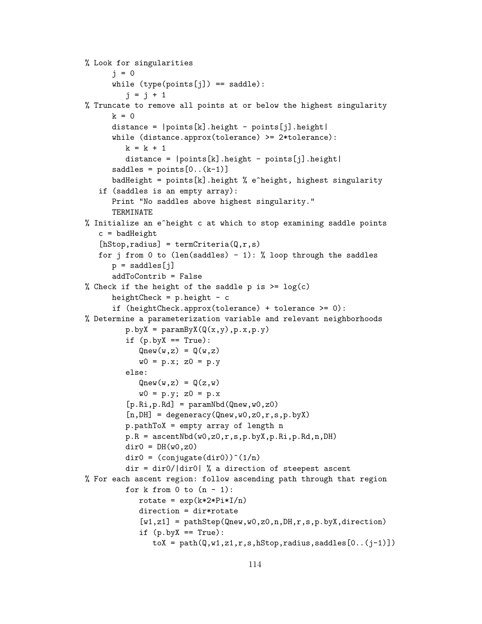```
% Look for singularities
      j = 0while (type(points[j]) == saddle):
         j = j + 1% Truncate to remove all points at or below the highest singularity
      k = 0distance = |points[k].height - points[j].height |
      while (distance.approx(tolerance) >= 2*tolerance):
         k = k + 1distance = |points[k].height - points[j].height|
      saddles = points[0..(k-1)]badHeight = points[k].height % e^height, highest singularity
   if (saddles is an empty array):
      Print "No saddles above highest singularity."
      TERMINATE
% Initialize an e^height c at which to stop examining saddle points
   c = badHeight[hStop, radius] = termCriterion(Q,r,s)for j from 0 to (len(saddles) - 1): % loop through the saddles
      p = saddles[i]addToContrib = False
% Check if the height of the saddle p is >= log(c)
      heightCheck = p.height - cif (heightCheck.approx(tolerance) + tolerance >= 0):
% Determine a parameterization variable and relevant neighborhoods
         p.byX = paramByX(Q(x, y), p.x, p.y)if (p.byX == True):
            Qnew(w, z) = Q(w, z)w0 = p.x; z0 = p.yelse:
            Qnew(w, z) = Q(z, w)w0 = p.y; z0 = p.x[p.Ri,p.Rd] = paramNbd(Qnew,w0,z0)[n,DH] = degeneracy(Qnew, w0, z0, r, s, p. by X)p.pathToX = empty array of length n
         p.R = ascentNbd(w0,z0,r,s,p.byX,p.Ri,p.Rd,n,DH)
         div0 = DH(w0, z0)dir0 = (conjugate(dir0))^(1/n)dir = dir0/|dir0| % a direction of steepest ascent
% For each ascent region: follow ascending path through that region
         for k from 0 to (n - 1):
            rotate = exp(k*2*Pi*I/n)direction = dir*rotate
            [w1,z1] = pathStep(Qnew,w0,z0,n,DH,r,s,p.byX,direction)if (p.byX == True):
               toX = path(Q, w1, z1, r, s, hStop, radius, saddles[0..(j-1)])
```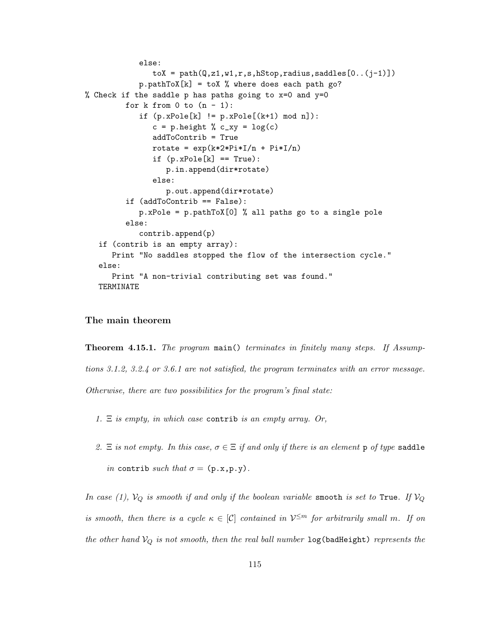```
else:
               toX = path(Q, z1, w1, r, s, hStop, radius, saddles[0..(j-1)])p.pathToX[k] = toX % where does each path go?% Check if the saddle p has paths going to x=0 and y=0
         for k from 0 to (n - 1):
            if (p.xPole[k] := p.xPole[(k+1) mod n]):c = p.height % c_y = log(c)addToContrib = True
               rotate = exp(k*2*Pi*I/n + Pi*I/n)if (p.xPole[k] == True):
                  p.in.append(dir*rotate)
               else:
                  p.out.append(dir*rotate)
         if (addToContrib == False):
            p.xPole = p.pathToX[0] % all paths go to a single pole
         else:
            contrib.append(p)
   if (contrib is an empty array):
      Print "No saddles stopped the flow of the intersection cycle."
   else:
      Print "A non-trivial contributing set was found."
   TERMINATE
```
#### The main theorem

Theorem 4.15.1. *The program* main() *terminates in finitely many steps. If Assumptions 3.1.2, 3.2.4 or 3.6.1 are not satisfied, the program terminates with an error message. Otherwise, there are two possibilities for the program's final state:*

*1.* Ξ *is empty, in which case* contrib *is an empty array. Or,*

2.  $\Xi$  *is not empty. In this case,*  $\sigma \in \Xi$  *if and only if there is an element* p *of type* saddle *in* contrib *such that*  $\sigma = (\mathbf{p} \cdot \mathbf{x}, \mathbf{p} \cdot \mathbf{y})$ *.* 

*In case (1),*  $V_Q$  *is smooth if and only if the boolean variable* smooth *is set to* True*. If*  $V_Q$ *is smooth, then there is a cycle*  $\kappa \in [C]$  *contained in*  $V^{\leq m}$  *for arbitrarily small* m. If on *the other hand*  $V_Q$  *is not smooth, then the real ball number*  $log(badHeight)$  *represents the*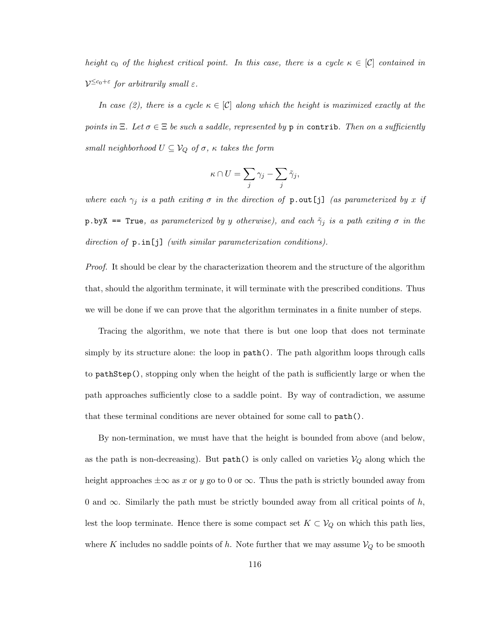*height*  $c_0$  *of the highest critical point. In this case, there is a cycle*  $\kappa \in [\mathcal{C}]$  *contained in*  $V^{\leq c_0+\varepsilon}$  for arbitrarily small  $\varepsilon$ .

*In case (2), there is a cycle*  $\kappa \in [C]$  *along which the height is maximized exactly at the points in*  $\Xi$ *. Let*  $\sigma \in \Xi$  *be such a saddle, represented by* **p** *in* contrib*. Then on a sufficiently small neighborhood*  $U \subseteq V_Q$  *of*  $\sigma$ *,*  $\kappa$  *takes the form* 

$$
\kappa \cap U = \sum_j \gamma_j - \sum_j \tilde{\gamma}_j,
$$

*where each*  $\gamma_j$  *is a path exiting*  $\sigma$  *in the direction of*  $p.out[j]$  *(as parameterized by* x *if*  $p.$ byX == True, as parameterized by y otherwise), and each  $\tilde{\gamma}_j$  *is a path exiting*  $\sigma$  *in the direction of* p.in[j] *(with similar parameterization conditions).*

*Proof.* It should be clear by the characterization theorem and the structure of the algorithm that, should the algorithm terminate, it will terminate with the prescribed conditions. Thus we will be done if we can prove that the algorithm terminates in a finite number of steps.

Tracing the algorithm, we note that there is but one loop that does not terminate simply by its structure alone: the loop in  $path()$ . The path algorithm loops through calls to pathStep(), stopping only when the height of the path is sufficiently large or when the path approaches sufficiently close to a saddle point. By way of contradiction, we assume that these terminal conditions are never obtained for some call to path().

By non-termination, we must have that the height is bounded from above (and below, as the path is non-decreasing). But  $path()$  is only called on varieties  $V_Q$  along which the height approaches  $\pm \infty$  as x or y go to 0 or  $\infty$ . Thus the path is strictly bounded away from 0 and  $\infty$ . Similarly the path must be strictly bounded away from all critical points of h, lest the loop terminate. Hence there is some compact set  $K \subset V_Q$  on which this path lies, where K includes no saddle points of h. Note further that we may assume  $V_Q$  to be smooth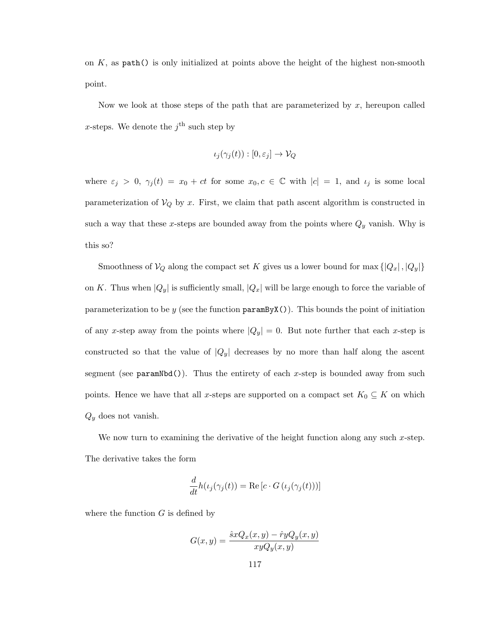on  $K$ , as  $path()$  is only initialized at points above the height of the highest non-smooth point.

Now we look at those steps of the path that are parameterized by  $x$ , hereupon called x-steps. We denote the  $j^{\text{th}}$  such step by

$$
\iota_j(\gamma_j(t)) : [0, \varepsilon_j] \to \mathcal{V}_Q
$$

where  $\varepsilon_j > 0$ ,  $\gamma_j(t) = x_0 + ct$  for some  $x_0, c \in \mathbb{C}$  with  $|c| = 1$ , and  $\iota_j$  is some local parameterization of  $V_Q$  by x. First, we claim that path ascent algorithm is constructed in such a way that these x-steps are bounded away from the points where  $Q_y$  vanish. Why is this so?

Smoothness of  $V_Q$  along the compact set K gives us a lower bound for max  $\{|Q_x|, |Q_y|\}$ on K. Thus when  $|Q_y|$  is sufficiently small,  $|Q_x|$  will be large enough to force the variable of parameterization to be y (see the function  $\texttt{paramByX}()$ ). This bounds the point of initiation of any x-step away from the points where  $|Q_y| = 0$ . But note further that each x-step is constructed so that the value of  $|Q_y|$  decreases by no more than half along the ascent segment (see  $paramNbd()$ ). Thus the entirety of each x-step is bounded away from such points. Hence we have that all x-steps are supported on a compact set  $K_0 \subseteq K$  on which  $Q_y$  does not vanish.

We now turn to examining the derivative of the height function along any such  $x$ -step. The derivative takes the form

$$
\frac{d}{dt}h(\iota_j(\gamma_j(t)) = \text{Re}\left[c \cdot G\left(\iota_j(\gamma_j(t))\right)\right]
$$

where the function  $G$  is defined by

$$
G(x,y) = \frac{\hat{s}xQ_x(x,y) - \hat{r}yQ_y(x,y)}{xyQ_y(x,y)}
$$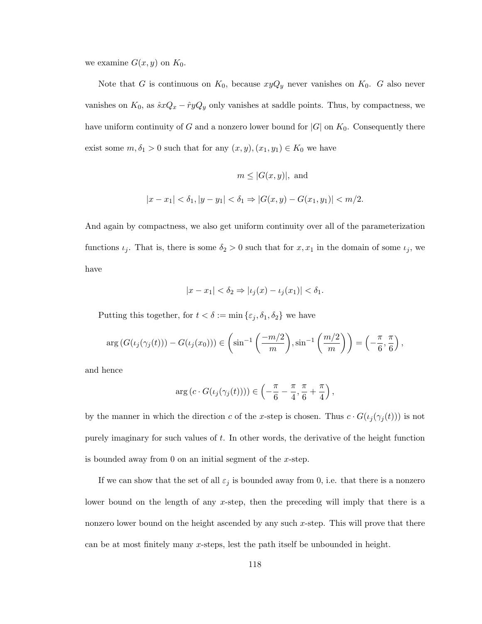we examine  $G(x, y)$  on  $K_0$ .

Note that G is continuous on  $K_0$ , because  $xyQ_y$  never vanishes on  $K_0$ . G also never vanishes on  $K_0$ , as  $\hat{s}xQ_x - \hat{r}yQ_y$  only vanishes at saddle points. Thus, by compactness, we have uniform continuity of G and a nonzero lower bound for  $|G|$  on  $K_0$ . Consequently there exist some  $m, \delta_1 > 0$  such that for any  $(x, y), (x_1, y_1) \in K_0$  we have

$$
m \le |G(x, y)|, \text{ and}
$$
  

$$
|x - x_1| < \delta_1, |y - y_1| < \delta_1 \Rightarrow |G(x, y) - G(x_1, y_1)| < m/2.
$$

And again by compactness, we also get uniform continuity over all of the parameterization functions  $\iota_j$ . That is, there is some  $\delta_2 > 0$  such that for  $x, x_1$  in the domain of some  $\iota_j$ , we have

$$
|x - x_1| < \delta_2 \Rightarrow |\iota_j(x) - \iota_j(x_1)| < \delta_1.
$$

Putting this together, for  $t < \delta := \min \{\varepsilon_j, \delta_1, \delta_2\}$  we have

$$
\arg\left(G(\iota_j(\gamma_j(t)))-G(\iota_j(x_0))\right)\in\left(\sin^{-1}\left(\frac{-m/2}{m}\right),\sin^{-1}\left(\frac{m/2}{m}\right)\right)=\left(-\frac{\pi}{6},\frac{\pi}{6}\right),
$$

and hence

$$
\arg\left(c \cdot G(\iota_j(\gamma_j(t)))\right) \in \left(-\frac{\pi}{6} - \frac{\pi}{4}, \frac{\pi}{6} + \frac{\pi}{4}\right),\,
$$

by the manner in which the direction c of the x-step is chosen. Thus  $c \cdot G(\iota_j(\gamma_j(t)))$  is not purely imaginary for such values of t. In other words, the derivative of the height function is bounded away from 0 on an initial segment of the x-step.

If we can show that the set of all  $\varepsilon_j$  is bounded away from 0, i.e. that there is a nonzero lower bound on the length of any x-step, then the preceding will imply that there is a nonzero lower bound on the height ascended by any such x-step. This will prove that there can be at most finitely many x-steps, lest the path itself be unbounded in height.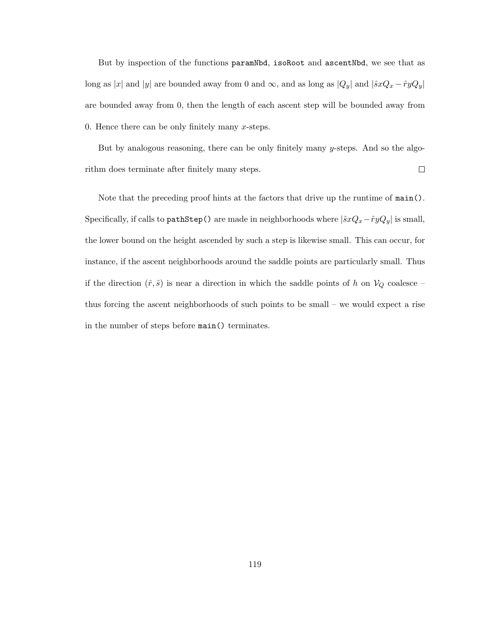But by inspection of the functions paramNbd, isoRoot and ascentNbd, we see that as long as |x| and |y| are bounded away from 0 and  $\infty$ , and as long as  $|Q_y|$  and  $|\hat{s}xQ_x - \hat{r}yQ_y|$ are bounded away from 0, then the length of each ascent step will be bounded away from 0. Hence there can be only finitely many  $x$ -steps.

But by analogous reasoning, there can be only finitely many y-steps. And so the algorithm does terminate after finitely many steps.  $\Box$ 

Note that the preceding proof hints at the factors that drive up the runtime of main(). Specifically, if calls to pathStep() are made in neighborhoods where  $|\hat{s}xQ_x - \hat{r}yQ_y|$  is small, the lower bound on the height ascended by such a step is likewise small. This can occur, for instance, if the ascent neighborhoods around the saddle points are particularly small. Thus if the direction  $(\hat{r}, \hat{s})$  is near a direction in which the saddle points of h on  $V_Q$  coalesce – thus forcing the ascent neighborhoods of such points to be small – we would expect a rise in the number of steps before main() terminates.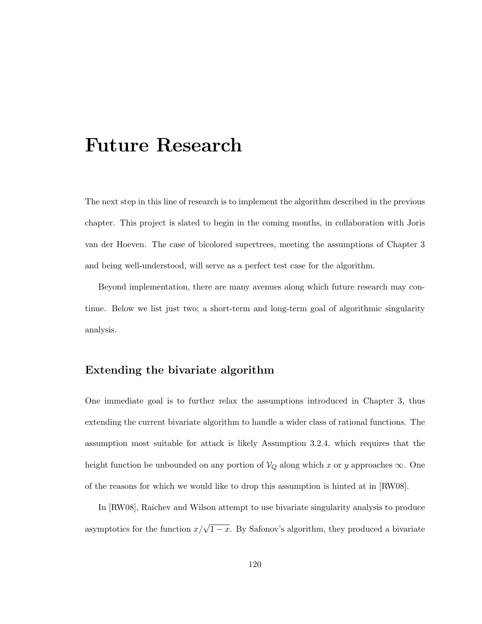# Future Research

The next step in this line of research is to implement the algorithm described in the previous chapter. This project is slated to begin in the coming months, in collaboration with Joris van der Hoeven. The case of bicolored supertrees, meeting the assumptions of Chapter 3 and being well-understood, will serve as a perfect test case for the algorithm.

Beyond implementation, there are many avenues along which future research may continue. Below we list just two; a short-term and long-term goal of algorithmic singularity analysis.

## Extending the bivariate algorithm

One immediate goal is to further relax the assumptions introduced in Chapter 3, thus extending the current bivariate algorithm to handle a wider class of rational functions. The assumption most suitable for attack is likely Assumption 3.2.4, which requires that the height function be unbounded on any portion of  $\mathcal{V}_Q$  along which x or y approaches  $\infty$ . One of the reasons for which we would like to drop this assumption is hinted at in [RW08].

In [RW08], Raichev and Wilson attempt to use bivariate singularity analysis to produce asymptotics for the function  $x/\sqrt{1-x}$ . By Safonov's algorithm, they produced a bivariate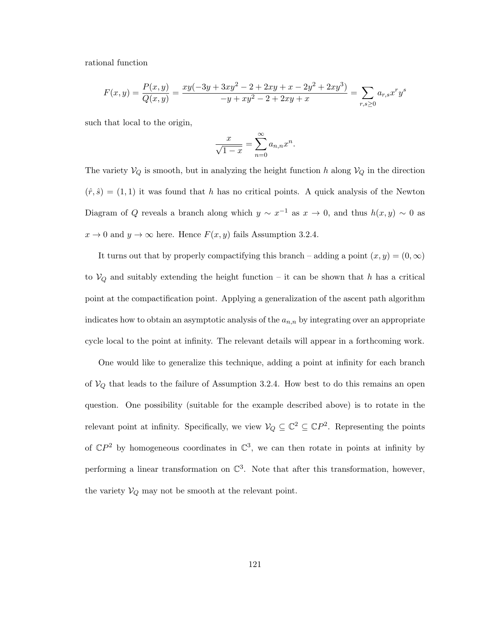rational function

$$
F(x,y) = \frac{P(x,y)}{Q(x,y)} = \frac{xy(-3y + 3xy^2 - 2 + 2xy + x - 2y^2 + 2xy^3)}{-y + xy^2 - 2 + 2xy + x} = \sum_{r,s \ge 0} a_{r,s} x^r y^s
$$

such that local to the origin,

$$
\frac{x}{\sqrt{1-x}} = \sum_{n=0}^{\infty} a_{n,n} x^n.
$$

The variety  $V_Q$  is smooth, but in analyzing the height function h along  $V_Q$  in the direction  $(\hat{r}, \hat{s}) = (1, 1)$  it was found that h has no critical points. A quick analysis of the Newton Diagram of Q reveals a branch along which  $y \sim x^{-1}$  as  $x \to 0$ , and thus  $h(x, y) \sim 0$  as  $x \to 0$  and  $y \to \infty$  here. Hence  $F(x, y)$  fails Assumption 3.2.4.

It turns out that by properly compactifying this branch – adding a point  $(x, y) = (0, \infty)$ to  $V_Q$  and suitably extending the height function – it can be shown that h has a critical point at the compactification point. Applying a generalization of the ascent path algorithm indicates how to obtain an asymptotic analysis of the  $a_{n,n}$  by integrating over an appropriate cycle local to the point at infinity. The relevant details will appear in a forthcoming work.

One would like to generalize this technique, adding a point at infinity for each branch of  $V_Q$  that leads to the failure of Assumption 3.2.4. How best to do this remains an open question. One possibility (suitable for the example described above) is to rotate in the relevant point at infinity. Specifically, we view  $V_Q \subseteq \mathbb{C}^2 \subseteq \mathbb{C}P^2$ . Representing the points of  $\mathbb{C}P^2$  by homogeneous coordinates in  $\mathbb{C}^3$ , we can then rotate in points at infinity by performing a linear transformation on  $\mathbb{C}^3$ . Note that after this transformation, however, the variety  $V_Q$  may not be smooth at the relevant point.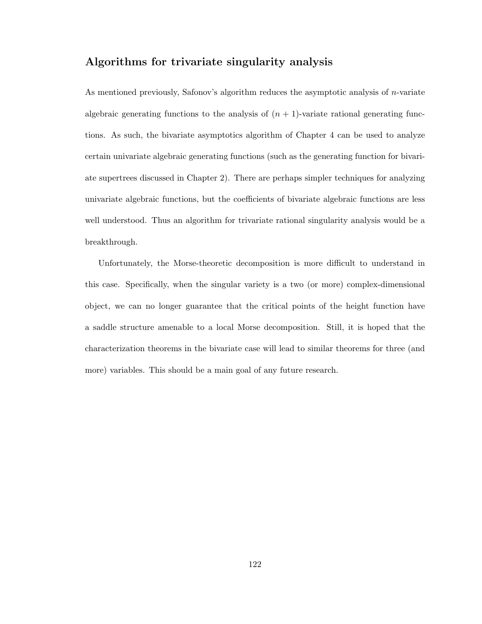# Algorithms for trivariate singularity analysis

As mentioned previously, Safonov's algorithm reduces the asymptotic analysis of n-variate algebraic generating functions to the analysis of  $(n + 1)$ -variate rational generating functions. As such, the bivariate asymptotics algorithm of Chapter 4 can be used to analyze certain univariate algebraic generating functions (such as the generating function for bivariate supertrees discussed in Chapter 2). There are perhaps simpler techniques for analyzing univariate algebraic functions, but the coefficients of bivariate algebraic functions are less well understood. Thus an algorithm for trivariate rational singularity analysis would be a breakthrough.

Unfortunately, the Morse-theoretic decomposition is more difficult to understand in this case. Specifically, when the singular variety is a two (or more) complex-dimensional object, we can no longer guarantee that the critical points of the height function have a saddle structure amenable to a local Morse decomposition. Still, it is hoped that the characterization theorems in the bivariate case will lead to similar theorems for three (and more) variables. This should be a main goal of any future research.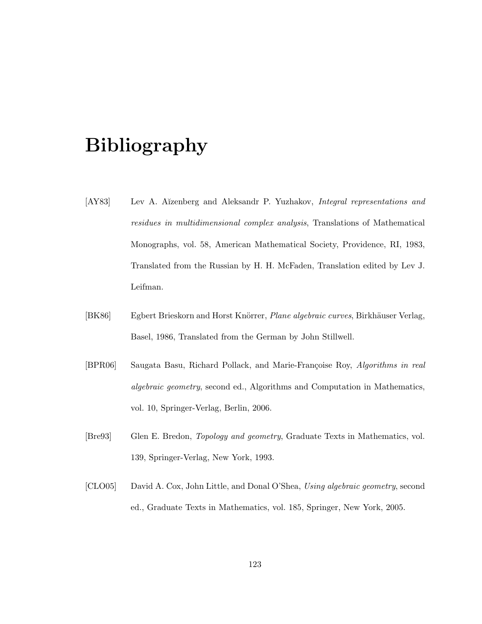# Bibliography

- [AY83] Lev A. A˘ızenberg and Aleksandr P. Yuzhakov, *Integral representations and residues in multidimensional complex analysis*, Translations of Mathematical Monographs, vol. 58, American Mathematical Society, Providence, RI, 1983, Translated from the Russian by H. H. McFaden, Translation edited by Lev J. Leifman.
- [BK86] Egbert Brieskorn and Horst Knörrer, *Plane algebraic curves*, Birkhäuser Verlag, Basel, 1986, Translated from the German by John Stillwell.
- [BPR06] Saugata Basu, Richard Pollack, and Marie-Françoise Roy, *Algorithms in real algebraic geometry*, second ed., Algorithms and Computation in Mathematics, vol. 10, Springer-Verlag, Berlin, 2006.
- [Bre93] Glen E. Bredon, *Topology and geometry*, Graduate Texts in Mathematics, vol. 139, Springer-Verlag, New York, 1993.
- [CLO05] David A. Cox, John Little, and Donal O'Shea, *Using algebraic geometry*, second ed., Graduate Texts in Mathematics, vol. 185, Springer, New York, 2005.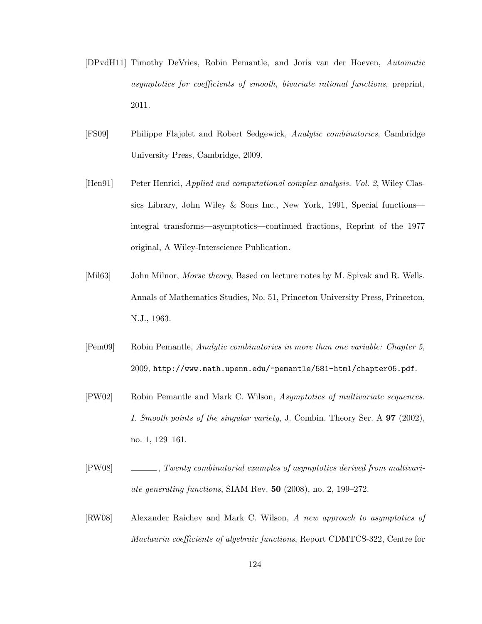- [DPvdH11] Timothy DeVries, Robin Pemantle, and Joris van der Hoeven, *Automatic asymptotics for coefficients of smooth, bivariate rational functions*, preprint, 2011.
- [FS09] Philippe Flajolet and Robert Sedgewick, *Analytic combinatorics*, Cambridge University Press, Cambridge, 2009.
- [Hen91] Peter Henrici, *Applied and computational complex analysis. Vol. 2*, Wiley Classics Library, John Wiley & Sons Inc., New York, 1991, Special functions integral transforms—asymptotics—continued fractions, Reprint of the 1977 original, A Wiley-Interscience Publication.
- [Mil63] John Milnor, *Morse theory*, Based on lecture notes by M. Spivak and R. Wells. Annals of Mathematics Studies, No. 51, Princeton University Press, Princeton, N.J., 1963.
- [Pem09] Robin Pemantle, *Analytic combinatorics in more than one variable: Chapter 5*, 2009, http://www.math.upenn.edu/~pemantle/581-html/chapter05.pdf.
- [PW02] Robin Pemantle and Mark C. Wilson, *Asymptotics of multivariate sequences. I. Smooth points of the singular variety*, J. Combin. Theory Ser. A 97 (2002), no. 1, 129–161.
- [PW08] , *Twenty combinatorial examples of asymptotics derived from multivariate generating functions*, SIAM Rev. 50 (2008), no. 2, 199–272.
- [RW08] Alexander Raichev and Mark C. Wilson, *A new approach to asymptotics of Maclaurin coefficients of algebraic functions*, Report CDMTCS-322, Centre for